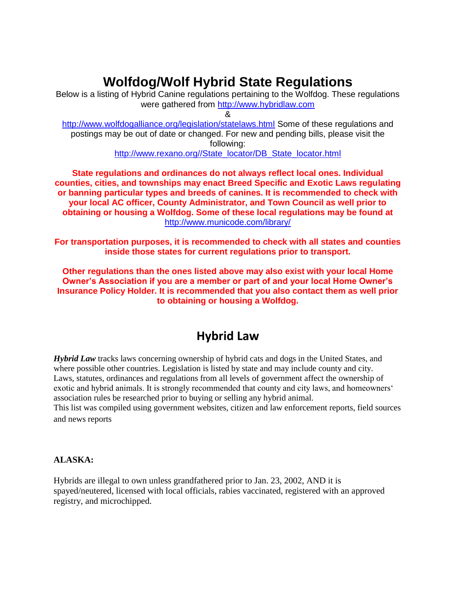# **Wolfdog/Wolf Hybrid State Regulations**

Below is a listing of Hybrid Canine regulations pertaining to the Wolfdog. These regulations were gathered from [http://www.hybridlaw.com](http://www.hybridlaw.com/)

&

<http://www.wolfdogalliance.org/legislation/statelaws.html> Some of these regulations and postings may be out of date or changed. For new and pending bills, please visit the following:

[http://www.rexano.org//State\\_locator/DB\\_State\\_locator.html](http://www.rexano.org/State_locator/DB_State_locator.html)

**State regulations and ordinances do not always reflect local ones. Individual counties, cities, and townships may enact Breed Specific and Exotic Laws regulating or banning particular types and breeds of canines. It is recommended to check with your local AC officer, County Administrator, and Town Council as well prior to obtaining or housing a Wolfdog. Some of these local regulations may be found at** <http://www.municode.com/library/>

**For transportation purposes, it is recommended to check with all states and counties inside those states for current regulations prior to transport.**

**Other regulations than the ones listed above may also exist with your local Home Owner's Association if you are a member or part of and your local Home Owner's Insurance Policy Holder. It is recommended that you also contact them as well prior to obtaining or housing a Wolfdog.**

# **Hybrid Law**

*Hybrid Law* tracks laws concerning ownership of hybrid cats and dogs in the United States, and where possible other countries. Legislation is listed by state and may include county and city. Laws, statutes, ordinances and regulations from all levels of government affect the ownership of exotic and hybrid animals. It is strongly recommended that county and city laws, and homeowners' association rules be researched prior to buying or selling any hybrid animal.

This list was compiled using government websites, citizen and law enforcement reports, field sources and news reports

# **ALASKA:**

Hybrids are illegal to own unless grandfathered prior to Jan. 23, 2002, AND it is spayed/neutered, licensed with local officials, rabies vaccinated, registered with an approved registry, and microchipped.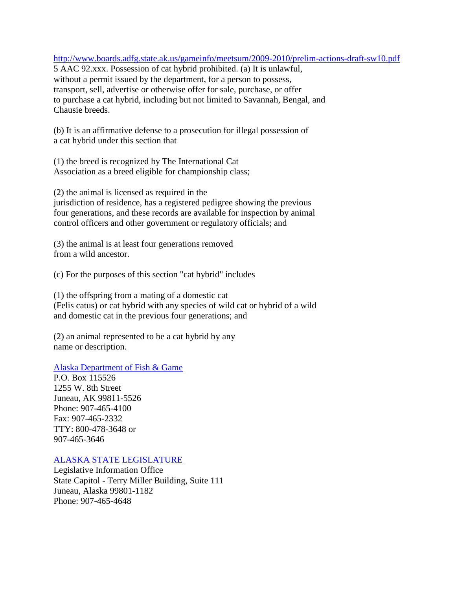<http://www.boards.adfg.state.ak.us/gameinfo/meetsum/2009-2010/prelim-actions-draft-sw10.pdf>

5 AAC 92.xxx. Possession of cat hybrid prohibited. (a) It is unlawful, without a permit issued by the department, for a person to possess, transport, sell, advertise or otherwise offer for sale, purchase, or offer to purchase a cat hybrid, including but not limited to Savannah, Bengal, and Chausie breeds.

(b) It is an affirmative defense to a prosecution for illegal possession of a cat hybrid under this section that

(1) the breed is recognized by The International Cat Association as a breed eligible for championship class;

(2) the animal is licensed as required in the jurisdiction of residence, has a registered pedigree showing the previous four generations, and these records are available for inspection by animal control officers and other government or regulatory officials; and

(3) the animal is at least four generations removed from a wild ancestor.

(c) For the purposes of this section "cat hybrid" includes

(1) the offspring from a mating of a domestic cat (Felis catus) or cat hybrid with any species of wild cat or hybrid of a wild and domestic cat in the previous four generations; and

(2) an animal represented to be a cat hybrid by any name or description.

[Alaska Department of Fish & Game](http://www.adfg.state.ak.us/)

P.O. Box 115526 1255 W. 8th Street Juneau, AK 99811-5526 Phone: 907-465-4100 Fax: 907-465-2332 TTY: 800-478-3648 or 907-465-3646

# [ALASKA STATE LEGISLATURE](http://w3.legis.state.ak.us/index.php)

Legislative Information Office State Capitol - Terry Miller Building, Suite 111 Juneau, Alaska 99801-1182 Phone: 907-465-4648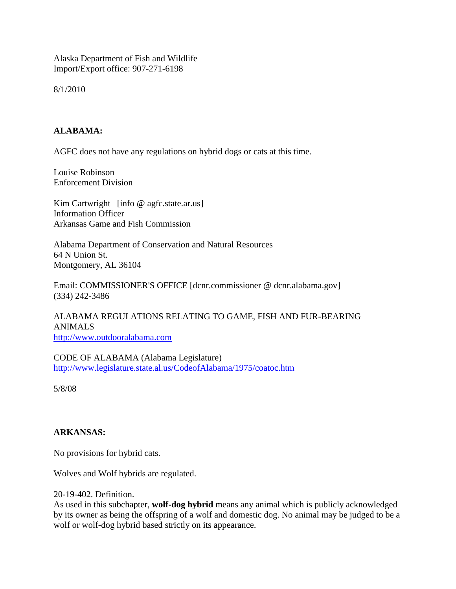Alaska Department of Fish and Wildlife Import/Export office: 907-271-6198

8/1/2010

# **ALABAMA:**

AGFC does not have any regulations on hybrid dogs or cats at this time.

Louise Robinson Enforcement Division

Kim Cartwright [info @ agfc.state.ar.us] Information Officer Arkansas Game and Fish Commission

Alabama Department of Conservation and Natural Resources 64 N Union St. Montgomery, AL 36104

Email: COMMISSIONER'S OFFICE [dcnr.commissioner @ dcnr.alabama.gov] (334) 242-3486

ALABAMA REGULATIONS RELATING TO GAME, FISH AND FUR-BEARING ANIMALS

[http://www.outdooralabama.com](http://www.outdooralabama.com/)

CODE OF ALABAMA (Alabama Legislature[\)](http://www.legislature.state.al.us/CodeofAlabama/1975/coatoc.htm) <http://www.legislature.state.al.us/CodeofAlabama/1975/coatoc.htm>

5/8/08

# **ARKANSAS:**

No provisions for hybrid cats.

Wolves and Wolf hybrids are regulated.

20-19-402. Definition.

As used in this subchapter, **wolf-dog hybrid** means any animal which is publicly acknowledged by its owner as being the offspring of a wolf and domestic dog. No animal may be judged to be a wolf or wolf-dog hybrid based strictly on its appearance.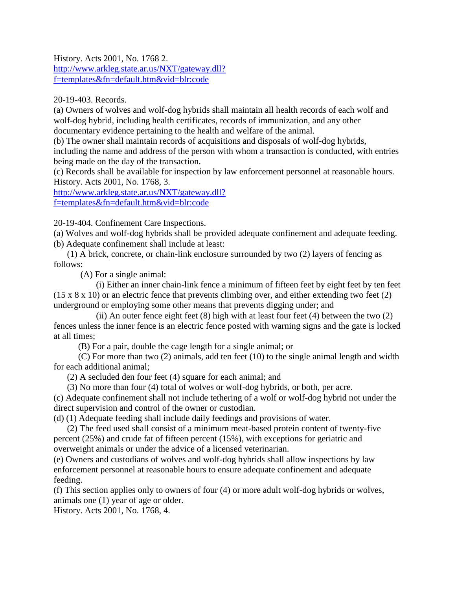History. Acts 2001, No. 1768 2. [http://www.arkleg.state.ar.us/NXT/gateway.dll?](http://www.arkleg.state.ar.us/NXT/gateway.dll?f=templates&fn=default.htm&vid=blr:code) [f=templates&fn=default.htm&vid=blr:code](http://www.arkleg.state.ar.us/NXT/gateway.dll?f=templates&fn=default.htm&vid=blr:code)

20-19-403. Records.

(a) Owners of wolves and wolf-dog hybrids shall maintain all health records of each wolf and wolf-dog hybrid, including health certificates, records of immunization, and any other documentary evidence pertaining to the health and welfare of the animal.

(b) The owner shall maintain records of acquisitions and disposals of wolf-dog hybrids, including the name and address of the person with whom a transaction is conducted, with entries being made on the day of the transaction.

(c) Records shall be available for inspection by law enforcement personnel at reasonable hours. History. Acts 2001, No. 1768, 3.

[http://www.arkleg.state.ar.us/NXT/gateway.dll?](http://www.arkleg.state.ar.us/NXT/gateway.dll?f=templates&fn=default.htm&vid=blr:code) [f=templates&fn=default.htm&vid=blr:code](http://www.arkleg.state.ar.us/NXT/gateway.dll?f=templates&fn=default.htm&vid=blr:code)

20-19-404. Confinement Care Inspections.

(a) Wolves and wolf-dog hybrids shall be provided adequate confinement and adequate feeding. (b) Adequate confinement shall include at least:

 (1) A brick, concrete, or chain-link enclosure surrounded by two (2) layers of fencing as follows:

(A) For a single animal:

 (i) Either an inner chain-link fence a minimum of fifteen feet by eight feet by ten feet (15 x 8 x 10) or an electric fence that prevents climbing over, and either extending two feet (2) underground or employing some other means that prevents digging under; and

(ii) An outer fence eight feet  $(8)$  high with at least four feet  $(4)$  between the two  $(2)$ fences unless the inner fence is an electric fence posted with warning signs and the gate is locked at all times;

(B) For a pair, double the cage length for a single animal; or

 (C) For more than two (2) animals, add ten feet (10) to the single animal length and width for each additional animal;

(2) A secluded den four feet (4) square for each animal; and

(3) No more than four (4) total of wolves or wolf-dog hybrids, or both, per acre.

(c) Adequate confinement shall not include tethering of a wolf or wolf-dog hybrid not under the direct supervision and control of the owner or custodian.

(d) (1) Adequate feeding shall include daily feedings and provisions of water.

 (2) The feed used shall consist of a minimum meat-based protein content of twenty-five percent (25%) and crude fat of fifteen percent (15%), with exceptions for geriatric and overweight animals or under the advice of a licensed veterinarian.

(e) Owners and custodians of wolves and wolf-dog hybrids shall allow inspections by law enforcement personnel at reasonable hours to ensure adequate confinement and adequate feeding.

(f) This section applies only to owners of four (4) or more adult wolf-dog hybrids or wolves, animals one (1) year of age or older.

History. Acts 2001, No. 1768, 4.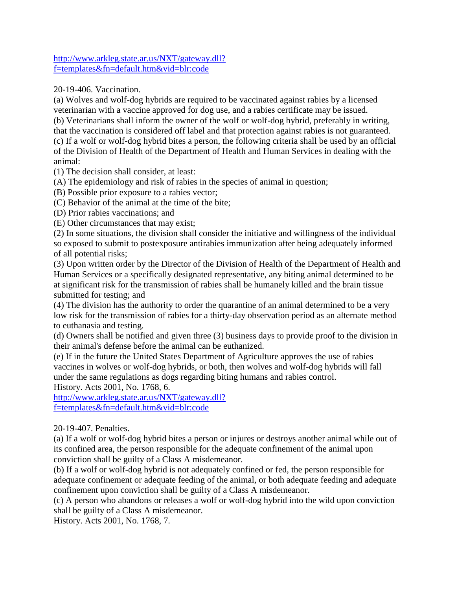[http://www.arkleg.state.ar.us/NXT/gateway.dll?](http://www.arkleg.state.ar.us/NXT/gateway.dll?f=templates&fn=default.htm&vid=blr:code) [f=templates&fn=default.htm&vid=blr:code](http://www.arkleg.state.ar.us/NXT/gateway.dll?f=templates&fn=default.htm&vid=blr:code)

20-19-406. Vaccination.

(a) Wolves and wolf-dog hybrids are required to be vaccinated against rabies by a licensed veterinarian with a vaccine approved for dog use, and a rabies certificate may be issued. (b) Veterinarians shall inform the owner of the wolf or wolf-dog hybrid, preferably in writing, that the vaccination is considered off label and that protection against rabies is not guaranteed. (c) If a wolf or wolf-dog hybrid bites a person, the following criteria shall be used by an official of the Division of Health of the Department of Health and Human Services in dealing with the animal:

(1) The decision shall consider, at least:

(A) The epidemiology and risk of rabies in the species of animal in question;

(B) Possible prior exposure to a rabies vector;

(C) Behavior of the animal at the time of the bite;

(D) Prior rabies vaccinations; and

(E) Other circumstances that may exist;

(2) In some situations, the division shall consider the initiative and willingness of the individual so exposed to submit to postexposure antirabies immunization after being adequately informed of all potential risks;

(3) Upon written order by the Director of the Division of Health of the Department of Health and Human Services or a specifically designated representative, any biting animal determined to be at significant risk for the transmission of rabies shall be humanely killed and the brain tissue submitted for testing; and

(4) The division has the authority to order the quarantine of an animal determined to be a very low risk for the transmission of rabies for a thirty-day observation period as an alternate method to euthanasia and testing.

(d) Owners shall be notified and given three (3) business days to provide proof to the division in their animal's defense before the animal can be euthanized.

(e) If in the future the United States Department of Agriculture approves the use of rabies vaccines in wolves or wolf-dog hybrids, or both, then wolves and wolf-dog hybrids will fall under the same regulations as dogs regarding biting humans and rabies control.

History. Acts 2001, No. 1768, 6.

[http://www.arkleg.state.ar.us/NXT/gateway.dll?](http://www.arkleg.state.ar.us/NXT/gateway.dll?f=templates&fn=default.htm&vid=blr:code) [f=templates&fn=default.htm&vid=blr:code](http://www.arkleg.state.ar.us/NXT/gateway.dll?f=templates&fn=default.htm&vid=blr:code)

# 20-19-407. Penalties.

(a) If a wolf or wolf-dog hybrid bites a person or injures or destroys another animal while out of its confined area, the person responsible for the adequate confinement of the animal upon conviction shall be guilty of a Class A misdemeanor.

(b) If a wolf or wolf-dog hybrid is not adequately confined or fed, the person responsible for adequate confinement or adequate feeding of the animal, or both adequate feeding and adequate confinement upon conviction shall be guilty of a Class A misdemeanor.

(c) A person who abandons or releases a wolf or wolf-dog hybrid into the wild upon conviction shall be guilty of a Class A misdemeanor.

History. Acts 2001, No. 1768, 7.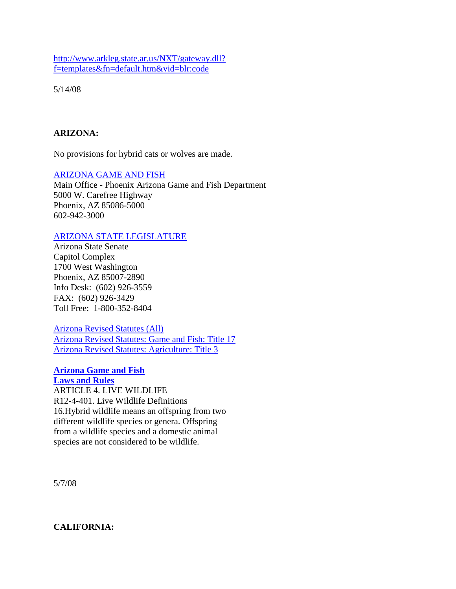[http://www.arkleg.state.ar.us/NXT/gateway.dll?](http://www.arkleg.state.ar.us/NXT/gateway.dll) [f=templates&fn=default.htm&vid=blr:code](http://www.arkleg.state.ar.us/NXT/gateway.dll)

5/14/08

### **ARIZONA:**

No provisions for hybrid cats or wolves are made.

### [ARIZONA GAME AND FISH](http://www.gf.state.az.us/)

Main Office - Phoenix Arizona Game and Fish Department 5000 W. Carefree Highway Phoenix, AZ 85086-5000 602-942-3000

### [ARIZONA STATE LEGISLATURE](http://www.azleg.gov/)

Arizona State Senate Capitol Complex 1700 West Washington Phoenix, AZ 85007-2890 Info Desk: (602) 926-3559 FAX: (602) 926-3429 Toll Free: 1-800-352-8404

[Arizona Revised Statutes \(All\)](http://www.azleg.state.az.us/ArizonaRevisedStatutes.asp) [Arizona Revised Statutes: Game and Fish: Title 17](http://www.azleg.state.az.us/ArizonaRevisedStatutes.asp?Title=17) [Arizona Revised Statutes: Agriculture: Title 3](http://www.azleg.state.az.us/ArizonaRevisedStatutes.asp?Title=3)

#### **[Arizona Game and Fish](http://www.azgfd.gov/eservices/documents/all_azgfd_laws.pdf) [Laws and Rules](http://www.azgfd.gov/eservices/documents/all_azgfd_laws.pdf)**

ARTICLE 4. LIVE WILDLIFE R12-4-401. Live Wildlife Definitions 16.Hybrid wildlife means an offspring from two different wildlife species or genera. Offspring from a wildlife species and a domestic animal species are not considered to be wildlife.

5/7/08

### **CALIFORNIA:**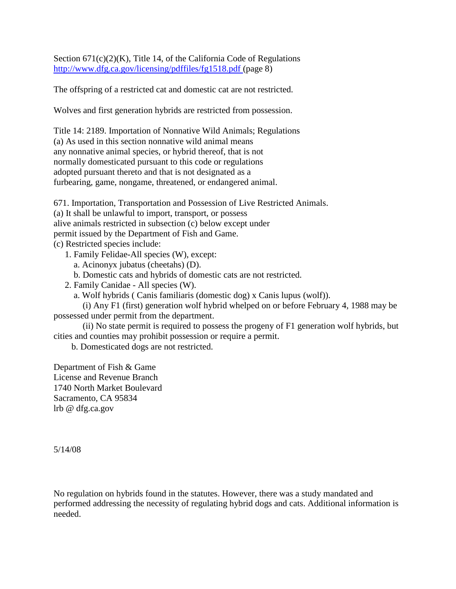Section  $671(c)(2)(K)$ , Title 14, of the California Code of Regulations [http://www.dfg.ca.gov/licensing/pdffiles/fg1518.pdf \(](http://www.dfg.ca.gov/licensing/pdffiles/fg1518.pdf)page 8)

The offspring of a restricted cat and domestic cat are not restricted.

Wolves and first generation hybrids are restricted from possession.

Title 14: 2189. Importation of Nonnative Wild Animals; Regulations (a) As used in this section nonnative wild animal means any nonnative animal species, or hybrid thereof, that is not normally domesticated pursuant to this code or regulations adopted pursuant thereto and that is not designated as a furbearing, game, nongame, threatened, or endangered animal.

671. Importation, Transportation and Possession of Live Restricted Animals. (a) It shall be unlawful to import, transport, or possess alive animals restricted in subsection (c) below except under permit issued by the Department of Fish and Game. (c) Restricted species include:

1. Family Felidae-All species (W), except:

a. Acinonyx jubatus (cheetahs) (D).

b. Domestic cats and hybrids of domestic cats are not restricted.

2. Family Canidae - All species (W).

a. Wolf hybrids ( Canis familiaris (domestic dog) x Canis lupus (wolf)).

 (i) Any F1 (first) generation wolf hybrid whelped on or before February 4, 1988 may be possessed under permit from the department.

 (ii) No state permit is required to possess the progeny of F1 generation wolf hybrids, but cities and counties may prohibit possession or require a permit.

b. Domesticated dogs are not restricted.

Department of Fish & Game License and Revenue Branch 1740 North Market Boulevard Sacramento, CA 95834 lrb @ dfg.ca.gov

5/14/08

No regulation on hybrids found in the statutes. However, there was a study mandated and performed addressing the necessity of regulating hybrid dogs and cats. Additional information is needed.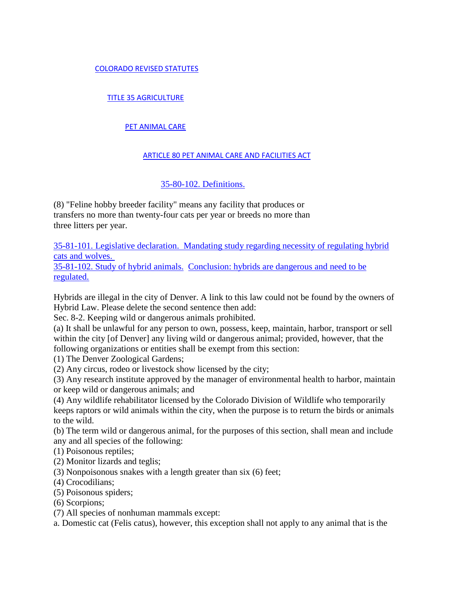### [COLORADO REVISED STATUTES](http://www.michie.com/colorado/lpext.dll/cocode/1?fn=document-frame.htm&f=templates&2.0)

### [TITLE 35 AGRICULTURE](http://www.michie.com/colorado/lpext.dll/cocode/1/55fe3?fn=document-frame.htm&f=templates&2.0)

#### [PET ANIMAL CARE](http://www.michie.com/colorado/lpext.dll/cocode/1/55fe3/58fbe?fn=document-frame.htm&f=templates&2.0)

#### [ARTICLE 80 PET ANIMAL CARE AND FACILITIES ACT](http://www.michie.com/colorado/lpext.dll/cocode/1/55fe3/58fbe/58fc0?fn=document-frame.htm&f=templates&2.0)

### [35-80-102. Definitions.](http://www.michie.com/colorado/lpext.dll/cocode/1/55fe3/58fbe/58fc0/58fdc?fn=document-frame.htm&f=templates&2.0)

(8) "Feline hobby breeder facility" means any facility that produces or transfers no more than twenty-four cats per year or breeds no more than three litters per year.

35-81-101. Legislative declaration. [Mandating study regarding necessity of regulating hybrid](http://www.michie.com/colorado/lpext.dll?f=FifLink&t=document-frame.htm&l=jump&iid=28f22fdc.17ad007f.0.0&nid=1a401#JD_35-81-101)  [cats and wolves.](http://www.michie.com/colorado/lpext.dll?f=FifLink&t=document-frame.htm&l=jump&iid=28f22fdc.17ad007f.0.0&nid=1a401#JD_35-81-101)

[35-81-102. Study of hybrid animals.](http://www.michie.com/colorado/lpext.dll?f=FifLink&t=document-frame.htm&l=jump&iid=28f22fdc.17ad007f.0.0&nid=1a401#JD_35-81-101) [Conclusion: hybrids are dangerous and need to be](http://www.michie.com/colorado/lpext.dll?f=FifLink&t=document-frame.htm&l=jump&iid=28f22fdc.17ad007f.0.0&nid=1a401#JD_35-81-101)  [regulated.](http://www.michie.com/colorado/lpext.dll?f=FifLink&t=document-frame.htm&l=jump&iid=28f22fdc.17ad007f.0.0&nid=1a401#JD_35-81-101)

Hybrids are illegal in the city of Denver. A link to this law could not be found by the owners of Hybrid Law. Please delete the second sentence then add:

Sec. 8-2. Keeping wild or dangerous animals prohibited.

(a) It shall be unlawful for any person to own, possess, keep, maintain, harbor, transport or sell within the city [of Denver] any living wild or dangerous animal; provided, however, that the following organizations or entities shall be exempt from this section:

(1) The Denver Zoological Gardens;

(2) Any circus, rodeo or livestock show licensed by the city;

(3) Any research institute approved by the manager of environmental health to harbor, maintain or keep wild or dangerous animals; and

(4) Any wildlife rehabilitator licensed by the Colorado Division of Wildlife who temporarily keeps raptors or wild animals within the city, when the purpose is to return the birds or animals to the wild.

(b) The term wild or dangerous animal, for the purposes of this section, shall mean and include any and all species of the following:

(1) Poisonous reptiles;

(2) Monitor lizards and teglis;

(3) Nonpoisonous snakes with a length greater than six (6) feet;

(4) Crocodilians;

(5) Poisonous spiders;

(6) Scorpions;

(7) All species of nonhuman mammals except:

a. Domestic cat (Felis catus), however, this exception shall not apply to any animal that is the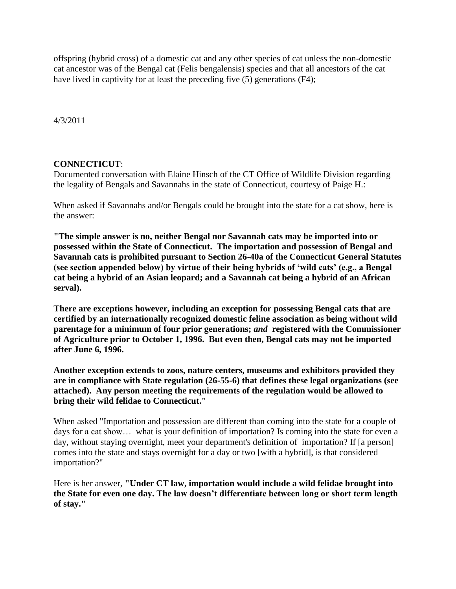offspring (hybrid cross) of a domestic cat and any other species of cat unless the non-domestic cat ancestor was of the Bengal cat (Felis bengalensis) species and that all ancestors of the cat have lived in captivity for at least the preceding five (5) generations (F4);

4/3/2011

### **CONNECTICUT**:

Documented conversation with Elaine Hinsch of the CT Office of Wildlife Division regarding the legality of Bengals and Savannahs in the state of Connecticut, courtesy of Paige H.:

When asked if Savannahs and/or Bengals could be brought into the state for a cat show, here is the answer:

**"The simple answer is no, neither Bengal nor Savannah cats may be imported into or possessed within the State of Connecticut. The importation and possession of Bengal and Savannah cats is prohibited pursuant to Section 26-40a of the Connecticut General Statutes (see section appended below) by virtue of their being hybrids of 'wild cats' (e.g., a Bengal cat being a hybrid of an Asian leopard; and a Savannah cat being a hybrid of an African serval).**

**There are exceptions however, including an exception for possessing Bengal cats that are certified by an internationally recognized domestic feline association as being without wild parentage for a minimum of four prior generations;** *and* **registered with the Commissioner of Agriculture prior to October 1, 1996. But even then, Bengal cats may not be imported after June 6, 1996.**

**Another exception extends to zoos, nature centers, museums and exhibitors provided they are in compliance with State regulation (26-55-6) that defines these legal organizations (see attached). Any person meeting the requirements of the regulation would be allowed to bring their wild felidae to Connecticut."**

When asked "Importation and possession are different than coming into the state for a couple of days for a cat show… what is your definition of importation? Is coming into the state for even a day, without staying overnight, meet your department's definition of importation? If [a person] comes into the state and stays overnight for a day or two [with a hybrid], is that considered importation?"

Here is her answer, **"Under CT law, importation would include a wild felidae brought into the State for even one day. The law doesn't differentiate between long or short term length of stay."**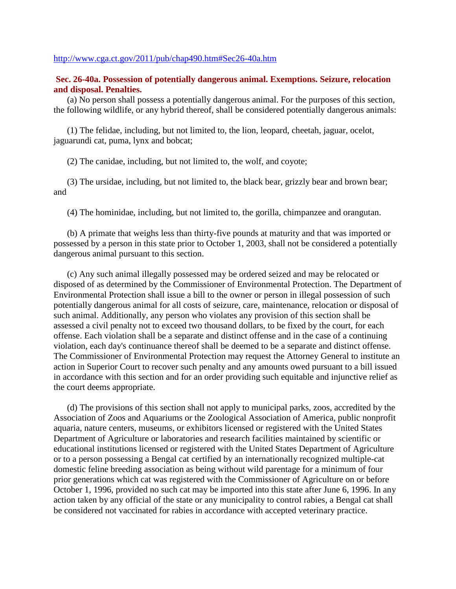#### <http://www.cga.ct.gov/2011/pub/chap490.htm#Sec26-40a.htm>

### **Sec. 26-40a. Possession of potentially dangerous animal. Exemptions. Seizure, relocation and disposal. Penalties.**

 (a) No person shall possess a potentially dangerous animal. For the purposes of this section, the following wildlife, or any hybrid thereof, shall be considered potentially dangerous animals:

 (1) The felidae, including, but not limited to, the lion, leopard, cheetah, jaguar, ocelot, jaguarundi cat, puma, lynx and bobcat;

(2) The canidae, including, but not limited to, the wolf, and coyote;

 (3) The ursidae, including, but not limited to, the black bear, grizzly bear and brown bear; and

(4) The hominidae, including, but not limited to, the gorilla, chimpanzee and orangutan.

 (b) A primate that weighs less than thirty-five pounds at maturity and that was imported or possessed by a person in this state prior to October 1, 2003, shall not be considered a potentially dangerous animal pursuant to this section.

 (c) Any such animal illegally possessed may be ordered seized and may be relocated or disposed of as determined by the Commissioner of Environmental Protection. The Department of Environmental Protection shall issue a bill to the owner or person in illegal possession of such potentially dangerous animal for all costs of seizure, care, maintenance, relocation or disposal of such animal. Additionally, any person who violates any provision of this section shall be assessed a civil penalty not to exceed two thousand dollars, to be fixed by the court, for each offense. Each violation shall be a separate and distinct offense and in the case of a continuing violation, each day's continuance thereof shall be deemed to be a separate and distinct offense. The Commissioner of Environmental Protection may request the Attorney General to institute an action in Superior Court to recover such penalty and any amounts owed pursuant to a bill issued in accordance with this section and for an order providing such equitable and injunctive relief as the court deems appropriate.

 (d) The provisions of this section shall not apply to municipal parks, zoos, accredited by the Association of Zoos and Aquariums or the Zoological Association of America, public nonprofit aquaria, nature centers, museums, or exhibitors licensed or registered with the United States Department of Agriculture or laboratories and research facilities maintained by scientific or educational institutions licensed or registered with the United States Department of Agriculture or to a person possessing a Bengal cat certified by an internationally recognized multiple-cat domestic feline breeding association as being without wild parentage for a minimum of four prior generations which cat was registered with the Commissioner of Agriculture on or before October 1, 1996, provided no such cat may be imported into this state after June 6, 1996. In any action taken by any official of the state or any municipality to control rabies, a Bengal cat shall be considered not vaccinated for rabies in accordance with accepted veterinary practice.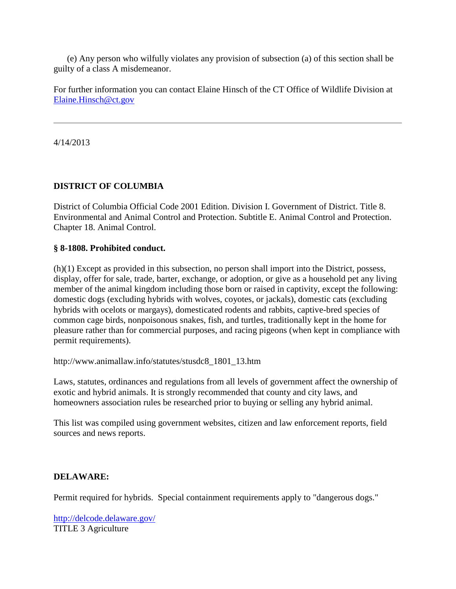(e) Any person who wilfully violates any provision of subsection (a) of this section shall be guilty of a class A misdemeanor.

For further information you can contact Elaine Hinsch of the CT Office of Wildlife Division at [Elaine.Hinsch@ct.gov](mailto:%20Elaine.Hinsch@ct.gov)

4/14/2013

# **DISTRICT OF COLUMBIA**

District of Columbia Official Code 2001 Edition. Division I. Government of District. Title 8. Environmental and Animal Control and Protection. Subtitle E. Animal Control and Protection. Chapter 18. Animal Control.

### **§ 8-1808. Prohibited conduct.**

(h)(1) Except as provided in this subsection, no person shall import into the District, possess, display, offer for sale, trade, barter, exchange, or adoption, or give as a household pet any living member of the animal kingdom including those born or raised in captivity, except the following: domestic dogs (excluding hybrids with wolves, coyotes, or jackals), domestic cats (excluding hybrids with ocelots or margays), domesticated rodents and rabbits, captive-bred species of common cage birds, nonpoisonous snakes, fish, and turtles, traditionally kept in the home for pleasure rather than for commercial purposes, and racing pigeons (when kept in compliance with permit requirements).

http://www.animallaw.info/statutes/stusdc8\_1801\_13.htm

Laws, statutes, ordinances and regulations from all levels of government affect the ownership of exotic and hybrid animals. It is strongly recommended that county and city laws, and homeowners association rules be researched prior to buying or selling any hybrid animal.

This list was compiled using government websites, citizen and law enforcement reports, field sources and news reports.

# **DELAWARE:**

Permit required for hybrids. Special containment requirements apply to "dangerous dogs."

<http://delcode.delaware.gov/> TITLE 3 Agriculture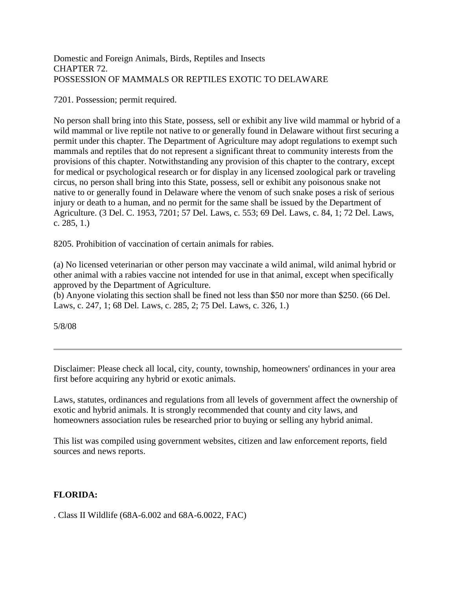### Domestic and Foreign Animals, Birds, Reptiles and Insects CHAPTER 72. POSSESSION OF MAMMALS OR REPTILES EXOTIC TO DELAWARE

7201. Possession; permit required.

No person shall bring into this State, possess, sell or exhibit any live wild mammal or hybrid of a wild mammal or live reptile not native to or generally found in Delaware without first securing a permit under this chapter. The Department of Agriculture may adopt regulations to exempt such mammals and reptiles that do not represent a significant threat to community interests from the provisions of this chapter. Notwithstanding any provision of this chapter to the contrary, except for medical or psychological research or for display in any licensed zoological park or traveling circus, no person shall bring into this State, possess, sell or exhibit any poisonous snake not native to or generally found in Delaware where the venom of such snake poses a risk of serious injury or death to a human, and no permit for the same shall be issued by the Department of Agriculture. (3 Del. C. 1953, 7201; 57 Del. Laws, c. 553; 69 Del. Laws, c. 84, 1; 72 Del. Laws, c. 285, 1.)

8205. Prohibition of vaccination of certain animals for rabies.

(a) No licensed veterinarian or other person may vaccinate a wild animal, wild animal hybrid or other animal with a rabies vaccine not intended for use in that animal, except when specifically approved by the Department of Agriculture.

(b) Anyone violating this section shall be fined not less than \$50 nor more than \$250. (66 Del. Laws, c. 247, 1; 68 Del. Laws, c. 285, 2; 75 Del. Laws, c. 326, 1.)

5/8/08

Disclaimer: Please check all local, city, county, township, homeowners' ordinances in your area first before acquiring any hybrid or exotic animals.

Laws, statutes, ordinances and regulations from all levels of government affect the ownership of exotic and hybrid animals. It is strongly recommended that county and city laws, and homeowners association rules be researched prior to buying or selling any hybrid animal.

This list was compiled using government websites, citizen and law enforcement reports, field sources and news reports.

# **FLORIDA:**

. Class II Wildlife (68A-6.002 and 68A-6.0022, FAC)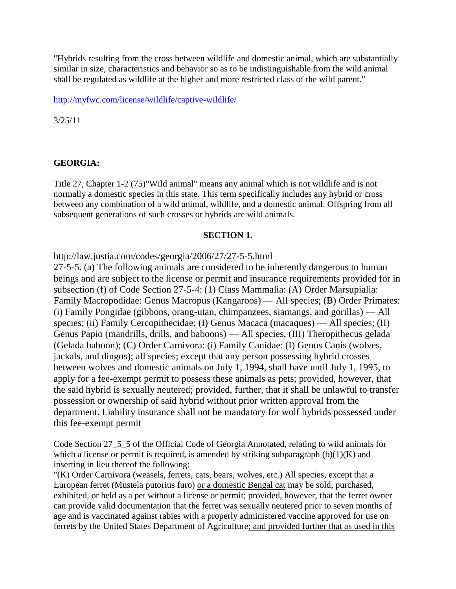"Hybrids resulting from the cross between wildlife and domestic animal, which are substantially similar in size, characteristics and behavior so as to be indistinguishable from the wild animal shall be regulated as wildlife at the higher and more restricted class of the wild parent."

<http://myfwc.com/license/wildlife/captive-wildlife/>

3/25/11

### **GEORGIA:**

Title 27, Chapter 1-2 (75)"Wild animal" means any animal which is not wildlife and is not normally a domestic species in this state. This term specifically includes any hybrid or cross between any combination of a wild animal, wildlife, and a domestic animal. Offspring from all subsequent generations of such crosses or hybrids are wild animals.

#### **SECTION 1.**

http://law.justia.com/codes/georgia/2006/27/27-5-5.html

27-5-5. (a) The following animals are considered to be inherently dangerous to human beings and are subject to the license or permit and insurance requirements provided for in subsection (f) of Code Section 27-5-4: (1) Class Mammalia: (A) Order Marsupialia: Family Macropodidae: Genus Macropus (Kangaroos) — All species; (B) Order Primates: (i) Family Pongidae (gibbons, orang-utan, chimpanzees, siamangs, and gorillas) — All species; (ii) Family Cercopithecidae: (I) Genus Macaca (macaques) — All species; (II) Genus Papio (mandrills, drills, and baboons) — All species; (III) Theropithecus gelada (Gelada baboon); (C) Order Carnivora: (i) Family Canidae: (I) Genus Canis (wolves, jackals, and dingos); all species; except that any person possessing hybrid crosses between wolves and domestic animals on July 1, 1994, shall have until July 1, 1995, to apply for a fee-exempt permit to possess these animals as pets; provided, however, that the said hybrid is sexually neutered; provided, further, that it shall be unlawful to transfer possession or ownership of said hybrid without prior written approval from the department. Liability insurance shall not be mandatory for wolf hybrids possessed under this fee-exempt permit

Code Section 27\_5\_5 of the Official Code of Georgia Annotated, relating to wild animals for which a license or permit is required, is amended by striking subparagraph  $(b)(1)(K)$  and inserting in lieu thereof the following:

"(K) Order Carnivora (weasels, ferrets, cats, bears, wolves, etc.) All species, except that a European ferret (Mustela putorius furo) or a domestic Bengal cat may be sold, purchased, exhibited, or held as a pet without a license or permit; provided, however, that the ferret owner can provide valid documentation that the ferret was sexually neutered prior to seven months of age and is vaccinated against rabies with a properly administered vaccine approved for use on ferrets by the United States Department of Agriculture; and provided further that as used in this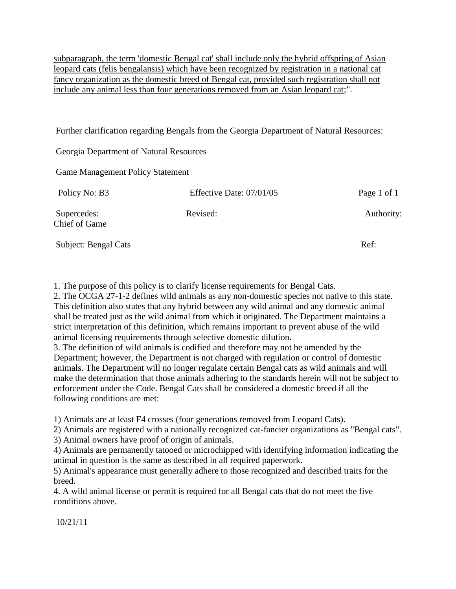subparagraph, the term 'domestic Bengal cat' shall include only the hybrid offspring of Asian leopard cats (felis bengalansis) which have been recognized by registration in a national cat fancy organization as the domestic breed of Bengal cat, provided such registration shall not include any animal less than four generations removed from an Asian leopard cat;".

Further clarification regarding Bengals from the Georgia Department of Natural Resources:

Georgia Department of Natural Resources

Game Management Policy Statement

| Policy No: B3                       | Effective Date: 07/01/05 | Page 1 of 1 |
|-------------------------------------|--------------------------|-------------|
| Supercedes:<br><b>Chief of Game</b> | Revised:                 | Authority:  |
| Subject: Bengal Cats                |                          | Ref:        |

1. The purpose of this policy is to clarify license requirements for Bengal Cats.

2. The OCGA 27-1-2 defines wild animals as any non-domestic species not native to this state. This definition also states that any hybrid between any wild animal and any domestic animal shall be treated just as the wild animal from which it originated. The Department maintains a strict interpretation of this definition, which remains important to prevent abuse of the wild animal licensing requirements through selective domestic dilution.

3. The definition of wild animals is codified and therefore may not be amended by the Department; however, the Department is not charged with regulation or control of domestic animals. The Department will no longer regulate certain Bengal cats as wild animals and will make the determination that those animals adhering to the standards herein will not be subject to enforcement under the Code. Bengal Cats shall be considered a domestic breed if all the following conditions are met:

1) Animals are at least F4 crosses (four generations removed from Leopard Cats).

2) Animals are registered with a nationally recognized cat-fancier organizations as "Bengal cats".

3) Animal owners have proof of origin of animals.

4) Animals are permanently tatooed or microchipped with identifying information indicating the animal in question is the same as described in all required paperwork.

5) Animal's appearance must generally adhere to those recognized and described traits for the breed.

4. A wild animal license or permit is required for all Bengal cats that do not meet the five conditions above.

10/21/11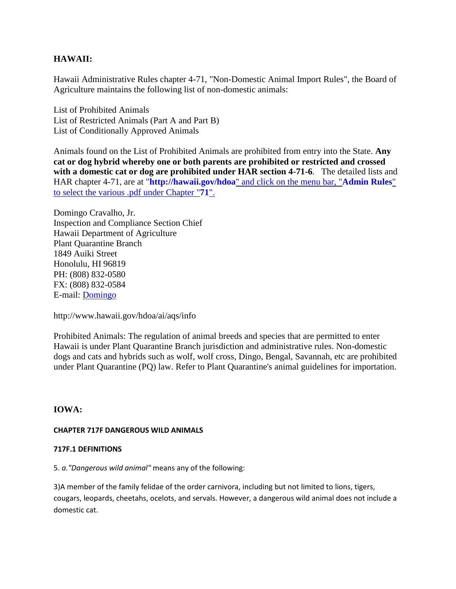### **HAWAII:**

Hawaii Administrative Rules chapter 4-71, "Non-Domestic Animal Import Rules", the Board of Agriculture maintains the following list of non-domestic animals:

List of Prohibited Animals List of Restricted Animals (Part A and Part B) List of Conditionally Approved Animals

Animals found on the List of Prohibited Animals are prohibited from entry into the State. **Any cat or dog hybrid whereby one or both parents are prohibited or restricted and crossed with a domestic cat or dog are prohibited under HAR section 4-71-6**. The detailed lists and HAR chapter 4-71, are at "**http://hawaii.gov/hdoa**[" and click on the menu bar, "](http://hawaii.gov/hdoa)**Admin Rules**" [to select the various .pdf under Chapter "](http://hawaii.gov/hdoa)**71**".

Domingo Cravalho, Jr. Inspection and Compliance Section Chief Hawaii Department of Agriculture Plant Quarantine Branch 1849 Auiki Street Honolulu, HI 96819 PH: (808) 832-0580 FX: (808) 832-0584 E-mail: [Domingo](mailto:Domingo.Cravalho@hawaii.gov)

http://www.hawaii.gov/hdoa/ai/aqs/info

Prohibited Animals: The regulation of animal breeds and species that are permitted to enter Hawaii is under Plant Quarantine Branch jurisdiction and administrative rules. Non-domestic dogs and cats and hybrids such as wolf, wolf cross, Dingo, Bengal, Savannah, etc are prohibited under Plant Quarantine (PQ) law. Refer to Plant Quarantine's animal guidelines for importation.

### **IOWA:**

#### **CHAPTER 717F DANGEROUS WILD ANIMALS**

#### **717F.1 DEFINITIONS**

5. *a."Dangerous wild animal"* means any of the following:

3)A member of the family felidae of the order carnivora, including but not limited to lions, tigers, cougars, leopards, cheetahs, ocelots, and servals. However, a dangerous wild animal does not include a domestic cat.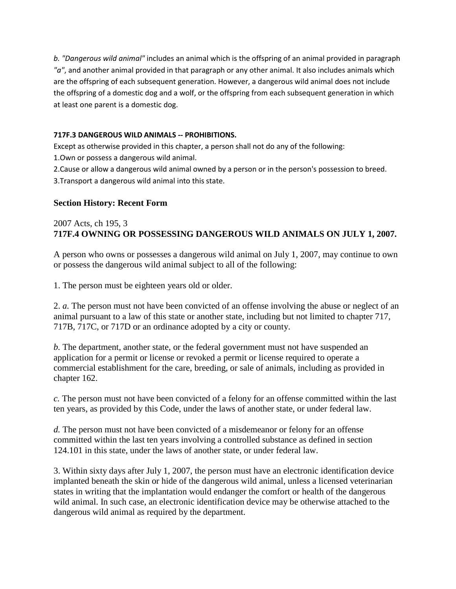*b. "Dangerous wild animal"* includes an animal which is the offspring of an animal provided in paragraph *"a"*, and another animal provided in that paragraph or any other animal. It also includes animals which are the offspring of each subsequent generation. However, a dangerous wild animal does not include the offspring of a domestic dog and a wolf, or the offspring from each subsequent generation in which at least one parent is a domestic dog.

### **717F.3 DANGEROUS WILD ANIMALS -- PROHIBITIONS.**

Except as otherwise provided in this chapter, a person shall not do any of the following:

1.Own or possess a dangerous wild animal.

2.Cause or allow a dangerous wild animal owned by a person or in the person's possession to breed.

3.Transport a dangerous wild animal into this state.

# **Section History: Recent Form**

# 2007 Acts, ch 195, 3 **717F.4 OWNING OR POSSESSING DANGEROUS WILD ANIMALS ON JULY 1, 2007.**

A person who owns or possesses a dangerous wild animal on July 1, 2007, may continue to own or possess the dangerous wild animal subject to all of the following:

1. The person must be eighteen years old or older.

2. *a.* The person must not have been convicted of an offense involving the abuse or neglect of an animal pursuant to a law of this state or another state, including but not limited to chapter 717, 717B, 717C, or 717D or an ordinance adopted by a city or county.

*b.* The department, another state, or the federal government must not have suspended an application for a permit or license or revoked a permit or license required to operate a commercial establishment for the care, breeding, or sale of animals, including as provided in chapter 162.

*c.* The person must not have been convicted of a felony for an offense committed within the last ten years, as provided by this Code, under the laws of another state, or under federal law.

*d.* The person must not have been convicted of a misdemeanor or felony for an offense committed within the last ten years involving a controlled substance as defined in section 124.101 in this state, under the laws of another state, or under federal law.

3. Within sixty days after July 1, 2007, the person must have an electronic identification device implanted beneath the skin or hide of the dangerous wild animal, unless a licensed veterinarian states in writing that the implantation would endanger the comfort or health of the dangerous wild animal. In such case, an electronic identification device may be otherwise attached to the dangerous wild animal as required by the department.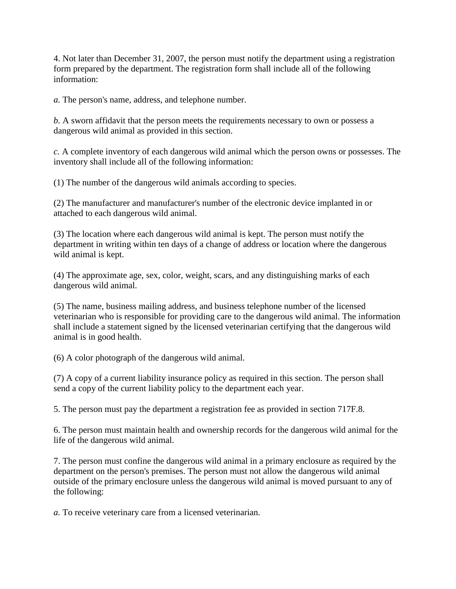4. Not later than December 31, 2007, the person must notify the department using a registration form prepared by the department. The registration form shall include all of the following information:

*a.* The person's name, address, and telephone number.

*b.* A sworn affidavit that the person meets the requirements necessary to own or possess a dangerous wild animal as provided in this section.

*c.* A complete inventory of each dangerous wild animal which the person owns or possesses. The inventory shall include all of the following information:

(1) The number of the dangerous wild animals according to species.

(2) The manufacturer and manufacturer's number of the electronic device implanted in or attached to each dangerous wild animal.

(3) The location where each dangerous wild animal is kept. The person must notify the department in writing within ten days of a change of address or location where the dangerous wild animal is kept.

(4) The approximate age, sex, color, weight, scars, and any distinguishing marks of each dangerous wild animal.

(5) The name, business mailing address, and business telephone number of the licensed veterinarian who is responsible for providing care to the dangerous wild animal. The information shall include a statement signed by the licensed veterinarian certifying that the dangerous wild animal is in good health.

(6) A color photograph of the dangerous wild animal.

(7) A copy of a current liability insurance policy as required in this section. The person shall send a copy of the current liability policy to the department each year.

5. The person must pay the department a registration fee as provided in section 717F.8.

6. The person must maintain health and ownership records for the dangerous wild animal for the life of the dangerous wild animal.

7. The person must confine the dangerous wild animal in a primary enclosure as required by the department on the person's premises. The person must not allow the dangerous wild animal outside of the primary enclosure unless the dangerous wild animal is moved pursuant to any of the following:

*a.* To receive veterinary care from a licensed veterinarian.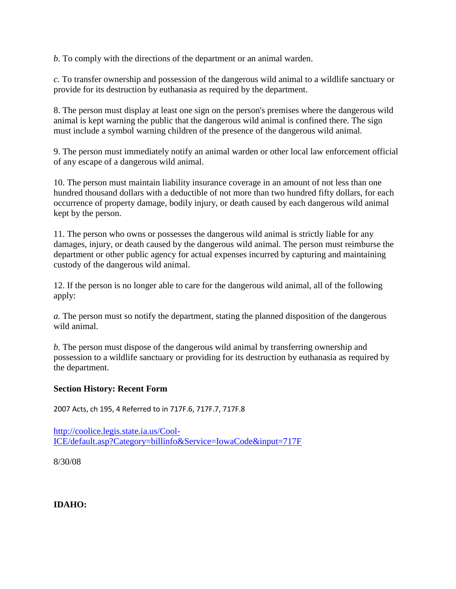*b.* To comply with the directions of the department or an animal warden.

*c.* To transfer ownership and possession of the dangerous wild animal to a wildlife sanctuary or provide for its destruction by euthanasia as required by the department.

8. The person must display at least one sign on the person's premises where the dangerous wild animal is kept warning the public that the dangerous wild animal is confined there. The sign must include a symbol warning children of the presence of the dangerous wild animal.

9. The person must immediately notify an animal warden or other local law enforcement official of any escape of a dangerous wild animal.

10. The person must maintain liability insurance coverage in an amount of not less than one hundred thousand dollars with a deductible of not more than two hundred fifty dollars, for each occurrence of property damage, bodily injury, or death caused by each dangerous wild animal kept by the person.

11. The person who owns or possesses the dangerous wild animal is strictly liable for any damages, injury, or death caused by the dangerous wild animal. The person must reimburse the department or other public agency for actual expenses incurred by capturing and maintaining custody of the dangerous wild animal.

12. If the person is no longer able to care for the dangerous wild animal, all of the following apply:

*a.* The person must so notify the department, stating the planned disposition of the dangerous wild animal.

*b.* The person must dispose of the dangerous wild animal by transferring ownership and possession to a wildlife sanctuary or providing for its destruction by euthanasia as required by the department.

### **Section History: Recent Form**

2007 Acts, ch 195, 4 Referred to in 717F.6, 717F.7, 717F.8

[http://coolice.legis.state.ia.us/Cool-](http://coolice.legis.state.ia.us/Cool-ICE/default.asp?Category=billinfo&Service=IowaCode&input=717F)[ICE/default.asp?Category=billinfo&Service=IowaCode&input=717F](http://coolice.legis.state.ia.us/Cool-ICE/default.asp?Category=billinfo&Service=IowaCode&input=717F)

8/30/08

**IDAHO:**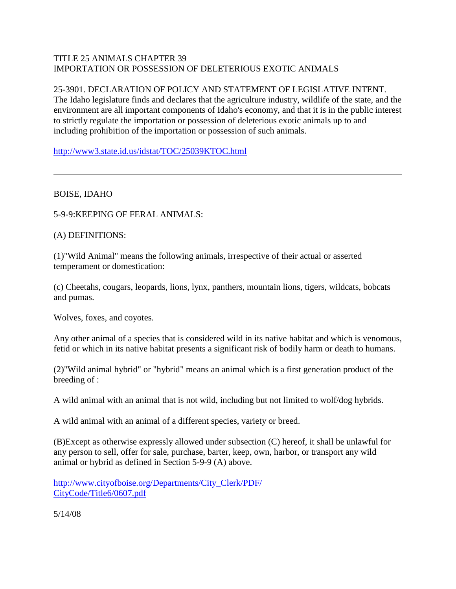# TITLE 25 ANIMALS CHAPTER 39 IMPORTATION OR POSSESSION OF DELETERIOUS EXOTIC ANIMALS

# 25-3901. DECLARATION OF POLICY AND STATEMENT OF LEGISLATIVE INTENT.

The Idaho legislature finds and declares that the agriculture industry, wildlife of the state, and the environment are all important components of Idaho's economy, and that it is in the public interest to strictly regulate the importation or possession of deleterious exotic animals up to and including prohibition of the importation or possession of such animals.

<http://www3.state.id.us/idstat/TOC/25039KTOC.html>

# BOISE, IDAHO

5-9-9:KEEPING OF FERAL ANIMALS:

# (A) DEFINITIONS:

(1)"Wild Animal" means the following animals, irrespective of their actual or asserted temperament or domestication:

(c) Cheetahs, cougars, leopards, lions, lynx, panthers, mountain lions, tigers, wildcats, bobcats and pumas.

Wolves, foxes, and coyotes.

Any other animal of a species that is considered wild in its native habitat and which is venomous, fetid or which in its native habitat presents a significant risk of bodily harm or death to humans.

(2)"Wild animal hybrid" or "hybrid" means an animal which is a first generation product of the breeding of :

A wild animal with an animal that is not wild, including but not limited to wolf/dog hybrids.

A wild animal with an animal of a different species, variety or breed.

(B)Except as otherwise expressly allowed under subsection (C) hereof, it shall be unlawful for any person to sell, offer for sale, purchase, barter, keep, own, harbor, or transport any wild animal or hybrid as defined in Section 5-9-9 (A) above.

[http://www.cityofboise.org/Departments/City\\_Clerk/PDF/](http://www.cityofboise.org/Departments/City_Clerk/PDF/CityCode/Title6/0607.pdf) [CityCode/Title6/0607.pdf](http://www.cityofboise.org/Departments/City_Clerk/PDF/CityCode/Title6/0607.pdf)

5/14/08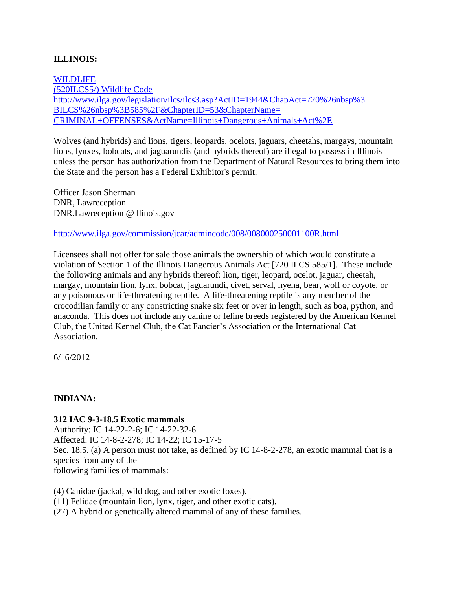# **ILLINOIS:**

[WILDLIFE](http://www.ilga.gov/legislation/ilcs/ilcs3.asp?ActID=1944&ChapAct=720%26nbsp%3BILCS%26nbsp%3B585%2F&ChapterID=53&ChapterName=CRIMINAL+OFFENSES&ActName=Illinois+Dangerous+Animals+Act%2E) [\(520ILCS5/\) Wildlife Code](http://www.ilga.gov/legislation/ilcs/ilcs3.asp?ActID=1944&ChapAct=720%26nbsp%3BILCS%26nbsp%3B585%2F&ChapterID=53&ChapterName=CRIMINAL+OFFENSES&ActName=Illinois+Dangerous+Animals+Act%2E) [http://www.ilga.gov/legislation/ilcs/ilcs3.asp?ActID=1944&ChapAct=720%26nbsp%3](http://www.ilga.gov/legislation/ilcs/ilcs3.asp?ActID=1944&ChapAct=720%26nbsp%3BILCS%26nbsp%3B585%2F&ChapterID=53&ChapterName=CRIMINAL+OFFENSES&ActName=Illinois+Dangerous+Animals+Act%2E) [BILCS%26nbsp%3B585%2F&ChapterID=53&ChapterName=](http://www.ilga.gov/legislation/ilcs/ilcs3.asp?ActID=1944&ChapAct=720%26nbsp%3BILCS%26nbsp%3B585%2F&ChapterID=53&ChapterName=CRIMINAL+OFFENSES&ActName=Illinois+Dangerous+Animals+Act%2E) [CRIMINAL+OFFENSES&ActName=Illinois+Dangerous+Animals+Act%2E](http://www.ilga.gov/legislation/ilcs/ilcs3.asp?ActID=1944&ChapAct=720%26nbsp%3BILCS%26nbsp%3B585%2F&ChapterID=53&ChapterName=CRIMINAL+OFFENSES&ActName=Illinois+Dangerous+Animals+Act%2E)

Wolves (and hybrids) and lions, tigers, leopards, ocelots, jaguars, cheetahs, margays, mountain lions, lynxes, bobcats, and jaguarundis (and hybrids thereof) are illegal to possess in Illinois unless the person has authorization from the Department of Natural Resources to bring them into the State and the person has a Federal Exhibitor's permit.

Officer Jason Sherman DNR, Lawreception DNR.Lawreception @ llinois.gov

<http://www.ilga.gov/commission/jcar/admincode/008/008000250001100R.html>

Licensees shall not offer for sale those animals the ownership of which would constitute a violation of Section 1 of the Illinois Dangerous Animals Act [720 ILCS 585/1]. These include the following animals and any hybrids thereof: lion, tiger, leopard, ocelot, jaguar, cheetah, margay, mountain lion, lynx, bobcat, jaguarundi, civet, serval, hyena, bear, wolf or coyote, or any poisonous or life-threatening reptile. A life-threatening reptile is any member of the crocodilian family or any constricting snake six feet or over in length, such as boa, python, and anaconda. This does not include any canine or feline breeds registered by the American Kennel Club, the United Kennel Club, the Cat Fancier's Association or the International Cat Association.

6/16/2012

# **INDIANA:**

### **312 IAC 9-3-18.5 Exotic mammals**

Authority: IC 14-22-2-6; IC 14-22-32-6 Affected: IC 14-8-2-278; IC 14-22; IC 15-17-5 Sec. 18.5. (a) A person must not take, as defined by IC 14-8-2-278, an exotic mammal that is a species from any of the following families of mammals:

(4) Canidae (jackal, wild dog, and other exotic foxes). (11) Felidae (mountain lion, lynx, tiger, and other exotic cats). (27) A hybrid or genetically altered mammal of any of these families.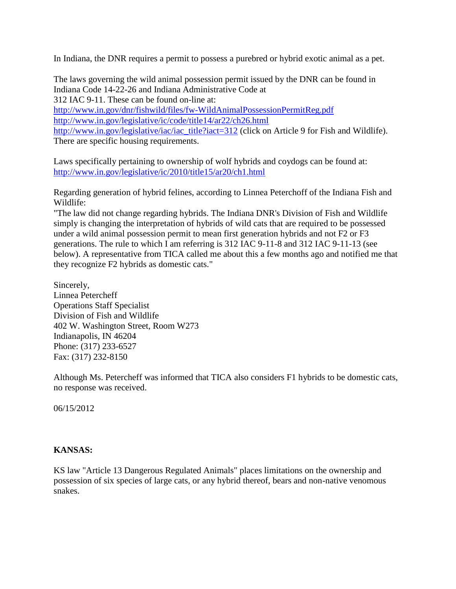In Indiana, the DNR requires a permit to possess a purebred or hybrid exotic animal as a pet.

The laws governing the wild animal possession permit issued by the DNR can be found in Indiana Code 14-22-26 and Indiana Administrative Code at 312 IAC 9-11. These can be found on-line at: <http://www.in.gov/dnr/fishwild/files/fw-WildAnimalPossessionPermitReg.pdf> <http://www.in.gov/legislative/ic/code/title14/ar22/ch26.html> [http://www.in.gov/legislative/iac/iac\\_title?iact=312](http://www.in.gov/legislative/iac/iac_title?iact=312) (click on Article 9 for Fish and Wildlife). There are specific housing requirements.

Laws specifically pertaining to ownership of wolf hybrids and coydogs can be found at: <http://www.in.gov/legislative/ic/2010/title15/ar20/ch1.html>

Regarding generation of hybrid felines, according to Linnea Peterchoff of the Indiana Fish and Wildlife:

"The law did not change regarding hybrids. The Indiana DNR's Division of Fish and Wildlife simply is changing the interpretation of hybrids of wild cats that are required to be possessed under a wild animal possession permit to mean first generation hybrids and not F2 or F3 generations. The rule to which I am referring is 312 IAC 9-11-8 and 312 IAC 9-11-13 (see below). A representative from TICA called me about this a few months ago and notified me that they recognize F2 hybrids as domestic cats."

Sincerely, Linnea Petercheff Operations Staff Specialist Division of Fish and Wildlife 402 W. Washington Street, Room W273 Indianapolis, IN 46204 Phone: (317) 233-6527 Fax: (317) 232-8150

Although Ms. Petercheff was informed that TICA also considers F1 hybrids to be domestic cats, no response was received.

06/15/2012

# **KANSAS:**

KS law "Article 13 Dangerous Regulated Animals" places limitations on the ownership and possession of six species of large cats, or any hybrid thereof, bears and non-native venomous snakes.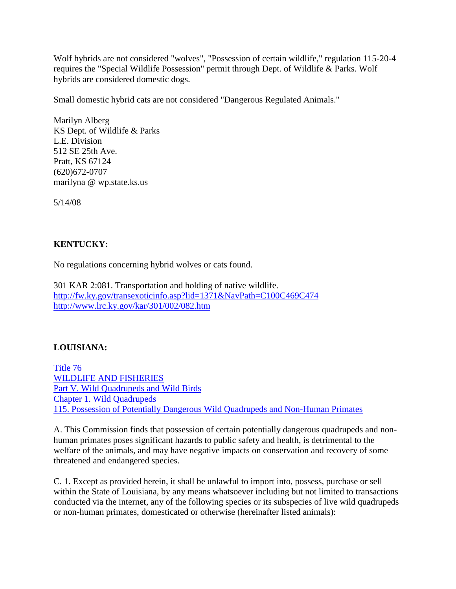Wolf hybrids are not considered "wolves", "Possession of certain wildlife," regulation 115-20-4 requires the "Special Wildlife Possession" permit through Dept. of Wildlife & Parks. Wolf hybrids are considered domestic dogs.

Small domestic hybrid cats are not considered "Dangerous Regulated Animals."

Marilyn Alberg KS Dept. of Wildlife & Parks L.E. Division 512 SE 25th Ave. Pratt, KS 67124 (620)672-0707 marilyna @ wp.state.ks.us

5/14/08

# **KENTUCKY:**

No regulations concerning hybrid wolves or cats found.

301 KAR 2:081. Transportation and holding of native wildlife. <http://fw.ky.gov/transexoticinfo.asp?lid=1371&NavPath=C100C469C474> <http://www.lrc.ky.gov/kar/301/002/082.htm>

# **LOUISIANA:**

[Title 76](http://www.wlf.louisiana.gov/pdfs/about/April_2006.pdf) [WILDLIFE AND FISHERIES](http://www.wlf.louisiana.gov/pdfs/about/April_2006.pdf) [Part V. Wild Quadrupeds and Wild Birds](http://www.wlf.louisiana.gov/pdfs/about/April_2006.pdf) [Chapter 1. Wild Quadrupeds](http://www.wlf.louisiana.gov/pdfs/about/April_2006.pdf) [115. Possession of Potentially Dangerous Wild Quadrupeds and Non-Human Primates](http://www.wlf.louisiana.gov/pdfs/about/April_2006.pdf)

A. This Commission finds that possession of certain potentially dangerous quadrupeds and nonhuman primates poses significant hazards to public safety and health, is detrimental to the welfare of the animals, and may have negative impacts on conservation and recovery of some threatened and endangered species.

C. 1. Except as provided herein, it shall be unlawful to import into, possess, purchase or sell within the State of Louisiana, by any means whatsoever including but not limited to transactions conducted via the internet, any of the following species or its subspecies of live wild quadrupeds or non-human primates, domesticated or otherwise (hereinafter listed animals):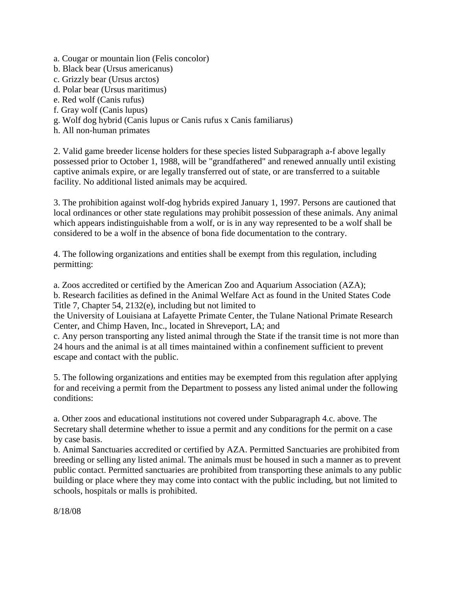a. Cougar or mountain lion (Felis concolor)

- b. Black bear (Ursus americanus)
- c. Grizzly bear (Ursus arctos)
- d. Polar bear (Ursus maritimus)
- e. Red wolf (Canis rufus)
- f. Gray wolf (Canis lupus)
- g. Wolf dog hybrid (Canis lupus or Canis rufus x Canis familiarus)
- h. All non-human primates

2. Valid game breeder license holders for these species listed Subparagraph a-f above legally possessed prior to October 1, 1988, will be "grandfathered" and renewed annually until existing captive animals expire, or are legally transferred out of state, or are transferred to a suitable facility. No additional listed animals may be acquired.

3. The prohibition against wolf-dog hybrids expired January 1, 1997. Persons are cautioned that local ordinances or other state regulations may prohibit possession of these animals. Any animal which appears indistinguishable from a wolf, or is in any way represented to be a wolf shall be considered to be a wolf in the absence of bona fide documentation to the contrary.

4. The following organizations and entities shall be exempt from this regulation, including permitting:

a. Zoos accredited or certified by the American Zoo and Aquarium Association (AZA); b. Research facilities as defined in the Animal Welfare Act as found in the United States Code

Title 7, Chapter 54, 2132(e), including but not limited to

the University of Louisiana at Lafayette Primate Center, the Tulane National Primate Research Center, and Chimp Haven, Inc., located in Shreveport, LA; and

c. Any person transporting any listed animal through the State if the transit time is not more than 24 hours and the animal is at all times maintained within a confinement sufficient to prevent escape and contact with the public.

5. The following organizations and entities may be exempted from this regulation after applying for and receiving a permit from the Department to possess any listed animal under the following conditions:

a. Other zoos and educational institutions not covered under Subparagraph 4.c. above. The Secretary shall determine whether to issue a permit and any conditions for the permit on a case by case basis.

b. Animal Sanctuaries accredited or certified by AZA. Permitted Sanctuaries are prohibited from breeding or selling any listed animal. The animals must be housed in such a manner as to prevent public contact. Permitted sanctuaries are prohibited from transporting these animals to any public building or place where they may come into contact with the public including, but not limited to schools, hospitals or malls is prohibited.

8/18/08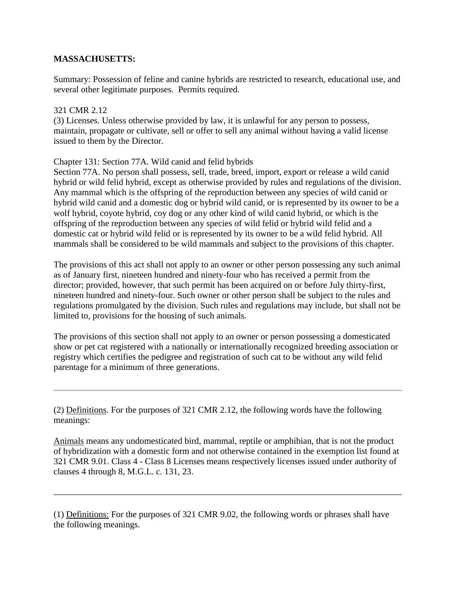### **MASSACHUSETTS:**

Summary: Possession of feline and canine hybrids are restricted to research, educational use, and several other legitimate purposes. Permits required.

### 321 CMR 2.12

(3) Licenses. Unless otherwise provided by law, it is unlawful for any person to possess, maintain, propagate or cultivate, sell or offer to sell any animal without having a valid license issued to them by the Director.

### Chapter 131: Section 77A. Wild canid and felid hybrids

Section 77A. No person shall possess, sell, trade, breed, import, export or release a wild canid hybrid or wild felid hybrid, except as otherwise provided by rules and regulations of the division. Any mammal which is the offspring of the reproduction between any species of wild canid or hybrid wild canid and a domestic dog or hybrid wild canid, or is represented by its owner to be a wolf hybrid, coyote hybrid, coy dog or any other kind of wild canid hybrid, or which is the offspring of the reproduction between any species of wild felid or hybrid wild felid and a domestic cat or hybrid wild felid or is represented by its owner to be a wild felid hybrid. All mammals shall be considered to be wild mammals and subject to the provisions of this chapter.

The provisions of this act shall not apply to an owner or other person possessing any such animal as of January first, nineteen hundred and ninety-four who has received a permit from the director; provided, however, that such permit has been acquired on or before July thirty-first, nineteen hundred and ninety-four. Such owner or other person shall be subject to the rules and regulations promulgated by the division. Such rules and regulations may include, but shall not be limited to, provisions for the housing of such animals.

The provisions of this section shall not apply to an owner or person possessing a domesticated show or pet cat registered with a nationally or internationally recognized breeding association or registry which certifies the pedigree and registration of such cat to be without any wild felid parentage for a minimum of three generations.

(2) Definitions. For the purposes of 321 CMR 2.12, the following words have the following meanings:

Animals means any undomesticated bird, mammal, reptile or amphibian, that is not the product of hybridization with a domestic form and not otherwise contained in the exemption list found at 321 CMR 9.01. Class 4 - Class 8 Licenses means respectively licenses issued under authority of clauses 4 through 8, M.G.L. c. 131, 23.

<sup>(1)</sup> Definitions: For the purposes of 321 CMR 9.02, the following words or phrases shall have the following meanings.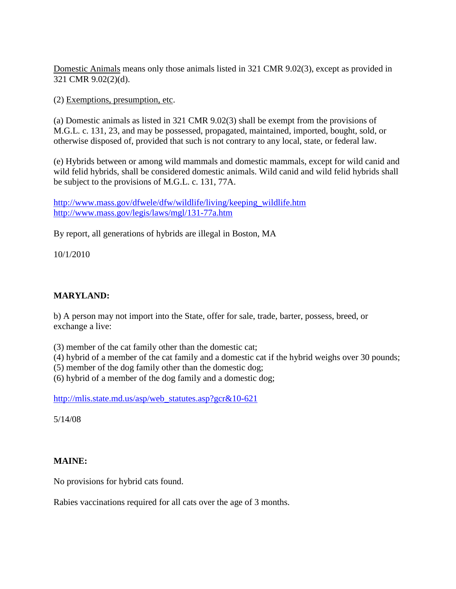Domestic Animals means only those animals listed in 321 CMR 9.02(3), except as provided in 321 CMR 9.02(2)(d).

(2) Exemptions, presumption, etc.

(a) Domestic animals as listed in 321 CMR 9.02(3) shall be exempt from the provisions of M.G.L. c. 131, 23, and may be possessed, propagated, maintained, imported, bought, sold, or otherwise disposed of, provided that such is not contrary to any local, state, or federal law.

(e) Hybrids between or among wild mammals and domestic mammals, except for wild canid and wild felid hybrids, shall be considered domestic animals. Wild canid and wild felid hybrids shall be subject to the provisions of M.G.L. c. 131, 77A.

[http://www.mass.gov/dfwele/dfw/wildlife/living/keeping\\_wildlife.htm](http://www.mass.gov/dfwele/dfw/wildlife/living/keeping_wildlife.htm) <http://www.mass.gov/legis/laws/mgl/131-77a.htm>

By report, all generations of hybrids are illegal in Boston, MA

10/1/2010

# **MARYLAND:**

b) A person may not import into the State, offer for sale, trade, barter, possess, breed, or exchange a live:

(3) member of the cat family other than the domestic cat;

(4) hybrid of a member of the cat family and a domestic cat if the hybrid weighs over 30 pounds;

(5) member of the dog family other than the domestic dog;

(6) hybrid of a member of the dog family and a domestic dog;

[http://mlis.state.md.us/asp/web\\_statutes.asp?gcr&10-621](http://mlis.state.md.us/asp/web_statutes.asp?gcr&10-621)

5/14/08

# **MAINE:**

No provisions for hybrid cats found.

Rabies vaccinations required for all cats over the age of 3 months.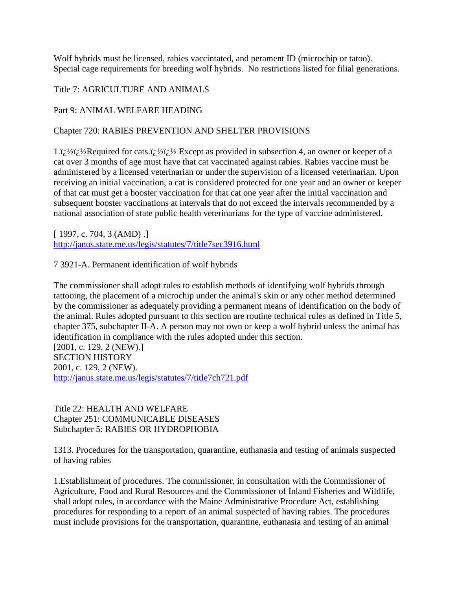Wolf hybrids must be licensed, rabies vaccintated, and perament ID (microchip or tatoo). Special cage requirements for breeding wolf hybrids. No restrictions listed for filial generations.

### Title 7: AGRICULTURE AND ANIMALS

### Part 9: ANIMAL WELFARE HEADING

### Chapter 720: RABIES PREVENTION AND SHELTER PROVISIONS

 $1.ij\frac{1}{2}$  /2 $i\frac{1}{2}$  Except as provided in subsection 4, an owner or keeper of a cat over 3 months of age must have that cat vaccinated against rabies. Rabies vaccine must be administered by a licensed veterinarian or under the supervision of a licensed veterinarian. Upon receiving an initial vaccination, a cat is considered protected for one year and an owner or keeper of that cat must get a booster vaccination for that cat one year after the initial vaccination and subsequent booster vaccinations at intervals that do not exceed the intervals recommended by a national association of state public health veterinarians for the type of vaccine administered.

[ 1997, c. 704, 3 (AMD) .] <http://janus.state.me.us/legis/statutes/7/title7sec3916.html>

7 3921-A. Permanent identification of wolf hybrids

The commissioner shall adopt rules to establish methods of identifying wolf hybrids through tattooing, the placement of a microchip under the animal's skin or any other method determined by the commissioner as adequately providing a permanent means of identification on the body of the animal. Rules adopted pursuant to this section are routine technical rules as defined in Title 5, chapter 375, subchapter II-A. A person may not own or keep a wolf hybrid unless the animal has identification in compliance with the rules adopted under this section. [2001, c. 129, 2 (NEW).] SECTION HISTORY 2001, c. 129, 2 (NEW). <http://janus.state.me.us/legis/statutes/7/title7ch721.pdf>

Title 22: HEALTH AND WELFARE Chapter 251: COMMUNICABLE DISEASES Subchapter 5: RABIES OR HYDROPHOBIA

1313. Procedures for the transportation, quarantine, euthanasia and testing of animals suspected of having rabies

1.Establishment of procedures. The commissioner, in consultation with the Commissioner of Agriculture, Food and Rural Resources and the Commissioner of Inland Fisheries and Wildlife, shall adopt rules, in accordance with the Maine Administrative Procedure Act, establishing procedures for responding to a report of an animal suspected of having rabies. The procedures must include provisions for the transportation, quarantine, euthanasia and testing of an animal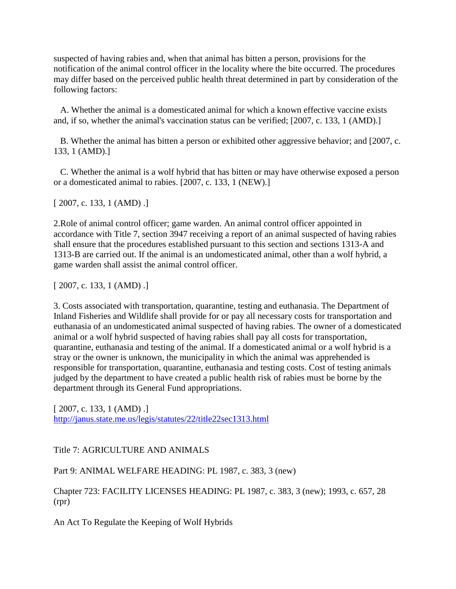suspected of having rabies and, when that animal has bitten a person, provisions for the notification of the animal control officer in the locality where the bite occurred. The procedures may differ based on the perceived public health threat determined in part by consideration of the following factors:

 A. Whether the animal is a domesticated animal for which a known effective vaccine exists and, if so, whether the animal's vaccination status can be verified; [2007, c. 133, 1 (AMD).]

 B. Whether the animal has bitten a person or exhibited other aggressive behavior; and [2007, c. 133, 1 (AMD).]

 C. Whether the animal is a wolf hybrid that has bitten or may have otherwise exposed a person or a domesticated animal to rabies. [2007, c. 133, 1 (NEW).]

[ 2007, c. 133, 1 (AMD) .]

2.Role of animal control officer; game warden. An animal control officer appointed in accordance with Title 7, section 3947 receiving a report of an animal suspected of having rabies shall ensure that the procedures established pursuant to this section and sections 1313-A and 1313-B are carried out. If the animal is an undomesticated animal, other than a wolf hybrid, a game warden shall assist the animal control officer.

 $[2007, c. 133, 1 (AMD).]$ 

3. Costs associated with transportation, quarantine, testing and euthanasia. The Department of Inland Fisheries and Wildlife shall provide for or pay all necessary costs for transportation and euthanasia of an undomesticated animal suspected of having rabies. The owner of a domesticated animal or a wolf hybrid suspected of having rabies shall pay all costs for transportation, quarantine, euthanasia and testing of the animal. If a domesticated animal or a wolf hybrid is a stray or the owner is unknown, the municipality in which the animal was apprehended is responsible for transportation, quarantine, euthanasia and testing costs. Cost of testing animals judged by the department to have created a public health risk of rabies must be borne by the department through its General Fund appropriations.

[ 2007, c. 133, 1 (AMD) .] <http://janus.state.me.us/legis/statutes/22/title22sec1313.html>

Title 7: AGRICULTURE AND ANIMALS

Part 9: ANIMAL WELFARE HEADING: PL 1987, c. 383, 3 (new)

Chapter 723: FACILITY LICENSES HEADING: PL 1987, c. 383, 3 (new); 1993, c. 657, 28 (rpr)

An Act To Regulate the Keeping of Wolf Hybrids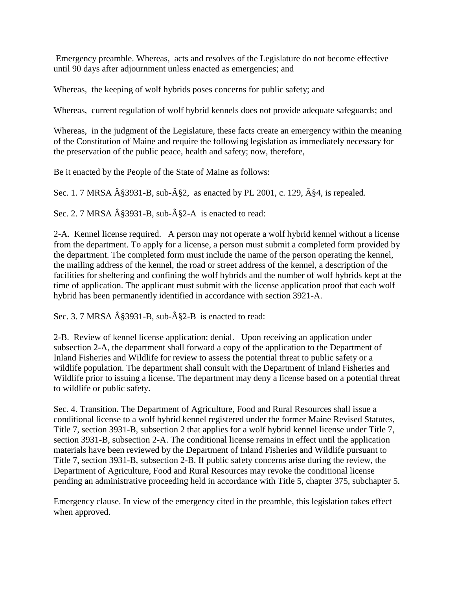Emergency preamble. Whereas, acts and resolves of the Legislature do not become effective until 90 days after adjournment unless enacted as emergencies; and

Whereas, the keeping of wolf hybrids poses concerns for public safety; and

Whereas, current regulation of wolf hybrid kennels does not provide adequate safeguards; and

Whereas, in the judgment of the Legislature, these facts create an emergency within the meaning of the Constitution of Maine and require the following legislation as immediately necessary for the preservation of the public peace, health and safety; now, therefore,

Be it enacted by the People of the State of Maine as follows:

Sec. 1. 7 MRSA  $\hat{A}$ §3931-B, sub- $\hat{A}$ §2, as enacted by PL 2001, c. 129,  $\hat{A}$ §4, is repealed.

Sec. 2. 7 MRSA  $\hat{A}\$ \$3931-B, sub- $\hat{A}\$ \$2-A is enacted to read:

2-A. Kennel license required. A person may not operate a wolf hybrid kennel without a license from the department. To apply for a license, a person must submit a completed form provided by the department. The completed form must include the name of the person operating the kennel, the mailing address of the kennel, the road or street address of the kennel, a description of the facilities for sheltering and confining the wolf hybrids and the number of wolf hybrids kept at the time of application. The applicant must submit with the license application proof that each wolf hybrid has been permanently identified in accordance with section 3921-A.

Sec. 3. 7 MRSA  $\hat{A}\$  3931-B, sub- $\hat{A}\$   $\}$  as enacted to read:

2-B. Review of kennel license application; denial. Upon receiving an application under subsection 2-A, the department shall forward a copy of the application to the Department of Inland Fisheries and Wildlife for review to assess the potential threat to public safety or a wildlife population. The department shall consult with the Department of Inland Fisheries and Wildlife prior to issuing a license. The department may deny a license based on a potential threat to wildlife or public safety.

Sec. 4. Transition. The Department of Agriculture, Food and Rural Resources shall issue a conditional license to a wolf hybrid kennel registered under the former Maine Revised Statutes, Title 7, section 3931-B, subsection 2 that applies for a wolf hybrid kennel license under Title 7, section 3931-B, subsection 2-A. The conditional license remains in effect until the application materials have been reviewed by the Department of Inland Fisheries and Wildlife pursuant to Title 7, section 3931-B, subsection 2-B. If public safety concerns arise during the review, the Department of Agriculture, Food and Rural Resources may revoke the conditional license pending an administrative proceeding held in accordance with Title 5, chapter 375, subchapter 5.

Emergency clause. In view of the emergency cited in the preamble, this legislation takes effect when approved.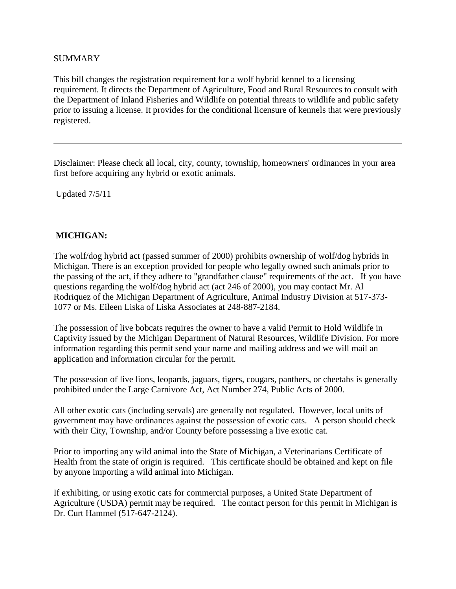### SUMMARY

This bill changes the registration requirement for a wolf hybrid kennel to a licensing requirement. It directs the Department of Agriculture, Food and Rural Resources to consult with the Department of Inland Fisheries and Wildlife on potential threats to wildlife and public safety prior to issuing a license. It provides for the conditional licensure of kennels that were previously registered.

Disclaimer: Please check all local, city, county, township, homeowners' ordinances in your area first before acquiring any hybrid or exotic animals.

Updated 7/5/11

# **MICHIGAN:**

The wolf/dog hybrid act (passed summer of 2000) prohibits ownership of wolf/dog hybrids in Michigan. There is an exception provided for people who legally owned such animals prior to the passing of the act, if they adhere to "grandfather clause" requirements of the act. If you have questions regarding the wolf/dog hybrid act (act 246 of 2000), you may contact Mr. Al Rodriquez of the Michigan Department of Agriculture, Animal Industry Division at 517-373- 1077 or Ms. Eileen Liska of Liska Associates at 248-887-2184.

The possession of live bobcats requires the owner to have a valid Permit to Hold Wildlife in Captivity issued by the Michigan Department of Natural Resources, Wildlife Division. For more information regarding this permit send your name and mailing address and we will mail an application and information circular for the permit.

The possession of live lions, leopards, jaguars, tigers, cougars, panthers, or cheetahs is generally prohibited under the Large Carnivore Act, Act Number 274, Public Acts of 2000.

All other exotic cats (including servals) are generally not regulated. However, local units of government may have ordinances against the possession of exotic cats. A person should check with their City, Township, and/or County before possessing a live exotic cat.

Prior to importing any wild animal into the State of Michigan, a Veterinarians Certificate of Health from the state of origin is required. This certificate should be obtained and kept on file by anyone importing a wild animal into Michigan.

If exhibiting, or using exotic cats for commercial purposes, a United State Department of Agriculture (USDA) permit may be required. The contact person for this permit in Michigan is Dr. Curt Hammel (517-647-2124).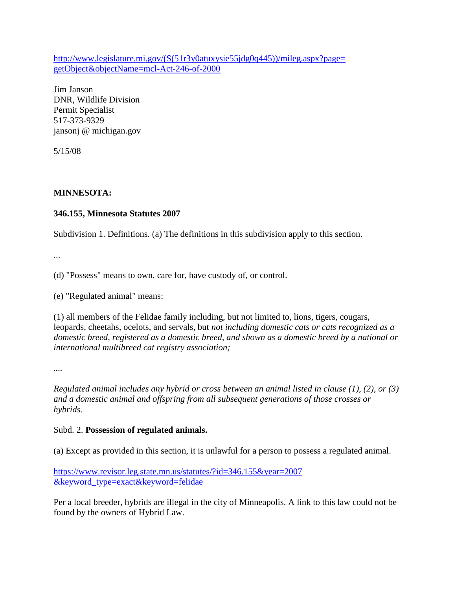[http://www.legislature.mi.gov/\(S\(51r3y0atuxysie55jdg0q445\)\)/mileg.aspx?page=](http://www.legislature.mi.gov/%28S%2851r3y0atuxysie55jdg0q445%29%29/mileg.aspx?page=getObject&objectName=mcl-Act-246-of-2000) [getObject&objectName=mcl-Act-246-of-2000](http://www.legislature.mi.gov/%28S%2851r3y0atuxysie55jdg0q445%29%29/mileg.aspx?page=getObject&objectName=mcl-Act-246-of-2000)

Jim Janson DNR, Wildlife Division Permit Specialist 517-373-9329 jansonj @ michigan.gov

5/15/08

# **MINNESOTA:**

# **346.155, Minnesota Statutes 2007**

Subdivision 1. Definitions. (a) The definitions in this subdivision apply to this section.

...

(d) "Possess" means to own, care for, have custody of, or control.

(e) "Regulated animal" means:

(1) all members of the Felidae family including, but not limited to, lions, tigers, cougars, leopards, cheetahs, ocelots, and servals, but *not including domestic cats or cats recognized as a domestic breed, registered as a domestic breed, and shown as a domestic breed by a national or international multibreed cat registry association;*

*....*

*Regulated animal includes any hybrid or cross between an animal listed in clause (1), (2), or (3) and a domestic animal and offspring from all subsequent generations of those crosses or hybrids.*

### Subd. 2. **Possession of regulated animals.**

(a) Except as provided in this section, it is unlawful for a person to possess a regulated animal.

[https://www.revisor.leg.state.mn.us/statutes/?id=346.155&year=2007](http://www.animallaw.info/statutes/stusmnst346_01_347_56.htm) [&keyword\\_type=exact&keyword=felidae](http://www.animallaw.info/statutes/stusmnst346_01_347_56.htm)

Per a local breeder, hybrids are illegal in the city of Minneapolis. A link to this law could not be found by the owners of Hybrid Law.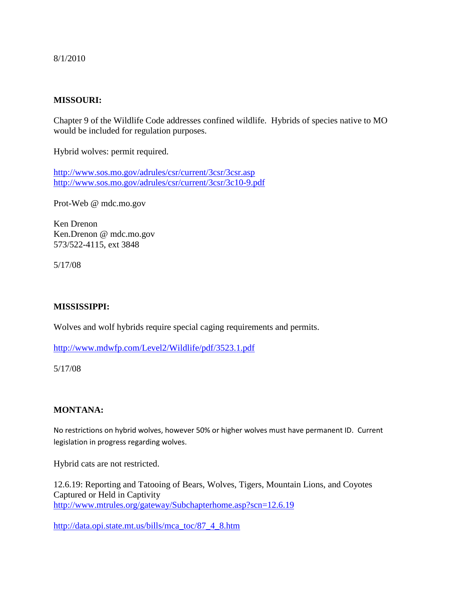8/1/2010

### **MISSOURI:**

Chapter 9 of the Wildlife Code addresses confined wildlife. Hybrids of species native to MO would be included for regulation purposes.

Hybrid wolves: permit required.

<http://www.sos.mo.gov/adrules/csr/current/3csr/3csr.asp> <http://www.sos.mo.gov/adrules/csr/current/3csr/3c10-9.pdf>

Prot-Web @ mdc.mo.gov

Ken Drenon Ken.Drenon @ mdc.mo.gov 573/522-4115, ext 3848

5/17/08

### **MISSISSIPPI:**

Wolves and wolf hybrids require special caging requirements and permits.

<http://www.mdwfp.com/Level2/Wildlife/pdf/3523.1.pdf>

5/17/08

### **MONTANA:**

No restrictions on hybrid wolves, however 50% or higher wolves must have permanent ID. Current legislation in progress regarding wolves.

Hybrid cats are not restricted.

12.6.19: Reporting and Tatooing of Bears, Wolves, Tigers, Mountain Lions, and Coyotes Captured or Held in Captivity <http://www.mtrules.org/gateway/Subchapterhome.asp?scn=12.6.19>

[http://data.opi.state.mt.us/bills/mca\\_toc/87\\_4\\_8.htm](http://data.opi.state.mt.us/bills/mca_toc/87_4_8.htm)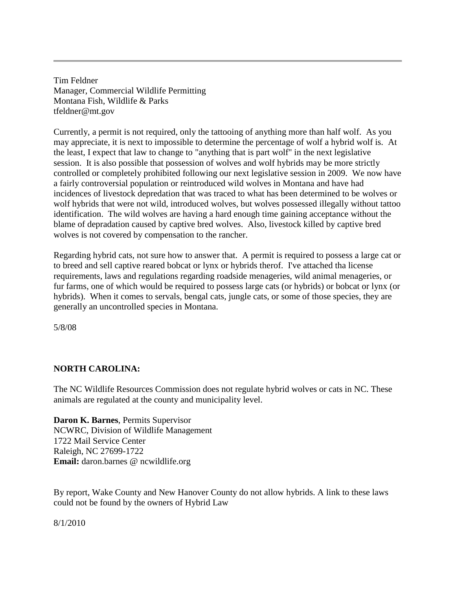Tim Feldner Manager, Commercial Wildlife Permitting Montana Fish, Wildlife & Parks tfeldner@mt.gov

Currently, a permit is not required, only the tattooing of anything more than half wolf. As you may appreciate, it is next to impossible to determine the percentage of wolf a hybrid wolf is. At the least, I expect that law to change to "anything that is part wolf" in the next legislative session. It is also possible that possession of wolves and wolf hybrids may be more strictly controlled or completely prohibited following our next legislative session in 2009. We now have a fairly controversial population or reintroduced wild wolves in Montana and have had incidences of livestock depredation that was traced to what has been determined to be wolves or wolf hybrids that were not wild, introduced wolves, but wolves possessed illegally without tattoo identification. The wild wolves are having a hard enough time gaining acceptance without the blame of depradation caused by captive bred wolves. Also, livestock killed by captive bred wolves is not covered by compensation to the rancher.

Regarding hybrid cats, not sure how to answer that. A permit is required to possess a large cat or to breed and sell captive reared bobcat or lynx or hybrids therof. I've attached tha license requirements, laws and regulations regarding roadside menageries, wild animal menageries, or fur farms, one of which would be required to possess large cats (or hybrids) or bobcat or lynx (or hybrids). When it comes to servals, bengal cats, jungle cats, or some of those species, they are generally an uncontrolled species in Montana.

5/8/08

# **NORTH CAROLINA:**

The NC Wildlife Resources Commission does not regulate hybrid wolves or cats in NC. These animals are regulated at the county and municipality level.

**Daron K. Barnes**, Permits Supervisor NCWRC, Division of Wildlife Management 1722 Mail Service Center Raleigh, NC 27699-1722 **Email:** daron.barnes @ ncwildlife.org

By report, Wake County and New Hanover County do not allow hybrids. A link to these laws could not be found by the owners of Hybrid Law

8/1/2010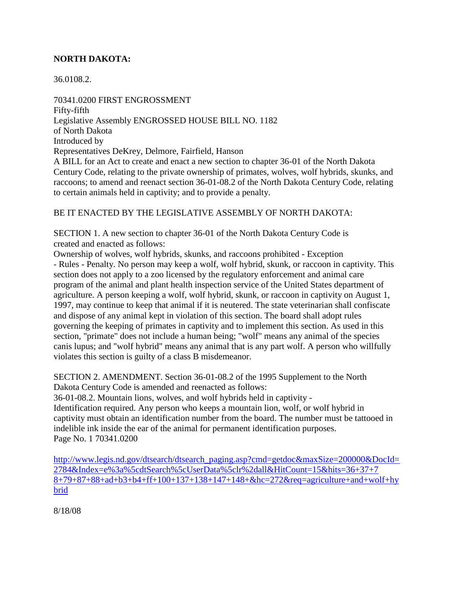# **NORTH DAKOTA:**

36.0108.2.

70341.0200 FIRST ENGROSSMENT Fifty-fifth Legislative Assembly ENGROSSED HOUSE BILL NO. 1182 of North Dakota Introduced by Representatives DeKrey, Delmore, Fairfield, Hanson A BILL for an Act to create and enact a new section to chapter 36-01 of the North Dakota Century Code, relating to the private ownership of primates, wolves, wolf hybrids, skunks, and raccoons; to amend and reenact section 36-01-08.2 of the North Dakota Century Code, relating to certain animals held in captivity; and to provide a penalty.

### BE IT ENACTED BY THE LEGISLATIVE ASSEMBLY OF NORTH DAKOTA:

SECTION 1. A new section to chapter 36-01 of the North Dakota Century Code is created and enacted as follows:

Ownership of wolves, wolf hybrids, skunks, and raccoons prohibited - Exception - Rules - Penalty. No person may keep a wolf, wolf hybrid, skunk, or raccoon in captivity. This section does not apply to a zoo licensed by the regulatory enforcement and animal care program of the animal and plant health inspection service of the United States department of agriculture. A person keeping a wolf, wolf hybrid, skunk, or raccoon in captivity on August 1, 1997, may continue to keep that animal if it is neutered. The state veterinarian shall confiscate and dispose of any animal kept in violation of this section. The board shall adopt rules governing the keeping of primates in captivity and to implement this section. As used in this section, "primate" does not include a human being; "wolf" means any animal of the species canis lupus; and "wolf hybrid" means any animal that is any part wolf. A person who willfully violates this section is guilty of a class B misdemeanor.

SECTION 2. AMENDMENT. Section 36-01-08.2 of the 1995 Supplement to the North Dakota Century Code is amended and reenacted as follows:

36-01-08.2. Mountain lions, wolves, and wolf hybrids held in captivity -

Identification required. Any person who keeps a mountain lion, wolf, or wolf hybrid in captivity must obtain an identification number from the board. The number must be tattooed in indelible ink inside the ear of the animal for permanent identification purposes. Page No. 1 70341.0200

[http://www.legis.nd.gov/dtsearch/dtsearch\\_paging.asp?cmd=getdoc&maxSize=200000&DocId=](http://www.legis.nd.gov/dtsearch/dtsearch_paging.asp?cmd=getdoc&maxSize=200000&DocId=2784&Index=e:%5CdtSearch%5CUserData%5Clr-all&HitCount=15&hits=36+37+78+79+87+88+ad+b3+b4+ff+100+137+138+147+148+&hc=272&req=agriculture+and+wolf+hybrid) [2784&Index=e%3a%5cdtSearch%5cUserData%5clr%2dall&HitCount=15&hits=36+37+7](http://www.legis.nd.gov/dtsearch/dtsearch_paging.asp?cmd=getdoc&maxSize=200000&DocId=2784&Index=e:%5CdtSearch%5CUserData%5Clr-all&HitCount=15&hits=36+37+78+79+87+88+ad+b3+b4+ff+100+137+138+147+148+&hc=272&req=agriculture+and+wolf+hybrid) [8+79+87+88+ad+b3+b4+ff+100+137+138+147+148+&hc=272&req=agriculture+and+wolf+hy](http://www.legis.nd.gov/dtsearch/dtsearch_paging.asp?cmd=getdoc&maxSize=200000&DocId=2784&Index=e:%5CdtSearch%5CUserData%5Clr-all&HitCount=15&hits=36+37+78+79+87+88+ad+b3+b4+ff+100+137+138+147+148+&hc=272&req=agriculture+and+wolf+hybrid) [brid](http://www.legis.nd.gov/dtsearch/dtsearch_paging.asp?cmd=getdoc&maxSize=200000&DocId=2784&Index=e:%5CdtSearch%5CUserData%5Clr-all&HitCount=15&hits=36+37+78+79+87+88+ad+b3+b4+ff+100+137+138+147+148+&hc=272&req=agriculture+and+wolf+hybrid)

8/18/08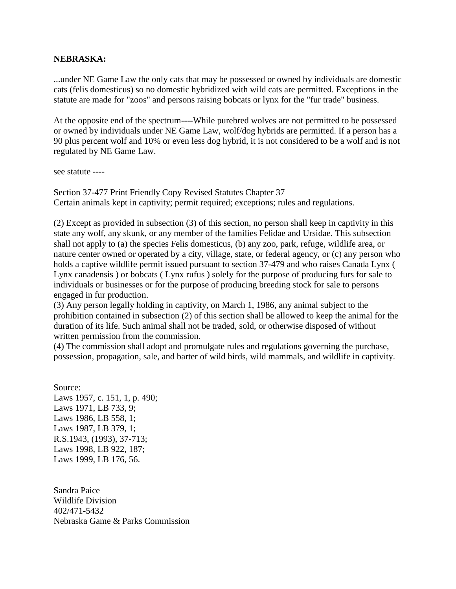### **NEBRASKA:**

...under NE Game Law the only cats that may be possessed or owned by individuals are domestic cats (felis domesticus) so no domestic hybridized with wild cats are permitted. Exceptions in the statute are made for "zoos" and persons raising bobcats or lynx for the "fur trade" business.

At the opposite end of the spectrum----While purebred wolves are not permitted to be possessed or owned by individuals under NE Game Law, wolf/dog hybrids are permitted. If a person has a 90 plus percent wolf and 10% or even less dog hybrid, it is not considered to be a wolf and is not regulated by NE Game Law.

see statute ----

Section 37-477 Print Friendly Copy Revised Statutes Chapter 37 Certain animals kept in captivity; permit required; exceptions; rules and regulations.

(2) Except as provided in subsection (3) of this section, no person shall keep in captivity in this state any wolf, any skunk, or any member of the families Felidae and Ursidae. This subsection shall not apply to (a) the species Felis domesticus, (b) any zoo, park, refuge, wildlife area, or nature center owned or operated by a city, village, state, or federal agency, or (c) any person who holds a captive wildlife permit issued pursuant to section 37-479 and who raises Canada Lynx ( Lynx canadensis ) or bobcats ( Lynx rufus ) solely for the purpose of producing furs for sale to individuals or businesses or for the purpose of producing breeding stock for sale to persons engaged in fur production.

(3) Any person legally holding in captivity, on March 1, 1986, any animal subject to the prohibition contained in subsection (2) of this section shall be allowed to keep the animal for the duration of its life. Such animal shall not be traded, sold, or otherwise disposed of without written permission from the commission.

(4) The commission shall adopt and promulgate rules and regulations governing the purchase, possession, propagation, sale, and barter of wild birds, wild mammals, and wildlife in captivity.

Source: Laws 1957, c. 151, 1, p. 490; Laws 1971, LB 733, 9; Laws 1986, LB 558, 1; Laws 1987, LB 379, 1; R.S.1943, (1993), 37-713; Laws 1998, LB 922, 187; Laws 1999, LB 176, 56.

Sandra Paice Wildlife Division 402/471-5432 Nebraska Game & Parks Commission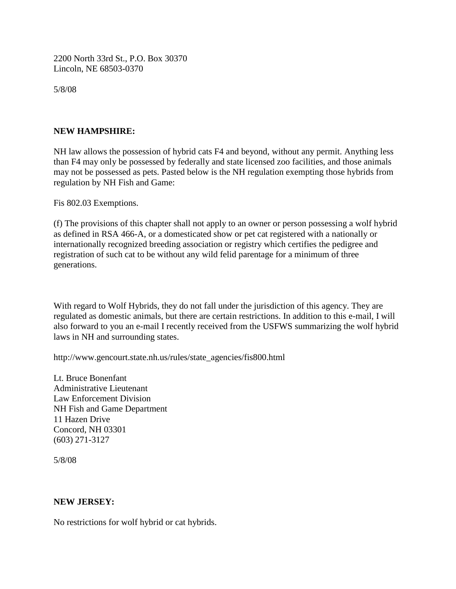2200 North 33rd St., P.O. Box 30370 Lincoln, NE 68503-0370

5/8/08

### **NEW HAMPSHIRE:**

NH law allows the possession of hybrid cats F4 and beyond, without any permit. Anything less than F4 may only be possessed by federally and state licensed zoo facilities, and those animals may not be possessed as pets. Pasted below is the NH regulation exempting those hybrids from regulation by NH Fish and Game:

Fis 802.03 Exemptions.

(f) The provisions of this chapter shall not apply to an owner or person possessing a wolf hybrid as defined in RSA 466-A, or a domesticated show or pet cat registered with a nationally or internationally recognized breeding association or registry which certifies the pedigree and registration of such cat to be without any wild felid parentage for a minimum of three generations.

With regard to Wolf Hybrids, they do not fall under the jurisdiction of this agency. They are regulated as domestic animals, but there are certain restrictions. In addition to this e-mail, I will also forward to you an e-mail I recently received from the USFWS summarizing the wolf hybrid laws in NH and surrounding states.

http://www.gencourt.state.nh.us/rules/state\_agencies/fis800.html

Lt. Bruce Bonenfant Administrative Lieutenant Law Enforcement Division NH Fish and Game Department 11 Hazen Drive Concord, NH 03301 (603) 271-3127

5/8/08

### **NEW JERSEY:**

No restrictions for wolf hybrid or cat hybrids.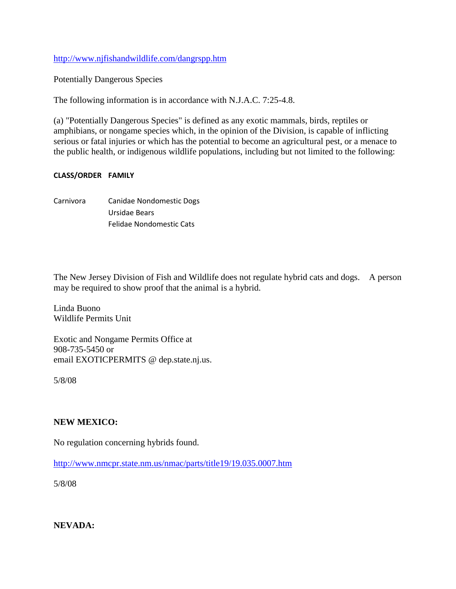<http://www.njfishandwildlife.com/dangrspp.htm>

Potentially Dangerous Species

The following information is in accordance with N.J.A.C. 7:25-4.8.

(a) "Potentially Dangerous Species" is defined as any exotic mammals, birds, reptiles or amphibians, or nongame species which, in the opinion of the Division, is capable of inflicting serious or fatal injuries or which has the potential to become an agricultural pest, or a menace to the public health, or indigenous wildlife populations, including but not limited to the following:

#### **CLASS/ORDER FAMILY**

Carnivora Canidae Nondomestic Dogs Ursidae Bears Felidae Nondomestic Cats

The New Jersey Division of Fish and Wildlife does not regulate hybrid cats and dogs. A person may be required to show proof that the animal is a hybrid.

Linda Buono Wildlife Permits Unit

Exotic and Nongame Permits Office at 908-735-5450 or email EXOTICPERMITS @ dep.state.nj.us.

5/8/08

### **NEW MEXICO:**

No regulation concerning hybrids found.

<http://www.nmcpr.state.nm.us/nmac/parts/title19/19.035.0007.htm>

5/8/08

**NEVADA:**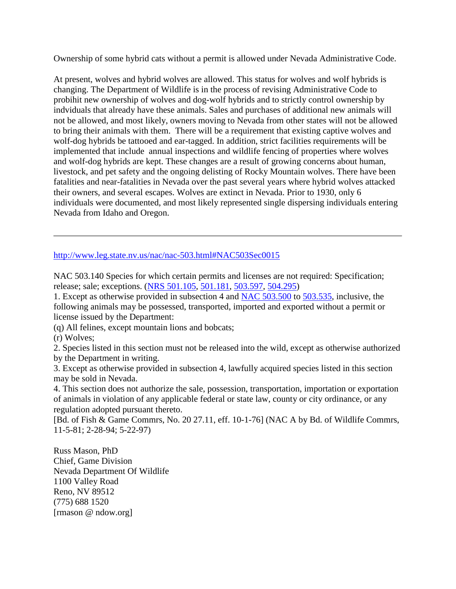Ownership of some hybrid cats without a permit is allowed under Nevada Administrative Code.

At present, wolves and hybrid wolves are allowed. This status for wolves and wolf hybrids is changing. The Department of Wildlife is in the process of revising Administrative Code to probihit new ownership of wolves and dog-wolf hybrids and to strictly control ownership by indviduals that already have these animals. Sales and purchases of additional new animals will not be allowed, and most likely, owners moving to Nevada from other states will not be allowed to bring their animals with them. There will be a requirement that existing captive wolves and wolf-dog hybrids be tattooed and ear-tagged. In addition, strict facilities requirements will be implemented that include annual inspections and wildlife fencing of properties where wolves and wolf-dog hybrids are kept. These changes are a result of growing concerns about human, livestock, and pet safety and the ongoing delisting of Rocky Mountain wolves. There have been fatalities and near-fatalities in Nevada over the past several years where hybrid wolves attacked their owners, and several escapes. Wolves are extinct in Nevada. Prior to 1930, only 6 individuals were documented, and most likely represented single dispersing individuals entering Nevada from Idaho and Oregon.

<http://www.leg.state.nv.us/nac/nac-503.html#NAC503Sec0015>

NAC 503.140 Species for which certain permits and licenses are not required: Specification; release; sale; exceptions. [\(NRS 501.105,](http://www.leg.state.nv.us/NRS/NRS-501.html#NRS501Sec105) [501.181,](http://www.leg.state.nv.us/NRS/NRS-501.html#NRS501Sec181) [503.597,](http://www.leg.state.nv.us/NRS/NRS-503.html#NRS503Sec597) [504.295\)](http://www.leg.state.nv.us/NRS/NRS-504.html#NRS504Sec295)

1. Except as otherwise provided in subsection 4 and [NAC 503.500](http://www.leg.state.nv.us/nac/NAC-503.html#NAC503Sec500) to [503.535,](http://www.leg.state.nv.us/nac/NAC-503.html#NAC503Sec535) inclusive, the following animals may be possessed, transported, imported and exported without a permit or license issued by the Department:

(q) All felines, except mountain lions and bobcats;

(r) Wolves;

2. Species listed in this section must not be released into the wild, except as otherwise authorized by the Department in writing.

3. Except as otherwise provided in subsection 4, lawfully acquired species listed in this section may be sold in Nevada.

4. This section does not authorize the sale, possession, transportation, importation or exportation of animals in violation of any applicable federal or state law, county or city ordinance, or any regulation adopted pursuant thereto.

[Bd. of Fish & Game Commrs, No. 20 27.11, eff. 10-1-76] (NAC A by Bd. of Wildlife Commrs, 11-5-81; 2-28-94; 5-22-97)

Russ Mason, PhD Chief, Game Division Nevada Department Of Wildlife 1100 Valley Road Reno, NV 89512 (775) 688 1520 [rmason @ ndow.org]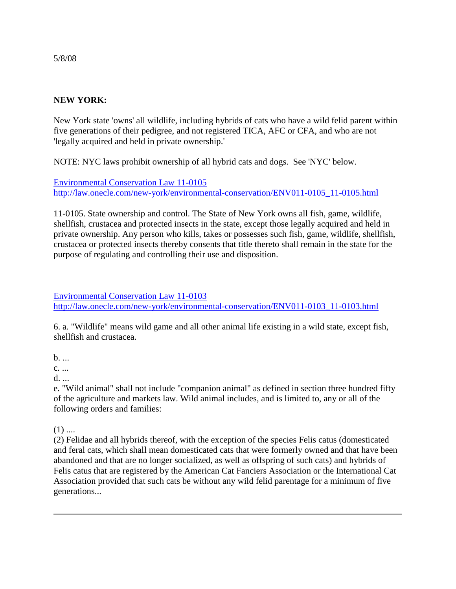## **NEW YORK:**

New York state 'owns' all wildlife, including hybrids of cats who have a wild felid parent within five generations of their pedigree, and not registered TICA, AFC or CFA, and who are not 'legally acquired and held in private ownership.'

NOTE: NYC laws prohibit ownership of all hybrid cats and dogs. See 'NYC' below.

[Environmental Conservation Law 11-0105](http://law.onecle.com/new-york/environmental-conservation/ENV011-0105_11-0105.html) [http://law.onecle.com/new-york/environmental-conservation/ENV011-0105\\_11-0105.html](http://law.onecle.com/new-york/environmental-conservation/ENV011-0105_11-0105.html)

11-0105. State ownership and control. The State of New York owns all fish, game, wildlife, shellfish, crustacea and protected insects in the state, except those legally acquired and held in private ownership. Any person who kills, takes or possesses such fish, game, wildlife, shellfish, crustacea or protected insects thereby consents that title thereto shall remain in the state for the purpose of regulating and controlling their use and disposition.

[Environmental Conservation Law 11-0103](http://law.onecle.com/new-york/environmental-conservation/ENV011-0103_11-0103.html) [http://law.onecle.com/new-york/environmental-conservation/ENV011-0103\\_11-0103.html](http://law.onecle.com/new-york/environmental-conservation/ENV011-0103_11-0103.html)

6. a. "Wildlife" means wild game and all other animal life existing in a wild state, except fish, shellfish and crustacea.

 $h$ . ...

c. ...

d. ...

e. "Wild animal" shall not include "companion animal" as defined in section three hundred fifty of the agriculture and markets law. Wild animal includes, and is limited to, any or all of the following orders and families:

 $(1)$  ....

(2) Felidae and all hybrids thereof, with the exception of the species Felis catus (domesticated and feral cats, which shall mean domesticated cats that were formerly owned and that have been abandoned and that are no longer socialized, as well as offspring of such cats) and hybrids of Felis catus that are registered by the American Cat Fanciers Association or the International Cat Association provided that such cats be without any wild felid parentage for a minimum of five generations...

5/8/08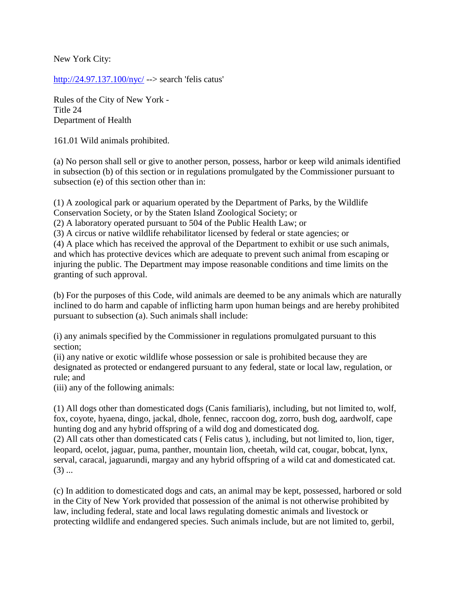New York City:

<http://24.97.137.100/nyc/> --> search 'felis catus'

Rules of the City of New York - Title 24 Department of Health

161.01 Wild animals prohibited.

(a) No person shall sell or give to another person, possess, harbor or keep wild animals identified in subsection (b) of this section or in regulations promulgated by the Commissioner pursuant to subsection (e) of this section other than in:

(1) A zoological park or aquarium operated by the Department of Parks, by the Wildlife Conservation Society, or by the Staten Island Zoological Society; or

(2) A laboratory operated pursuant to 504 of the Public Health Law; or

(3) A circus or native wildlife rehabilitator licensed by federal or state agencies; or

(4) A place which has received the approval of the Department to exhibit or use such animals, and which has protective devices which are adequate to prevent such animal from escaping or injuring the public. The Department may impose reasonable conditions and time limits on the granting of such approval.

(b) For the purposes of this Code, wild animals are deemed to be any animals which are naturally inclined to do harm and capable of inflicting harm upon human beings and are hereby prohibited pursuant to subsection (a). Such animals shall include:

(i) any animals specified by the Commissioner in regulations promulgated pursuant to this section;

(ii) any native or exotic wildlife whose possession or sale is prohibited because they are designated as protected or endangered pursuant to any federal, state or local law, regulation, or rule; and

(iii) any of the following animals:

(1) All dogs other than domesticated dogs (Canis familiaris), including, but not limited to, wolf, fox, coyote, hyaena, dingo, jackal, dhole, fennec, raccoon dog, zorro, bush dog, aardwolf, cape hunting dog and any hybrid offspring of a wild dog and domesticated dog.

(2) All cats other than domesticated cats ( Felis catus ), including, but not limited to, lion, tiger, leopard, ocelot, jaguar, puma, panther, mountain lion, cheetah, wild cat, cougar, bobcat, lynx, serval, caracal, jaguarundi, margay and any hybrid offspring of a wild cat and domesticated cat.  $(3)$  ...

(c) In addition to domesticated dogs and cats, an animal may be kept, possessed, harbored or sold in the City of New York provided that possession of the animal is not otherwise prohibited by law, including federal, state and local laws regulating domestic animals and livestock or protecting wildlife and endangered species. Such animals include, but are not limited to, gerbil,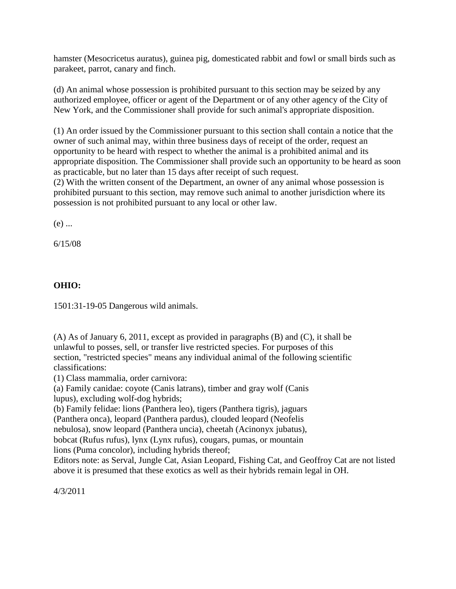hamster (Mesocricetus auratus), guinea pig, domesticated rabbit and fowl or small birds such as parakeet, parrot, canary and finch.

(d) An animal whose possession is prohibited pursuant to this section may be seized by any authorized employee, officer or agent of the Department or of any other agency of the City of New York, and the Commissioner shall provide for such animal's appropriate disposition.

(1) An order issued by the Commissioner pursuant to this section shall contain a notice that the owner of such animal may, within three business days of receipt of the order, request an opportunity to be heard with respect to whether the animal is a prohibited animal and its appropriate disposition. The Commissioner shall provide such an opportunity to be heard as soon as practicable, but no later than 15 days after receipt of such request.

(2) With the written consent of the Department, an owner of any animal whose possession is prohibited pursuant to this section, may remove such animal to another jurisdiction where its possession is not prohibited pursuant to any local or other law.

 $(e)$  ...

6/15/08

## **OHIO:**

1501:31-19-05 Dangerous wild animals.

(A) As of January 6, 2011, except as provided in paragraphs (B) and (C), it shall be unlawful to posses, sell, or transfer live restricted species. For purposes of this section, "restricted species" means any individual animal of the following scientific classifications:

(1) Class mammalia, order carnivora:

(a) Family canidae: coyote (Canis latrans), timber and gray wolf (Canis lupus), excluding wolf-dog hybrids;

(b) Family felidae: lions (Panthera leo), tigers (Panthera tigris), jaguars (Panthera onca), leopard (Panthera pardus), clouded leopard (Neofelis

nebulosa), snow leopard (Panthera uncia), cheetah (Acinonyx jubatus),

bobcat (Rufus rufus), lynx (Lynx rufus), cougars, pumas, or mountain

lions (Puma concolor), including hybrids thereof;

Editors note: as Serval, Jungle Cat, Asian Leopard, Fishing Cat, and Geoffroy Cat are not listed above it is presumed that these exotics as well as their hybrids remain legal in OH.

4/3/2011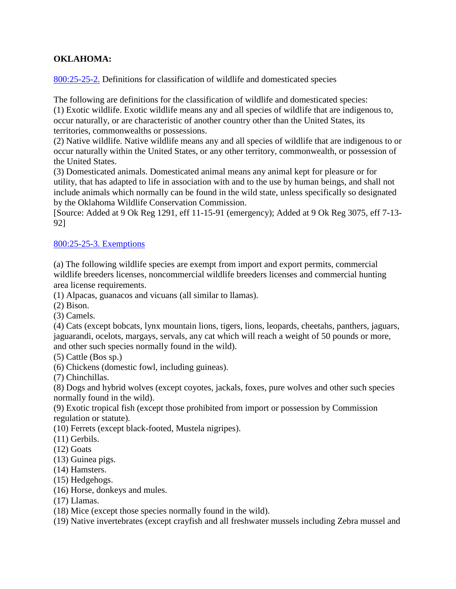## **OKLAHOMA:**

[800:25-25-2.](http://www.oar.state.ok.us/viewhtml/800_25-25-2.htm) Definitions for classification of wildlife and domesticated species

The following are definitions for the classification of wildlife and domesticated species: (1) Exotic wildlife. Exotic wildlife means any and all species of wildlife that are indigenous to, occur naturally, or are characteristic of another country other than the United States, its territories, commonwealths or possessions.

(2) Native wildlife. Native wildlife means any and all species of wildlife that are indigenous to or occur naturally within the United States, or any other territory, commonwealth, or possession of the United States.

(3) Domesticated animals. Domesticated animal means any animal kept for pleasure or for utility, that has adapted to life in association with and to the use by human beings, and shall not include animals which normally can be found in the wild state, unless specifically so designated by the Oklahoma Wildlife Conservation Commission.

[Source: Added at 9 Ok Reg 1291, eff 11-15-91 (emergency); Added at 9 Ok Reg 3075, eff 7-13- 92]

#### [800:25-25-3. Exemptions](http://www.oar.state.ok.us/viewhtml/800_25-25-3.htm)

(a) The following wildlife species are exempt from import and export permits, commercial wildlife breeders licenses, noncommercial wildlife breeders licenses and commercial hunting area license requirements.

(1) Alpacas, guanacos and vicuans (all similar to llamas).

(2) Bison.

(3) Camels.

(4) Cats (except bobcats, lynx mountain lions, tigers, lions, leopards, cheetahs, panthers, jaguars, jaguarandi, ocelots, margays, servals, any cat which will reach a weight of 50 pounds or more, and other such species normally found in the wild).

(5) Cattle (Bos sp.)

(6) Chickens (domestic fowl, including guineas).

(7) Chinchillas.

(8) Dogs and hybrid wolves (except coyotes, jackals, foxes, pure wolves and other such species normally found in the wild).

(9) Exotic tropical fish (except those prohibited from import or possession by Commission regulation or statute).

(10) Ferrets (except black-footed, Mustela nigripes).

(11) Gerbils.

(12) Goats

(13) Guinea pigs.

(14) Hamsters.

- (15) Hedgehogs.
- (16) Horse, donkeys and mules.

(17) Llamas.

(18) Mice (except those species normally found in the wild).

(19) Native invertebrates (except crayfish and all freshwater mussels including Zebra mussel and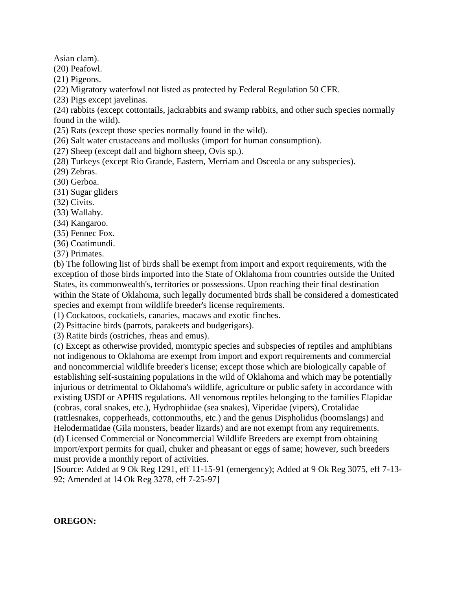Asian clam).

(20) Peafowl.

(21) Pigeons.

(22) Migratory waterfowl not listed as protected by Federal Regulation 50 CFR.

(23) Pigs except javelinas.

(24) rabbits (except cottontails, jackrabbits and swamp rabbits, and other such species normally found in the wild).

(25) Rats (except those species normally found in the wild).

(26) Salt water crustaceans and mollusks (import for human consumption).

(27) Sheep (except dall and bighorn sheep, Ovis sp.).

(28) Turkeys (except Rio Grande, Eastern, Merriam and Osceola or any subspecies).

(29) Zebras.

(30) Gerboa.

(31) Sugar gliders

(32) Civits.

(33) Wallaby.

(34) Kangaroo.

(35) Fennec Fox.

(36) Coatimundi.

(37) Primates.

(b) The following list of birds shall be exempt from import and export requirements, with the exception of those birds imported into the State of Oklahoma from countries outside the United States, its commonwealth's, territories or possessions. Upon reaching their final destination within the State of Oklahoma, such legally documented birds shall be considered a domesticated species and exempt from wildlife breeder's license requirements.

(1) Cockatoos, cockatiels, canaries, macaws and exotic finches.

(2) Psittacine birds (parrots, parakeets and budgerigars).

(3) Ratite birds (ostriches, rheas and emus).

(c) Except as otherwise provided, momtypic species and subspecies of reptiles and amphibians not indigenous to Oklahoma are exempt from import and export requirements and commercial and noncommercial wildlife breeder's license; except those which are biologically capable of establishing self-sustaining populations in the wild of Oklahoma and which may be potentially injurious or detrimental to Oklahoma's wildlife, agriculture or public safety in accordance with existing USDI or APHIS regulations. All venomous reptiles belonging to the families Elapidae (cobras, coral snakes, etc.), Hydrophiidae (sea snakes), Viperidae (vipers), Crotalidae (rattlesnakes, copperheads, cottonmouths, etc.) and the genus Dispholidus (boomslangs) and Helodermatidae (Gila monsters, beader lizards) and are not exempt from any requirements. (d) Licensed Commercial or Noncommercial Wildlife Breeders are exempt from obtaining import/export permits for quail, chuker and pheasant or eggs of same; however, such breeders must provide a monthly report of activities.

[Source: Added at 9 Ok Reg 1291, eff 11-15-91 (emergency); Added at 9 Ok Reg 3075, eff 7-13- 92; Amended at 14 Ok Reg 3278, eff 7-25-97]

**OREGON:**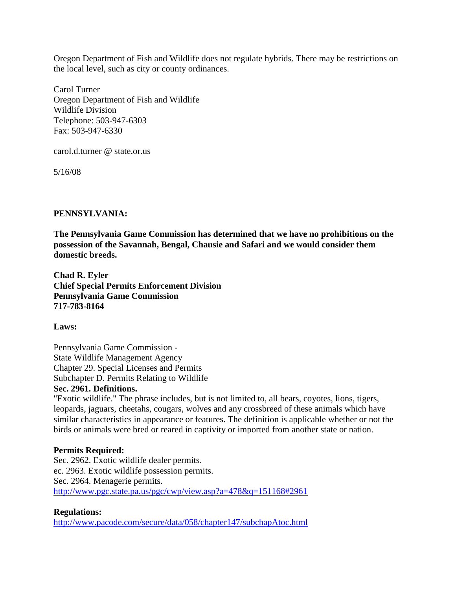Oregon Department of Fish and Wildlife does not regulate hybrids. There may be restrictions on the local level, such as city or county ordinances.

Carol Turner Oregon Department of Fish and Wildlife Wildlife Division Telephone: 503-947-6303 Fax: 503-947-6330

carol.d.turner @ state.or.us

5/16/08

#### **PENNSYLVANIA:**

**The Pennsylvania Game Commission has determined that we have no prohibitions on the possession of the Savannah, Bengal, Chausie and Safari and we would consider them domestic breeds.**

**Chad R. Eyler Chief Special Permits Enforcement Division Pennsylvania Game Commission 717-783-8164**

**Laws:**

Pennsylvania Game Commission - State Wildlife Management Agency Chapter 29. Special Licenses and Permits Subchapter D. Permits Relating to Wildlife

### **Sec. 2961. Definitions.**

"Exotic wildlife." The phrase includes, but is not limited to, all bears, coyotes, lions, tigers, leopards, jaguars, cheetahs, cougars, wolves and any crossbreed of these animals which have similar characteristics in appearance or features. The definition is applicable whether or not the birds or animals were bred or reared in captivity or imported from another state or nation.

#### **Permits Required:**

Sec. 2962. Exotic wildlife dealer permits. ec. 2963. Exotic wildlife possession permits. Sec. 2964. Menagerie permits. <http://www.pgc.state.pa.us/pgc/cwp/view.asp?a=478&q=151168#2961>

**Regulations:** <http://www.pacode.com/secure/data/058/chapter147/subchapAtoc.html>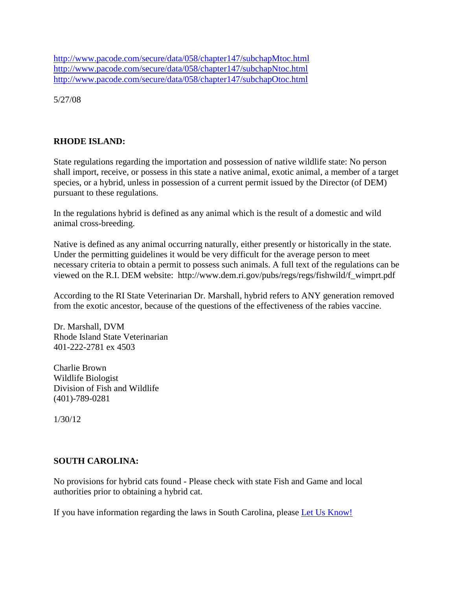<http://www.pacode.com/secure/data/058/chapter147/subchapMtoc.html> <http://www.pacode.com/secure/data/058/chapter147/subchapNtoc.html> <http://www.pacode.com/secure/data/058/chapter147/subchapOtoc.html>

5/27/08

### **RHODE ISLAND:**

State regulations regarding the importation and possession of native wildlife state: No person shall import, receive, or possess in this state a native animal, exotic animal, a member of a target species, or a hybrid, unless in possession of a current permit issued by the Director (of DEM) pursuant to these regulations.

In the regulations hybrid is defined as any animal which is the result of a domestic and wild animal cross-breeding.

Native is defined as any animal occurring naturally, either presently or historically in the state. Under the permitting guidelines it would be very difficult for the average person to meet necessary criteria to obtain a permit to possess such animals. A full text of the regulations can be viewed on the R.I. DEM website: http://www.dem.ri.gov/pubs/regs/regs/fishwild/f\_wimprt.pdf

According to the RI State Veterinarian Dr. Marshall, hybrid refers to ANY generation removed from the exotic ancestor, because of the questions of the effectiveness of the rabies vaccine.

Dr. Marshall, DVM Rhode Island State Veterinarian 401-222-2781 ex 4503

Charlie Brown Wildlife Biologist Division of Fish and Wildlife (401)-789-0281

1/30/12

### **SOUTH CAROLINA:**

No provisions for hybrid cats found - Please check with state Fish and Game and local authorities prior to obtaining a hybrid cat.

If you have information regarding the laws in South Carolina, please [Let Us Know!](http://www.hybridlaw.com/contact.php)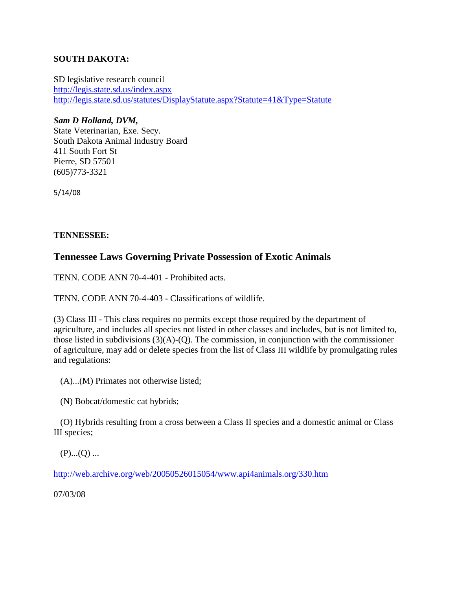### **SOUTH DAKOTA:**

SD legislative research council <http://legis.state.sd.us/index.aspx> <http://legis.state.sd.us/statutes/DisplayStatute.aspx?Statute=41&Type=Statute>

### *Sam D Holland, DVM,*

State Veterinarian, Exe. Secy. South Dakota Animal Industry Board 411 South Fort St Pierre, SD 57501 (605)773-3321

5/14/08

### **TENNESSEE:**

## **Tennessee Laws Governing Private Possession of Exotic Animals**

TENN. CODE ANN 70-4-401 - Prohibited acts.

TENN. CODE ANN 70-4-403 - Classifications of wildlife.

(3) Class III - This class requires no permits except those required by the department of agriculture, and includes all species not listed in other classes and includes, but is not limited to, those listed in subdivisions  $(3)(A)-(Q)$ . The commission, in conjunction with the commissioner of agriculture, may add or delete species from the list of Class III wildlife by promulgating rules and regulations:

(A)...(M) Primates not otherwise listed;

(N) Bobcat/domestic cat hybrids;

 (O) Hybrids resulting from a cross between a Class II species and a domestic animal or Class III species;

 $(P)$ ... $(Q)$  ...

<http://web.archive.org/web/20050526015054/www.api4animals.org/330.htm>

07/03/08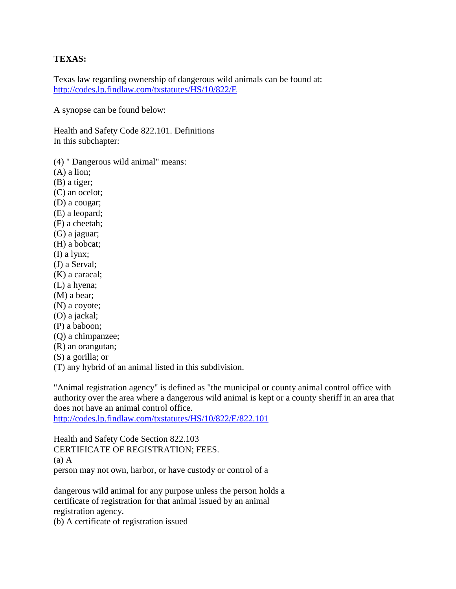#### **TEXAS:**

Texas law regarding ownership of dangerous wild animals can be found at: <http://codes.lp.findlaw.com/txstatutes/HS/10/822/E>

A synopse can be found below:

Health and Safety Code 822.101. Definitions In this subchapter:

(4) " Dangerous wild animal" means:

(A) a lion;

(B) a tiger;

(C) an ocelot;

(D) a cougar;

(E) a leopard;

- (F) a cheetah;
- (G) a jaguar;
- (H) a bobcat;
- (I) a lynx;
- (J) a Serval;
- (K) a caracal;
- (L) a hyena;
- (M) a bear;
- (N) a coyote;
- (O) a jackal;
- (P) a baboon;
- (Q) a chimpanzee;
- (R) an orangutan;
- (S) a gorilla; or
- (T) any hybrid of an animal listed in this subdivision.

"Animal registration agency" is defined as "the municipal or county animal control office with authority over the area where a dangerous wild animal is kept or a county sheriff in an area that does not have an animal control office.

<http://codes.lp.findlaw.com/txstatutes/HS/10/822/E/822.101>

Health and Safety Code Section 822.103 CERTIFICATE OF REGISTRATION; FEES. (a) A person may not own, harbor, or have custody or control of a

dangerous wild animal for any purpose unless the person holds a certificate of registration for that animal issued by an animal registration agency.

(b) A certificate of registration issued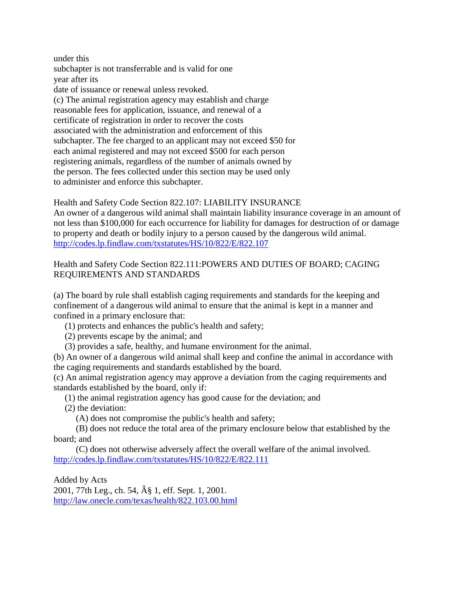under this subchapter is not transferrable and is valid for one year after its date of issuance or renewal unless revoked. (c) The animal registration agency may establish and charge reasonable fees for application, issuance, and renewal of a certificate of registration in order to recover the costs associated with the administration and enforcement of this subchapter. The fee charged to an applicant may not exceed \$50 for each animal registered and may not exceed \$500 for each person registering animals, regardless of the number of animals owned by the person. The fees collected under this section may be used only to administer and enforce this subchapter.

Health and Safety Code Section 822.107: LIABILITY INSURANCE An owner of a dangerous wild animal shall maintain liability insurance coverage in an amount of not less than \$100,000 for each occurrence for liability for damages for destruction of or damage to property and death or bodily injury to a person caused by the dangerous wild animal. <http://codes.lp.findlaw.com/txstatutes/HS/10/822/E/822.107>

#### Health and Safety Code Section 822.111:POWERS AND DUTIES OF BOARD; CAGING REQUIREMENTS AND STANDARDS

(a) The board by rule shall establish caging requirements and standards for the keeping and confinement of a dangerous wild animal to ensure that the animal is kept in a manner and confined in a primary enclosure that:

(1) protects and enhances the public's health and safety;

(2) prevents escape by the animal; and

(3) provides a safe, healthy, and humane environment for the animal.

(b) An owner of a dangerous wild animal shall keep and confine the animal in accordance with the caging requirements and standards established by the board.

(c) An animal registration agency may approve a deviation from the caging requirements and standards established by the board, only if:

(1) the animal registration agency has good cause for the deviation; and

(2) the deviation:

(A) does not compromise the public's health and safety;

 (B) does not reduce the total area of the primary enclosure below that established by the board; and

 (C) does not otherwise adversely affect the overall welfare of the animal involved. <http://codes.lp.findlaw.com/txstatutes/HS/10/822/E/822.111>

Added by Acts 2001, 77th Leg., ch. 54, § 1, eff. Sept. 1, 2001. <http://law.onecle.com/texas/health/822.103.00.html>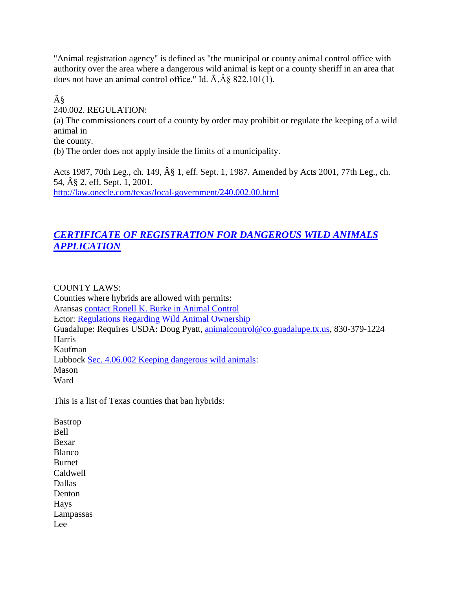"Animal registration agency" is defined as "the municipal or county animal control office with authority over the area where a dangerous wild animal is kept or a county sheriff in an area that does not have an animal control office." Id.  $\tilde{A}$ ,  $\tilde{A}$  & 822.101(1).

§ 240.002. REGULATION: (a) The commissioners court of a county by order may prohibit or regulate the keeping of a wild animal in the county. (b) The order does not apply inside the limits of a municipality.

Acts 1987, 70th Leg., ch. 149,  $\hat{A}\$  1, eff. Sept. 1, 1987. Amended by Acts 2001, 77th Leg., ch. 54, § 2, eff. Sept. 1, 2001. <http://law.onecle.com/texas/local-government/240.002.00.html>

# *[CERTIFICATE OF REGISTRATION FOR DANGEROUS WILD ANIMALS](http://www.google.com/url?sa=t&rct=j&q=&esrc=s&source=web&cd=1&ved=0CDIQFjAA&url=http%3A%2F%2Fwww.dshs.state.tx.us%2Fidcu%2Fhealth%2Fzoonosis%2Flaws%2Fwild%2Fapplication.pdf&ei=5klBUcv2Oeqr2AX04IDwAQ&usg=AFQjCNHqbH-I0L1Ub19znTMsh2uR5V3CEA&bvm=bv.43828540,d.b2I)  [APPLICATION](http://www.google.com/url?sa=t&rct=j&q=&esrc=s&source=web&cd=1&ved=0CDIQFjAA&url=http%3A%2F%2Fwww.dshs.state.tx.us%2Fidcu%2Fhealth%2Fzoonosis%2Flaws%2Fwild%2Fapplication.pdf&ei=5klBUcv2Oeqr2AX04IDwAQ&usg=AFQjCNHqbH-I0L1Ub19znTMsh2uR5V3CEA&bvm=bv.43828540,d.b2I)*

COUNTY LAWS:

Counties where hybrids are allowed with permits: Aransas [contact Ronell K. Burke in Animal Control](http://www.aransascounty.org/animalcontrol/contact.php) Ector: [Regulations Regarding Wild Animal Ownership](http://www.co.ector.tx.us/ips/export/sites/ector/downloads/Webdocs/Wild_Animal_Regulations_for_Ector_County.pdf) Guadalupe: Requires USDA: Doug Pyatt, [animalcontrol@co.guadalupe.tx.us,](mailto:%20animalcontrol@co.guadalupe.tx.us) 830-379-1224 **Harris** Kaufman Lubbock [Sec. 4.06.002 Keeping dangerous wild animals:](http://z2codes.franklinlegal.net/franklin/Z2Browser2.html?showset=lubbockset) Mason Ward

This is a list of Texas counties that ban hybrids:

Bastrop Bell Bexar Blanco Burnet Caldwell Dallas Denton Hays Lampassas Lee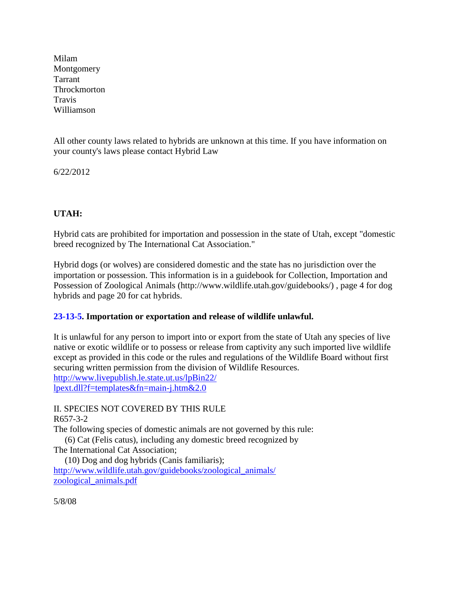Milam **Montgomery** Tarrant Throckmorton Travis Williamson

All other county laws related to hybrids are unknown at this time. If you have information on your county's laws please contact Hybrid Law

6/22/2012

## **UTAH:**

Hybrid cats are prohibited for importation and possession in the state of Utah, except "domestic breed recognized by The International Cat Association."

Hybrid dogs (or wolves) are considered domestic and the state has no jurisdiction over the importation or possession. This information is in a guidebook for Collection, Importation and Possession of Zoological Animals (http://www.wildlife.utah.gov/guidebooks/) , page 4 for dog hybrids and page 20 for cat hybrids.

## **[23-13-5.](http://www.livepublish.le.state.ut.us/lpBin22/lpext.dll?f=id&id=Utcoden%3Ar%3A5130&cid=Utcoden&t=document-frame.htm&2.0&p=) Importation or exportation and release of wildlife unlawful.**

It is unlawful for any person to import into or export from the state of Utah any species of live native or exotic wildlife or to possess or release from captivity any such imported live wildlife except as provided in this code or the rules and regulations of the Wildlife Board without first securing written permission from the division of Wildlife Resources. [http://www.livepublish.le.state.ut.us/lpBin22/](http://www.livepublish.le.state.ut.us/lpBin22/lpext.dll?f=templates&fn=main-j.htm&2.0) [lpext.dll?f=templates&fn=main-j.htm&2.0](http://www.livepublish.le.state.ut.us/lpBin22/lpext.dll?f=templates&fn=main-j.htm&2.0)

II. SPECIES NOT COVERED BY THIS RULE R657-3-2 The following species of domestic animals are not governed by this rule: (6) Cat (Felis catus), including any domestic breed recognized by

The International Cat Association;

 (10) Dog and dog hybrids (Canis familiaris); [http://www.wildlife.utah.gov/guidebooks/zoological\\_animals/](http://www.wildlife.utah.gov/guidebooks/zoological_animals/zoological_animals.pdf) [zoological\\_animals.pdf](http://www.wildlife.utah.gov/guidebooks/zoological_animals/zoological_animals.pdf)

5/8/08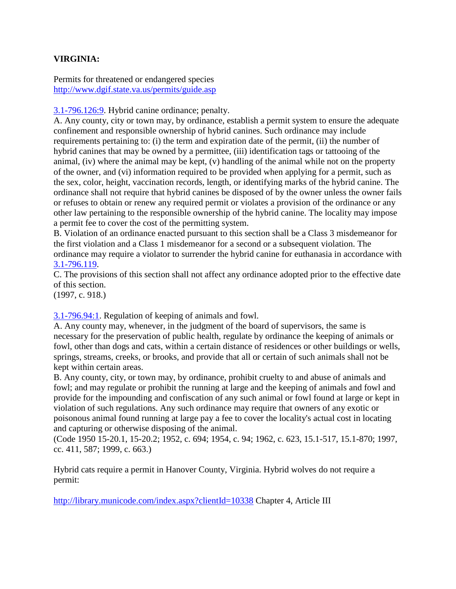### **VIRGINIA:**

Permits for threatened or endangered species <http://www.dgif.state.va.us/permits/guide.asp>

[3.1-796.126:9.](http://leg1.state.va.us/cgi-bin/legp504.exe?000+cod+3.1-796.126C9) Hybrid canine ordinance; penalty.

A. Any county, city or town may, by ordinance, establish a permit system to ensure the adequate confinement and responsible ownership of hybrid canines. Such ordinance may include requirements pertaining to: (i) the term and expiration date of the permit, (ii) the number of hybrid canines that may be owned by a permittee, (iii) identification tags or tattooing of the animal, (iv) where the animal may be kept, (v) handling of the animal while not on the property of the owner, and (vi) information required to be provided when applying for a permit, such as the sex, color, height, vaccination records, length, or identifying marks of the hybrid canine. The ordinance shall not require that hybrid canines be disposed of by the owner unless the owner fails or refuses to obtain or renew any required permit or violates a provision of the ordinance or any other law pertaining to the responsible ownership of the hybrid canine. The locality may impose a permit fee to cover the cost of the permitting system.

B. Violation of an ordinance enacted pursuant to this section shall be a Class 3 misdemeanor for the first violation and a Class 1 misdemeanor for a second or a subsequent violation. The ordinance may require a violator to surrender the hybrid canine for euthanasia in accordance with [3.1-796.119.](http://leg1.state.va.us/cgi-bin/legp504.exe?000+cod+3.1-796.119)

C. The provisions of this section shall not affect any ordinance adopted prior to the effective date of this section.

(1997, c. 918.)

[3.1-796.94:1.](http://law.justia.com/virginia/codes/toc0301000/3.1-796.94c1.html) Regulation of keeping of animals and fowl.

A. Any county may, whenever, in the judgment of the board of supervisors, the same is necessary for the preservation of public health, regulate by ordinance the keeping of animals or fowl, other than dogs and cats, within a certain distance of residences or other buildings or wells, springs, streams, creeks, or brooks, and provide that all or certain of such animals shall not be kept within certain areas.

B. Any county, city, or town may, by ordinance, prohibit cruelty to and abuse of animals and fowl; and may regulate or prohibit the running at large and the keeping of animals and fowl and provide for the impounding and confiscation of any such animal or fowl found at large or kept in violation of such regulations. Any such ordinance may require that owners of any exotic or poisonous animal found running at large pay a fee to cover the locality's actual cost in locating and capturing or otherwise disposing of the animal.

(Code 1950 15-20.1, 15-20.2; 1952, c. 694; 1954, c. 94; 1962, c. 623, 15.1-517, 15.1-870; 1997, cc. 411, 587; 1999, c. 663.)

Hybrid cats require a permit in Hanover County, Virginia. Hybrid wolves do not require a permit:

<http://library.municode.com/index.aspx?clientId=10338> Chapter 4, Article III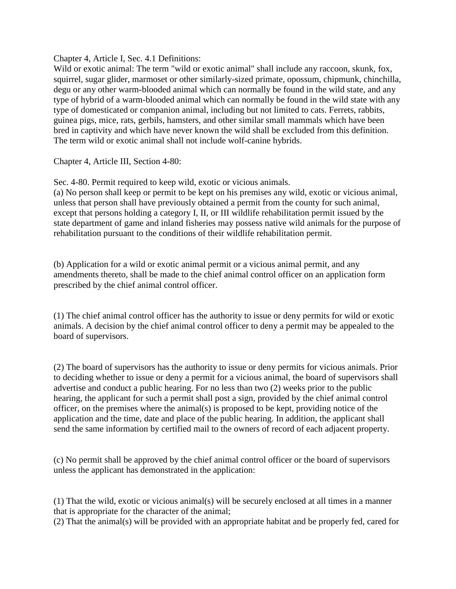Chapter 4, Article I, Sec. 4.1 Definitions:

Wild or exotic animal: The term "wild or exotic animal" shall include any raccoon, skunk, fox, squirrel, sugar glider, marmoset or other similarly-sized primate, opossum, chipmunk, chinchilla, degu or any other warm-blooded animal which can normally be found in the wild state, and any type of hybrid of a warm-blooded animal which can normally be found in the wild state with any type of domesticated or companion animal, including but not limited to cats. Ferrets, rabbits, guinea pigs, mice, rats, gerbils, hamsters, and other similar small mammals which have been bred in captivity and which have never known the wild shall be excluded from this definition. The term wild or exotic animal shall not include wolf-canine hybrids.

Chapter 4, Article III, Section 4-80:

Sec. 4-80. Permit required to keep wild, exotic or vicious animals.

(a) No person shall keep or permit to be kept on his premises any wild, exotic or vicious animal, unless that person shall have previously obtained a permit from the county for such animal, except that persons holding a category I, II, or III wildlife rehabilitation permit issued by the state department of game and inland fisheries may possess native wild animals for the purpose of rehabilitation pursuant to the conditions of their wildlife rehabilitation permit.

(b) Application for a wild or exotic animal permit or a vicious animal permit, and any amendments thereto, shall be made to the chief animal control officer on an application form prescribed by the chief animal control officer.

(1) The chief animal control officer has the authority to issue or deny permits for wild or exotic animals. A decision by the chief animal control officer to deny a permit may be appealed to the board of supervisors.

(2) The board of supervisors has the authority to issue or deny permits for vicious animals. Prior to deciding whether to issue or deny a permit for a vicious animal, the board of supervisors shall advertise and conduct a public hearing. For no less than two (2) weeks prior to the public hearing, the applicant for such a permit shall post a sign, provided by the chief animal control officer, on the premises where the animal(s) is proposed to be kept, providing notice of the application and the time, date and place of the public hearing. In addition, the applicant shall send the same information by certified mail to the owners of record of each adjacent property.

(c) No permit shall be approved by the chief animal control officer or the board of supervisors unless the applicant has demonstrated in the application:

(1) That the wild, exotic or vicious animal(s) will be securely enclosed at all times in a manner that is appropriate for the character of the animal;

(2) That the animal(s) will be provided with an appropriate habitat and be properly fed, cared for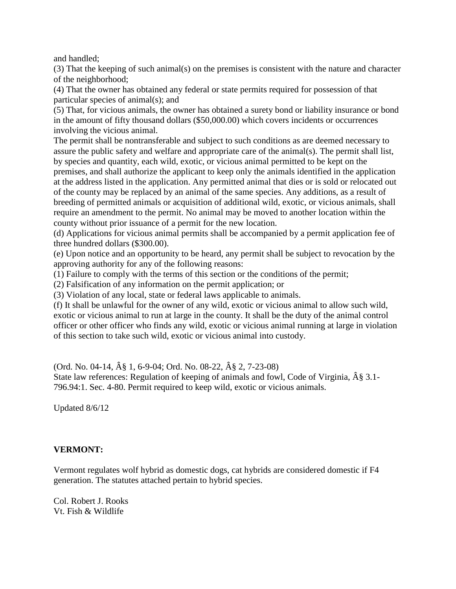and handled;

(3) That the keeping of such animal(s) on the premises is consistent with the nature and character of the neighborhood;

(4) That the owner has obtained any federal or state permits required for possession of that particular species of animal(s); and

(5) That, for vicious animals, the owner has obtained a surety bond or liability insurance or bond in the amount of fifty thousand dollars (\$50,000.00) which covers incidents or occurrences involving the vicious animal.

The permit shall be nontransferable and subject to such conditions as are deemed necessary to assure the public safety and welfare and appropriate care of the animal(s). The permit shall list, by species and quantity, each wild, exotic, or vicious animal permitted to be kept on the premises, and shall authorize the applicant to keep only the animals identified in the application at the address listed in the application. Any permitted animal that dies or is sold or relocated out of the county may be replaced by an animal of the same species. Any additions, as a result of breeding of permitted animals or acquisition of additional wild, exotic, or vicious animals, shall require an amendment to the permit. No animal may be moved to another location within the county without prior issuance of a permit for the new location.

(d) Applications for vicious animal permits shall be accompanied by a permit application fee of three hundred dollars (\$300.00).

(e) Upon notice and an opportunity to be heard, any permit shall be subject to revocation by the approving authority for any of the following reasons:

(1) Failure to comply with the terms of this section or the conditions of the permit;

(2) Falsification of any information on the permit application; or

(3) Violation of any local, state or federal laws applicable to animals.

(f) It shall be unlawful for the owner of any wild, exotic or vicious animal to allow such wild, exotic or vicious animal to run at large in the county. It shall be the duty of the animal control officer or other officer who finds any wild, exotic or vicious animal running at large in violation of this section to take such wild, exotic or vicious animal into custody.

(Ord. No. 04-14, § 1, 6-9-04; Ord. No. 08-22, § 2, 7-23-08)

State law references: Regulation of keeping of animals and fowl, Code of Virginia,  $\hat{A}\$  3.1-796.94:1. Sec. 4-80. Permit required to keep wild, exotic or vicious animals.

Updated 8/6/12

### **VERMONT:**

Vermont regulates wolf hybrid as domestic dogs, cat hybrids are considered domestic if F4 generation. The statutes attached pertain to hybrid species.

Col. Robert J. Rooks Vt. Fish & Wildlife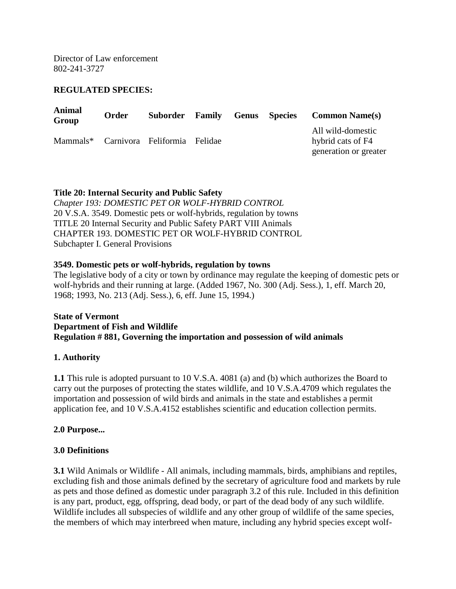Director of Law enforcement 802-241-3727

#### **REGULATED SPECIES:**

| <b>Animal</b><br>Group                | <b>Order</b> | Suborder | Family | <b>Genus</b> Species | <b>Common Name(s)</b>                                           |
|---------------------------------------|--------------|----------|--------|----------------------|-----------------------------------------------------------------|
| Mammals* Carnivora Feliformia Felidae |              |          |        |                      | All wild-domestic<br>hybrid cats of F4<br>generation or greater |

#### **Title 20: Internal Security and Public Safety**

*Chapter 193: DOMESTIC PET OR WOLF-HYBRID CONTROL* 20 V.S.A. 3549. Domestic pets or wolf-hybrids, regulation by towns TITLE 20 Internal Security and Public Safety PART VIII Animals CHAPTER 193. DOMESTIC PET OR WOLF-HYBRID CONTROL Subchapter I. General Provisions

#### **3549. Domestic pets or wolf-hybrids, regulation by towns**

The legislative body of a city or town by ordinance may regulate the keeping of domestic pets or wolf-hybrids and their running at large. (Added 1967, No. 300 (Adj. Sess.), 1, eff. March 20, 1968; 1993, No. 213 (Adj. Sess.), 6, eff. June 15, 1994.)

#### **State of Vermont Department of Fish and Wildlife Regulation # 881, Governing the importation and possession of wild animals**

#### **1. Authority**

**1.1** This rule is adopted pursuant to 10 V.S.A. 4081 (a) and (b) which authorizes the Board to carry out the purposes of protecting the states wildlife, and 10 V.S.A.4709 which regulates the importation and possession of wild birds and animals in the state and establishes a permit application fee, and 10 V.S.A.4152 establishes scientific and education collection permits.

#### **2.0 Purpose...**

#### **3.0 Definitions**

**3.1** Wild Animals or Wildlife - All animals, including mammals, birds, amphibians and reptiles, excluding fish and those animals defined by the secretary of agriculture food and markets by rule as pets and those defined as domestic under paragraph 3.2 of this rule. Included in this definition is any part, product, egg, offspring, dead body, or part of the dead body of any such wildlife. Wildlife includes all subspecies of wildlife and any other group of wildlife of the same species, the members of which may interbreed when mature, including any hybrid species except wolf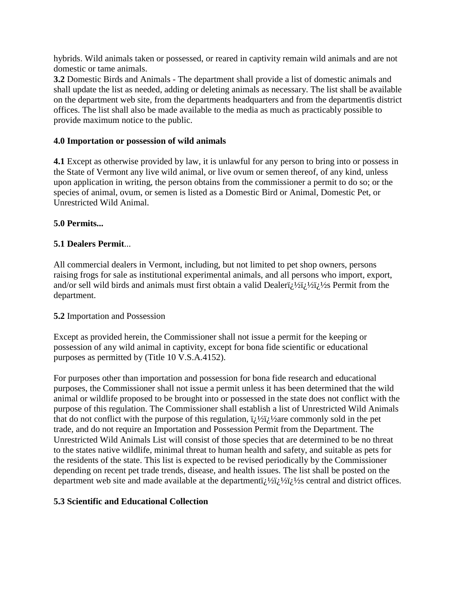hybrids. Wild animals taken or possessed, or reared in captivity remain wild animals and are not domestic or tame animals.

**3.2** Domestic Birds and Animals - The department shall provide a list of domestic animals and shall update the list as needed, adding or deleting animals as necessary. The list shall be available on the department web site, from the departments headquarters and from the departmentïs district offices. The list shall also be made available to the media as much as practicably possible to provide maximum notice to the public.

### **4.0 Importation or possession of wild animals**

**4.1** Except as otherwise provided by law, it is unlawful for any person to bring into or possess in the State of Vermont any live wild animal, or live ovum or semen thereof, of any kind, unless upon application in writing, the person obtains from the commissioner a permit to do so; or the species of animal, ovum, or semen is listed as a Domestic Bird or Animal, Domestic Pet, or Unrestricted Wild Animal.

### **5.0 Permits...**

### **5.1 Dealers Permit**...

All commercial dealers in Vermont, including, but not limited to pet shop owners, persons raising frogs for sale as institutional experimental animals, and all persons who import, export, and/or sell wild birds and animals must first obtain a valid Dealeri $\lambda$  Vi $\lambda$ i $\lambda$ <sup>2</sup> Permit from the department.

### **5.2** Importation and Possession

Except as provided herein, the Commissioner shall not issue a permit for the keeping or possession of any wild animal in captivity, except for bona fide scientific or educational purposes as permitted by (Title 10 V.S.A.4152).

For purposes other than importation and possession for bona fide research and educational purposes, the Commissioner shall not issue a permit unless it has been determined that the wild animal or wildlife proposed to be brought into or possessed in the state does not conflict with the purpose of this regulation. The Commissioner shall establish a list of Unrestricted Wild Animals that do not conflict with the purpose of this regulation,  $\ddot{i}$   $\ddot{j}$   $\ddot{k}$  are commonly sold in the pet trade, and do not require an Importation and Possession Permit from the Department. The Unrestricted Wild Animals List will consist of those species that are determined to be no threat to the states native wildlife, minimal threat to human health and safety, and suitable as pets for the residents of the state. This list is expected to be revised periodically by the Commissioner depending on recent pet trade trends, disease, and health issues. The list shall be posted on the department web site and made available at the department  $i\hbar/2$   $\hbar/2$   $i\hbar/2$  central and district offices.

## **5.3 Scientific and Educational Collection**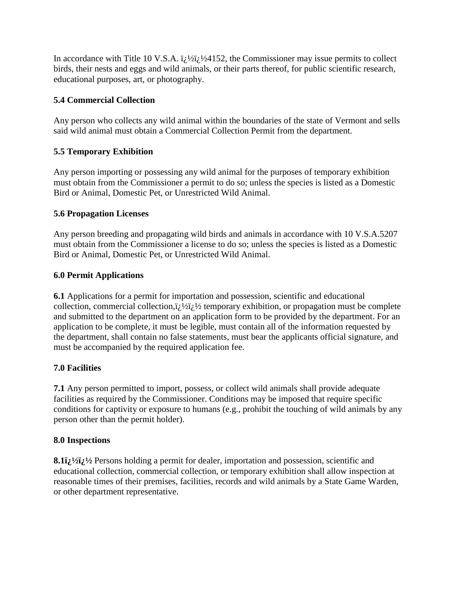In accordance with Title 10 V.S.A.  $\ddot{i}$   $\dot{j}$   $\dot{k}$   $\dot{i}$   $\dot{k}$   $\dot{k}$  and  $\ddot{k}$  are Commissioner may issue permits to collect birds, their nests and eggs and wild animals, or their parts thereof, for public scientific research, educational purposes, art, or photography.

### **5.4 Commercial Collection**

Any person who collects any wild animal within the boundaries of the state of Vermont and sells said wild animal must obtain a Commercial Collection Permit from the department.

## **5.5 Temporary Exhibition**

Any person importing or possessing any wild animal for the purposes of temporary exhibition must obtain from the Commissioner a permit to do so; unless the species is listed as a Domestic Bird or Animal, Domestic Pet, or Unrestricted Wild Animal.

### **5.6 Propagation Licenses**

Any person breeding and propagating wild birds and animals in accordance with 10 V.S.A.5207 must obtain from the Commissioner a license to do so; unless the species is listed as a Domestic Bird or Animal, Domestic Pet, or Unrestricted Wild Animal.

### **6.0 Permit Applications**

**6.1** Applications for a permit for importation and possession, scientific and educational collection, commercial collection, $i_l$ 1/2 $i_l$ 1/2 temporary exhibition, or propagation must be complete and submitted to the department on an application form to be provided by the department. For an application to be complete, it must be legible, must contain all of the information requested by the department, shall contain no false statements, must bear the applicants official signature, and must be accompanied by the required application fee.

## **7.0 Facilities**

**7.1** Any person permitted to import, possess, or collect wild animals shall provide adequate facilities as required by the Commissioner. Conditions may be imposed that require specific conditions for captivity or exposure to humans (e.g., prohibit the touching of wild animals by any person other than the permit holder).

### **8.0 Inspections**

8.1 $\mathbf{i}$ <sub>2</sub><sup>1</sup>/<sub>2</sub><sup>1</sup>/<sub>2</sub><sup>1</sup>/<sub>2</sub><sup>1</sup>/<sub>2</sub><sup>1</sup>/<sub>2</sub><sup>1</sup>/<sub>2</sub><sup>1</sup>/<sub>2</sub><sup>1</sup>/<sub>2</sub><sup>1</sup>/<sub>2</sub><sup>1</sup>/<sub>2</sub><sup>1</sup>/<sub>2</sub><sup>1</sup>/<sub>2</sub><sup>1</sup>/<sub>2</sub><sup>1</sup>/<sub>2</sub><sup>1</sup>/<sub>2</sub><sup>1</sup>/<sub>2</sub><sup>1</sup>/<sub>2</sub><sup>1</sup>/<sub>2</sub><sup>1</sup>/<sub>2</sub><sup>1</sup>/<sub>2</sub><sup>1</sup>/<sub>2</sub><sup>1</sup>/<sub>2</sub><sup>1</sup>/<sub>2</sub><sup>1</sup>/<sub>2</sub><sup>1</sup>/<sub>2</sub><sup>1</sup>/<sub>2</sub><sup>1</sup>/<sub>2</sub><sup>1</sup>/<sub>2</sub><sup>1</sup>/<sub>3</sub><sup>1</sup>/<sub>3</sub> educational collection, commercial collection, or temporary exhibition shall allow inspection at reasonable times of their premises, facilities, records and wild animals by a State Game Warden, or other department representative.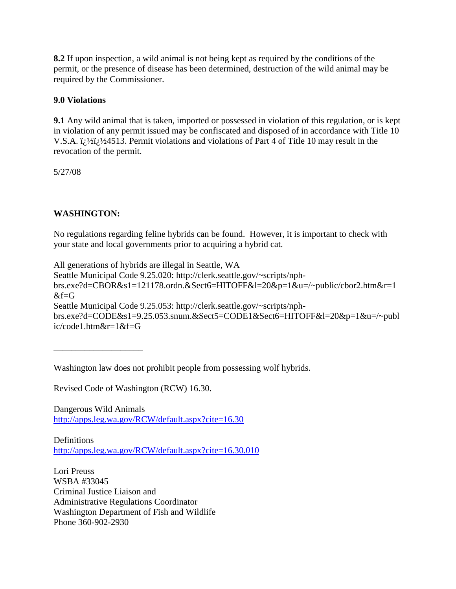**8.2** If upon inspection, a wild animal is not being kept as required by the conditions of the permit, or the presence of disease has been determined, destruction of the wild animal may be required by the Commissioner.

### **9.0 Violations**

**9.1** Any wild animal that is taken, imported or possessed in violation of this regulation, or is kept in violation of any permit issued may be confiscated and disposed of in accordance with Title 10 V.S.A.  $\ddot{\iota}$  / $\dot{\iota}$  / $\dot{\iota}$  / $\dot{\iota}$  // $\dot{\iota}$  // $\dot{\iota}$  // $\dot{\iota}$  // $\dot{\iota}$  // $\dot{\iota}$  // $\dot{\iota}$  // $\dot{\iota}$  // $\dot{\iota}$  // $\dot{\iota}$  // $\dot{\iota}$  // $\dot{\iota}$  // $\dot{\iota}$  // $\dot{\iota}$  // $\dot{\iota}$  // $\dot{\iota}$  // $\dot{\iota}$ revocation of the permit.

5/27/08

## **WASHINGTON:**

\_\_\_\_\_\_\_\_\_\_\_\_\_\_\_\_\_\_\_\_

No regulations regarding feline hybrids can be found. However, it is important to check with your state and local governments prior to acquiring a hybrid cat.

All generations of hybrids are illegal in Seattle, WA Seattle Municipal Code 9.25.020: http://clerk.seattle.gov/~scripts/nphbrs.exe?d=CBOR&s1=121178.ordn.&Sect6=HITOFF&l=20&p=1&u=/~public/cbor2.htm&r=1  $&f = G$ Seattle Municipal Code 9.25.053: http://clerk.seattle.gov/~scripts/nphbrs.exe?d=CODE&s1=9.25.053.snum.&Sect5=CODE1&Sect6=HITOFF&l=20&p=1&u=/~publ ic/code1.htm&r=1&f=G

Washington law does not prohibit people from possessing wolf hybrids.

Revised Code of Washington (RCW) 16.30.

Dangerous Wild Animals <http://apps.leg.wa.gov/RCW/default.aspx?cite=16.30>

**Definitions** <http://apps.leg.wa.gov/RCW/default.aspx?cite=16.30.010>

Lori Preuss WSBA #33045 Criminal Justice Liaison and Administrative Regulations Coordinator Washington Department of Fish and Wildlife Phone 360-902-2930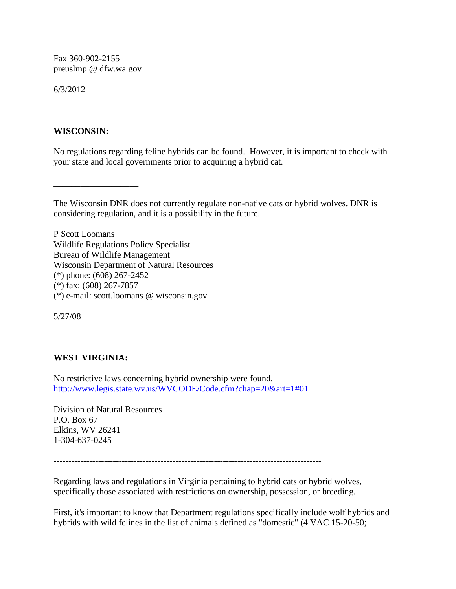Fax 360-902-2155 preuslmp @ dfw.wa.gov

6/3/2012

#### **WISCONSIN:**

\_\_\_\_\_\_\_\_\_\_\_\_\_\_\_\_\_\_\_

No regulations regarding feline hybrids can be found. However, it is important to check with your state and local governments prior to acquiring a hybrid cat.

The Wisconsin DNR does not currently regulate non-native cats or hybrid wolves. DNR is considering regulation, and it is a possibility in the future.

P Scott Loomans Wildlife Regulations Policy Specialist Bureau of Wildlife Management Wisconsin Department of Natural Resources (\*) phone: (608) 267-2452 (\*) fax: (608) 267-7857 (\*) e-mail: scott.loomans @ wisconsin.gov

5/27/08

## **WEST VIRGINIA:**

No restrictive laws concerning hybrid ownership were found. [http://www.legis.state.wv.us/WVCODE/Code.cfm?chap=20&art=1#01](http://www.wvdnr.gov/)

Division of Natural Resources P.O. Box 67 Elkins, WV 26241 1-304-637-0245

------------------------------------------------------------------------------------------

Regarding laws and regulations in Virginia pertaining to hybrid cats or hybrid wolves, specifically those associated with restrictions on ownership, possession, or breeding.

First, it's important to know that Department regulations specifically include wolf hybrids and hybrids with wild felines in the list of animals defined as "domestic" (4 VAC 15-20-50;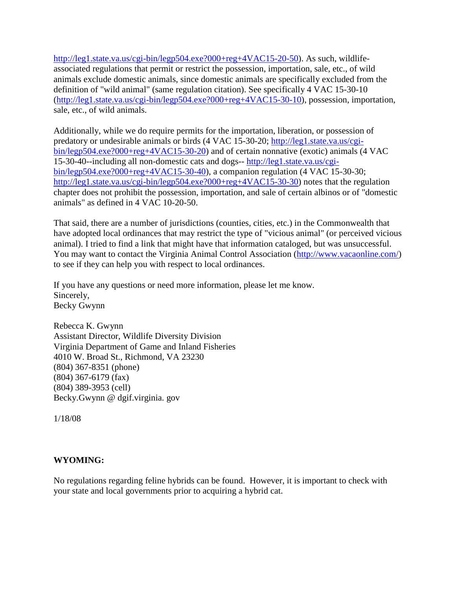[http://leg1.state.va.us/cgi-bin/legp504.exe?000+reg+4VAC15-20-50\)](http://leg1.state.va.us/cgi-bin/legp504.exe?000+reg+4VAC15-20-50). As such, wildlifeassociated regulations that permit or restrict the possession, importation, sale, etc., of wild animals exclude domestic animals, since domestic animals are specifically excluded from the definition of "wild animal" (same regulation citation). See specifically 4 VAC 15-30-10 [\(http://leg1.state.va.us/cgi-bin/legp504.exe?000+reg+4VAC15-30-10\)](http://leg1.state.va.us/cgi-bin/legp504.exe?000+reg+4VAC15-30-10), possession, importation, sale, etc., of wild animals.

Additionally, while we do require permits for the importation, liberation, or possession of predatory or undesirable animals or birds (4 VAC 15-30-20; [http://leg1.state.va.us/cgi](http://leg1.state.va.us/cgi-bin/legp504.exe?000+reg+4VAC15-30-20)[bin/legp504.exe?000+reg+4VAC15-30-20\)](http://leg1.state.va.us/cgi-bin/legp504.exe?000+reg+4VAC15-30-20) and of certain nonnative (exotic) animals (4 VAC 15-30-40--including all non-domestic cats and dogs-- [http://leg1.state.va.us/cgi](http://leg1.state.va.us/cgi-bin/legp504.exe?000+reg+4VAC15-30-40)[bin/legp504.exe?000+reg+4VAC15-30-40\)](http://leg1.state.va.us/cgi-bin/legp504.exe?000+reg+4VAC15-30-40), a companion regulation (4 VAC 15-30-30; [http://leg1.state.va.us/cgi-bin/legp504.exe?000+reg+4VAC15-30-30\)](http://leg1.state.va.us/cgi-bin/legp504.exe?000+reg+4VAC15-30-30) notes that the regulation chapter does not prohibit the possession, importation, and sale of certain albinos or of "domestic animals" as defined in 4 VAC 10-20-50.

That said, there are a number of jurisdictions (counties, cities, etc.) in the Commonwealth that have adopted local ordinances that may restrict the type of "vicious animal" (or perceived vicious animal). I tried to find a link that might have that information cataloged, but was unsuccessful. You may want to contact the Virginia Animal Control Association [\(http://www.vacaonline.com/\)](http://www.vacaonline.com/) to see if they can help you with respect to local ordinances.

If you have any questions or need more information, please let me know. Sincerely, Becky Gwynn

Rebecca K. Gwynn Assistant Director, Wildlife Diversity Division Virginia Department of Game and Inland Fisheries 4010 W. Broad St., Richmond, VA 23230 (804) 367-8351 (phone) (804) 367-6179 (fax) (804) 389-3953 (cell) Becky.Gwynn @ dgif.virginia. gov

1/18/08

## **WYOMING:**

No regulations regarding feline hybrids can be found. However, it is important to check with your state and local governments prior to acquiring a hybrid cat.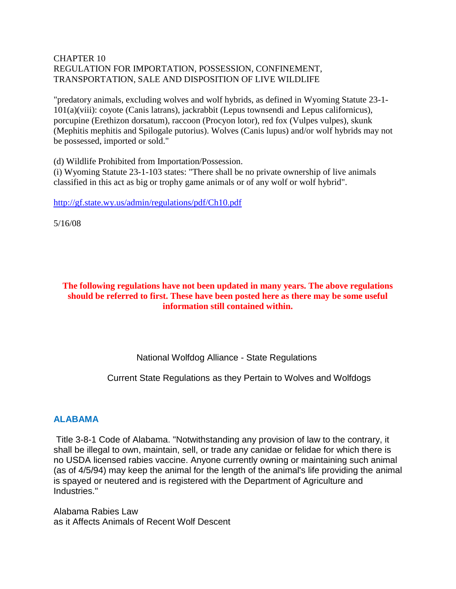#### CHAPTER 10 REGULATION FOR IMPORTATION, POSSESSION, CONFINEMENT, TRANSPORTATION, SALE AND DISPOSITION OF LIVE WILDLIFE

"predatory animals, excluding wolves and wolf hybrids, as defined in Wyoming Statute 23-1- 101(a)(viii): coyote (Canis latrans), jackrabbit (Lepus townsendi and Lepus californicus), porcupine (Erethizon dorsatum), raccoon (Procyon lotor), red fox (Vulpes vulpes), skunk (Mephitis mephitis and Spilogale putorius). Wolves (Canis lupus) and/or wolf hybrids may not be possessed, imported or sold."

(d) Wildlife Prohibited from Importation/Possession.

(i) Wyoming Statute 23-1-103 states: "There shall be no private ownership of live animals classified in this act as big or trophy game animals or of any wolf or wolf hybrid".

<http://gf.state.wy.us/admin/regulations/pdf/Ch10.pdf>

5/16/08

#### **The following regulations have not been updated in many years. The above regulations should be referred to first. These have been posted here as there may be some useful information still contained within.**

## National Wolfdog Alliance - State Regulations

### Current State Regulations as they Pertain to Wolves and Wolfdogs

### **ALABAMA**

Title 3-8-1 Code of Alabama. "Notwithstanding any provision of law to the contrary, it shall be illegal to own, maintain, sell, or trade any canidae or felidae for which there is no USDA licensed rabies vaccine. Anyone currently owning or maintaining such animal (as of 4/5/94) may keep the animal for the length of the animal's life providing the animal is spayed or neutered and is registered with the Department of Agriculture and Industries."

Alabama Rabies Law as it Affects Animals of Recent Wolf Descent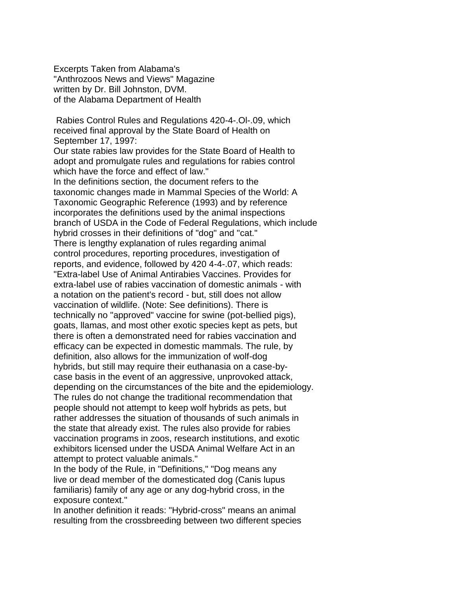Excerpts Taken from Alabama's "Anthrozoos News and Views" Magazine written by Dr. Bill Johnston, DVM. of the Alabama Department of Health

Rabies Control Rules and Regulations 420-4-.Ol-.09, which received final approval by the State Board of Health on September 17, 1997:

Our state rabies law provides for the State Board of Health to adopt and promulgate rules and regulations for rabies control which have the force and effect of law." In the definitions section, the document refers to the taxonomic changes made in Mammal Species of the World: A Taxonomic Geographic Reference (1993) and by reference incorporates the definitions used by the animal inspections branch of USDA in the Code of Federal Regulations, which include hybrid crosses in their definitions of "dog" and "cat." There is lengthy explanation of rules regarding animal control procedures, reporting procedures, investigation of reports, and evidence, followed by 420 4-4-.07, which reads: "Extra-label Use of Animal Antirabies Vaccines. Provides for extra-label use of rabies vaccination of domestic animals - with a notation on the patient's record - but, still does not allow vaccination of wildlife. (Note: See definitions). There is technically no "approved" vaccine for swine (pot-bellied pigs), goats, llamas, and most other exotic species kept as pets, but there is often a demonstrated need for rabies vaccination and efficacy can be expected in domestic mammals. The rule, by definition, also allows for the immunization of wolf-dog hybrids, but still may require their euthanasia on a case-bycase basis in the event of an aggressive, unprovoked attack, depending on the circumstances of the bite and the epidemiology. The rules do not change the traditional recommendation that people should not attempt to keep wolf hybrids as pets, but rather addresses the situation of thousands of such animals in the state that already exist. The rules also provide for rabies vaccination programs in zoos, research institutions, and exotic exhibitors licensed under the USDA Animal Welfare Act in an attempt to protect valuable animals."

In the body of the Rule, in "Definitions," "Dog means any live or dead member of the domesticated dog (Canis lupus familiaris) family of any age or any dog-hybrid cross, in the exposure context."

In another definition it reads: "Hybrid-cross" means an animal resulting from the crossbreeding between two different species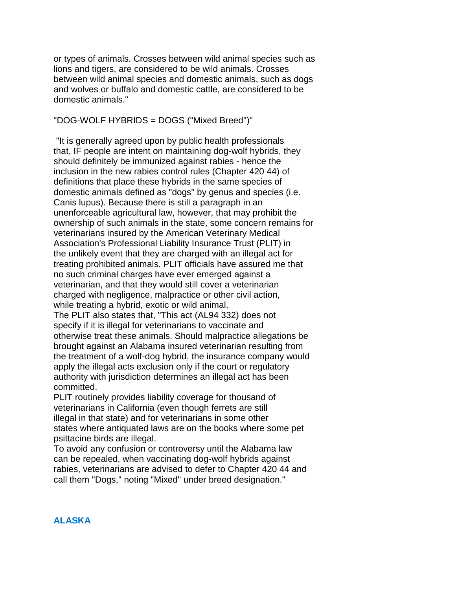or types of animals. Crosses between wild animal species such as lions and tigers, are considered to be wild animals. Crosses between wild animal species and domestic animals, such as dogs and wolves or buffalo and domestic cattle, are considered to be domestic animals."

"DOG-WOLF HYBRIDS = DOGS ("Mixed Breed")"

"It is generally agreed upon by public health professionals that, IF people are intent on maintaining dog-wolf hybrids, they should definitely be immunized against rabies - hence the inclusion in the new rabies control rules (Chapter 420 44) of definitions that place these hybrids in the same species of domestic animals defined as "dogs" by genus and species (i.e. Canis lupus). Because there is still a paragraph in an unenforceable agricultural law, however, that may prohibit the ownership of such animals in the state, some concern remains for veterinarians insured by the American Veterinary Medical Association's Professional Liability Insurance Trust (PLIT) in the unlikely event that they are charged with an illegal act for treating prohibited animals. PLIT officials have assured me that no such criminal charges have ever emerged against a veterinarian, and that they would still cover a veterinarian charged with negligence, malpractice or other civil action, while treating a hybrid, exotic or wild animal. The PLIT also states that, "This act (AL94 332) does not

specify if it is illegal for veterinarians to vaccinate and otherwise treat these animals. Should malpractice allegations be brought against an Alabama insured veterinarian resulting from the treatment of a wolf-dog hybrid, the insurance company would apply the illegal acts exclusion only if the court or regulatory authority with jurisdiction determines an illegal act has been committed.

PLIT routinely provides liability coverage for thousand of veterinarians in California (even though ferrets are still illegal in that state) and for veterinarians in some other states where antiquated laws are on the books where some pet psittacine birds are illegal.

To avoid any confusion or controversy until the Alabama law can be repealed, when vaccinating dog-wolf hybrids against rabies, veterinarians are advised to defer to Chapter 420 44 and call them "Dogs," noting "Mixed" under breed designation."

#### **ALASKA**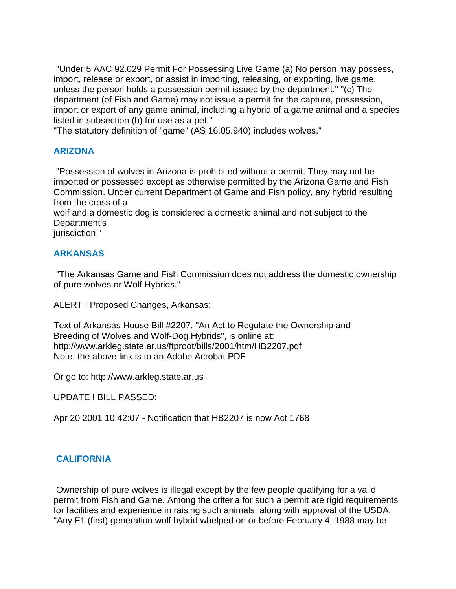"Under 5 AAC 92.029 Permit For Possessing Live Game (a) No person may possess, import, release or export, or assist in importing, releasing, or exporting, live game, unless the person holds a possession permit issued by the department." "(c) The department (of Fish and Game) may not issue a permit for the capture, possession, import or export of any game animal, including a hybrid of a game animal and a species listed in subsection (b) for use as a pet."

"The statutory definition of "game" (AS 16.05.940) includes wolves."

## **ARIZONA**

"Possession of wolves in Arizona is prohibited without a permit. They may not be imported or possessed except as otherwise permitted by the Arizona Game and Fish Commission. Under current Department of Game and Fish policy, any hybrid resulting from the cross of a

wolf and a domestic dog is considered a domestic animal and not subject to the Department's

jurisdiction."

## **ARKANSAS**

"The Arkansas Game and Fish Commission does not address the domestic ownership of pure wolves or Wolf Hybrids."

ALERT ! Proposed Changes, Arkansas:

Text of Arkansas House Bill #2207, "An Act to Regulate the Ownership and Breeding of Wolves and Wolf-Dog Hybrids", is online at: http://www.arkleg.state.ar.us/ftproot/bills/2001/htm/HB2207.pdf Note: the above link is to an Adobe Acrobat PDF

Or go to: http://www.arkleg.state.ar.us

UPDATE ! BILL PASSED:

Apr 20 2001 10:42:07 - Notification that HB2207 is now Act 1768

## **CALIFORNIA**

Ownership of pure wolves is illegal except by the few people qualifying for a valid permit from Fish and Game. Among the criteria for such a permit are rigid requirements for facilities and experience in raising such animals, along with approval of the USDA. "Any F1 (first) generation wolf hybrid whelped on or before February 4, 1988 may be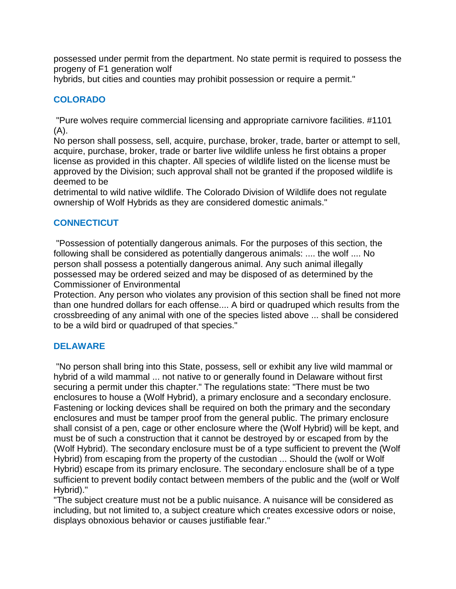possessed under permit from the department. No state permit is required to possess the progeny of F1 generation wolf

hybrids, but cities and counties may prohibit possession or require a permit."

## **COLORADO**

"Pure wolves require commercial licensing and appropriate carnivore facilities. #1101 (A).

No person shall possess, sell, acquire, purchase, broker, trade, barter or attempt to sell, acquire, purchase, broker, trade or barter live wildlife unless he first obtains a proper license as provided in this chapter. All species of wildlife listed on the license must be approved by the Division; such approval shall not be granted if the proposed wildlife is deemed to be

detrimental to wild native wildlife. The Colorado Division of Wildlife does not regulate ownership of Wolf Hybrids as they are considered domestic animals."

## **CONNECTICUT**

"Possession of potentially dangerous animals. For the purposes of this section, the following shall be considered as potentially dangerous animals: .... the wolf .... No person shall possess a potentially dangerous animal. Any such animal illegally possessed may be ordered seized and may be disposed of as determined by the Commissioner of Environmental

Protection. Any person who violates any provision of this section shall be fined not more than one hundred dollars for each offense.... A bird or quadruped which results from the crossbreeding of any animal with one of the species listed above ... shall be considered to be a wild bird or quadruped of that species."

### **DELAWARE**

"No person shall bring into this State, possess, sell or exhibit any live wild mammal or hybrid of a wild mammal ... not native to or generally found in Delaware without first securing a permit under this chapter." The regulations state: "There must be two enclosures to house a (Wolf Hybrid), a primary enclosure and a secondary enclosure. Fastening or locking devices shall be required on both the primary and the secondary enclosures and must be tamper proof from the general public. The primary enclosure shall consist of a pen, cage or other enclosure where the (Wolf Hybrid) will be kept, and must be of such a construction that it cannot be destroyed by or escaped from by the (Wolf Hybrid). The secondary enclosure must be of a type sufficient to prevent the (Wolf Hybrid) from escaping from the property of the custodian ... Should the (wolf or Wolf Hybrid) escape from its primary enclosure. The secondary enclosure shall be of a type sufficient to prevent bodily contact between members of the public and the (wolf or Wolf Hybrid)."

"The subject creature must not be a public nuisance. A nuisance will be considered as including, but not limited to, a subject creature which creates excessive odors or noise, displays obnoxious behavior or causes justifiable fear."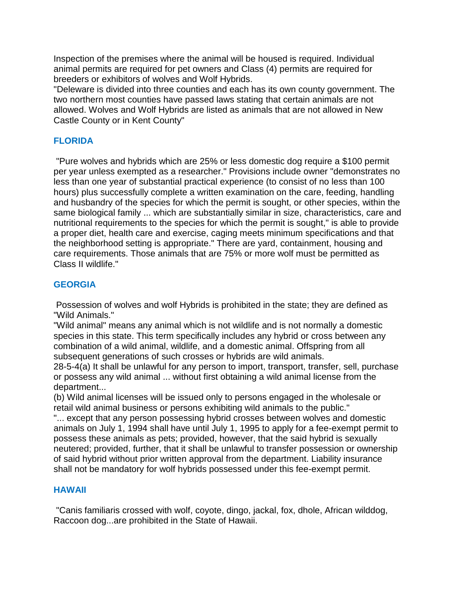Inspection of the premises where the animal will be housed is required. Individual animal permits are required for pet owners and Class (4) permits are required for breeders or exhibitors of wolves and Wolf Hybrids.

"Deleware is divided into three counties and each has its own county government. The two northern most counties have passed laws stating that certain animals are not allowed. Wolves and Wolf Hybrids are listed as animals that are not allowed in New Castle County or in Kent County"

## **FLORIDA**

"Pure wolves and hybrids which are 25% or less domestic dog require a \$100 permit per year unless exempted as a researcher." Provisions include owner "demonstrates no less than one year of substantial practical experience (to consist of no less than 100 hours) plus successfully complete a written examination on the care, feeding, handling and husbandry of the species for which the permit is sought, or other species, within the same biological family ... which are substantially similar in size, characteristics, care and nutritional requirements to the species for which the permit is sought," is able to provide a proper diet, health care and exercise, caging meets minimum specifications and that the neighborhood setting is appropriate." There are yard, containment, housing and care requirements. Those animals that are 75% or more wolf must be permitted as Class II wildlife."

### **GEORGIA**

Possession of wolves and wolf Hybrids is prohibited in the state; they are defined as "Wild Animals."

"Wild animal" means any animal which is not wildlife and is not normally a domestic species in this state. This term specifically includes any hybrid or cross between any combination of a wild animal, wildlife, and a domestic animal. Offspring from all subsequent generations of such crosses or hybrids are wild animals.

28-5-4(a) It shall be unlawful for any person to import, transport, transfer, sell, purchase or possess any wild animal ... without first obtaining a wild animal license from the department...

(b) Wild animal licenses will be issued only to persons engaged in the wholesale or retail wild animal business or persons exhibiting wild animals to the public."

"... except that any person possessing hybrid crosses between wolves and domestic animals on July 1, 1994 shall have until July 1, 1995 to apply for a fee-exempt permit to possess these animals as pets; provided, however, that the said hybrid is sexually neutered; provided, further, that it shall be unlawful to transfer possession or ownership of said hybrid without prior written approval from the department. Liability insurance shall not be mandatory for wolf hybrids possessed under this fee-exempt permit.

### **HAWAII**

"Canis familiaris crossed with wolf, coyote, dingo, jackal, fox, dhole, African wilddog, Raccoon dog...are prohibited in the State of Hawaii.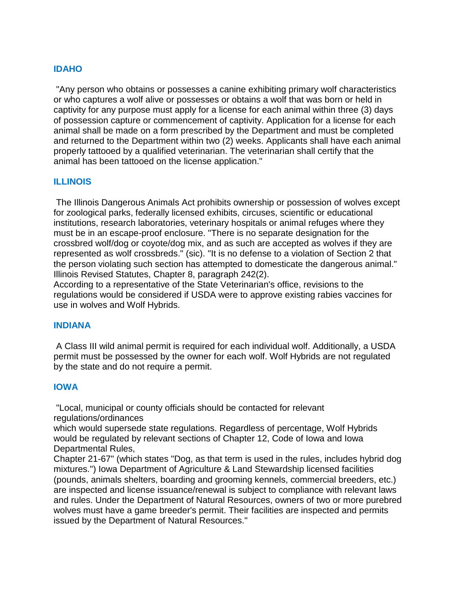### **IDAHO**

"Any person who obtains or possesses a canine exhibiting primary wolf characteristics or who captures a wolf alive or possesses or obtains a wolf that was born or held in captivity for any purpose must apply for a license for each animal within three (3) days of possession capture or commencement of captivity. Application for a license for each animal shall be made on a form prescribed by the Department and must be completed and returned to the Department within two (2) weeks. Applicants shall have each animal properly tattooed by a qualified veterinarian. The veterinarian shall certify that the animal has been tattooed on the license application."

### **ILLINOIS**

The Illinois Dangerous Animals Act prohibits ownership or possession of wolves except for zoological parks, federally licensed exhibits, circuses, scientific or educational institutions, research laboratories, veterinary hospitals or animal refuges where they must be in an escape-proof enclosure. "There is no separate designation for the crossbred wolf/dog or coyote/dog mix, and as such are accepted as wolves if they are represented as wolf crossbreds." (sic). "It is no defense to a violation of Section 2 that the person violating such section has attempted to domesticate the dangerous animal." Illinois Revised Statutes, Chapter 8, paragraph 242(2).

According to a representative of the State Veterinarian's office, revisions to the regulations would be considered if USDA were to approve existing rabies vaccines for use in wolves and Wolf Hybrids.

#### **INDIANA**

A Class III wild animal permit is required for each individual wolf. Additionally, a USDA permit must be possessed by the owner for each wolf. Wolf Hybrids are not regulated by the state and do not require a permit.

#### **IOWA**

"Local, municipal or county officials should be contacted for relevant regulations/ordinances

which would supersede state regulations. Regardless of percentage, Wolf Hybrids would be regulated by relevant sections of Chapter 12, Code of Iowa and Iowa Departmental Rules,

Chapter 21-67" (which states "Dog, as that term is used in the rules, includes hybrid dog mixtures.") Iowa Department of Agriculture & Land Stewardship licensed facilities (pounds, animals shelters, boarding and grooming kennels, commercial breeders, etc.) are inspected and license issuance/renewal is subject to compliance with relevant laws and rules. Under the Department of Natural Resources, owners of two or more purebred wolves must have a game breeder's permit. Their facilities are inspected and permits issued by the Department of Natural Resources."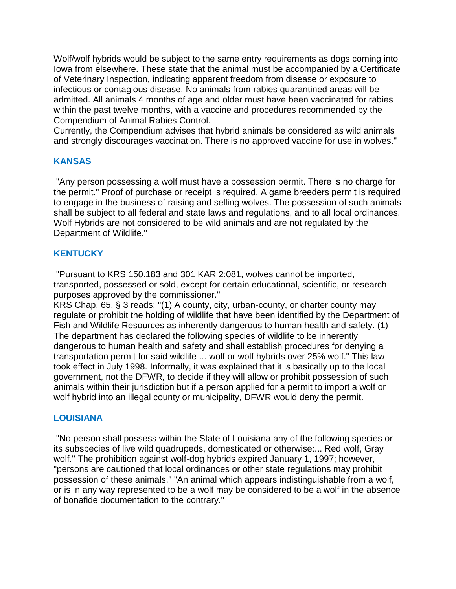Wolf/wolf hybrids would be subject to the same entry requirements as dogs coming into Iowa from elsewhere. These state that the animal must be accompanied by a Certificate of Veterinary Inspection, indicating apparent freedom from disease or exposure to infectious or contagious disease. No animals from rabies quarantined areas will be admitted. All animals 4 months of age and older must have been vaccinated for rabies within the past twelve months, with a vaccine and procedures recommended by the Compendium of Animal Rabies Control.

Currently, the Compendium advises that hybrid animals be considered as wild animals and strongly discourages vaccination. There is no approved vaccine for use in wolves."

### **KANSAS**

"Any person possessing a wolf must have a possession permit. There is no charge for the permit." Proof of purchase or receipt is required. A game breeders permit is required to engage in the business of raising and selling wolves. The possession of such animals shall be subject to all federal and state laws and regulations, and to all local ordinances. Wolf Hybrids are not considered to be wild animals and are not regulated by the Department of Wildlife."

#### **KENTUCKY**

"Pursuant to KRS 150.183 and 301 KAR 2:081, wolves cannot be imported, transported, possessed or sold, except for certain educational, scientific, or research purposes approved by the commissioner."

KRS Chap. 65, § 3 reads: "(1) A county, city, urban-county, or charter county may regulate or prohibit the holding of wildlife that have been identified by the Department of Fish and Wildlife Resources as inherently dangerous to human health and safety. (1) The department has declared the following species of wildlife to be inherently dangerous to human health and safety and shall establish procedures for denying a transportation permit for said wildlife ... wolf or wolf hybrids over 25% wolf." This law took effect in July 1998. Informally, it was explained that it is basically up to the local government, not the DFWR, to decide if they will allow or prohibit possession of such animals within their jurisdiction but if a person applied for a permit to import a wolf or wolf hybrid into an illegal county or municipality, DFWR would deny the permit.

### **LOUISIANA**

"No person shall possess within the State of Louisiana any of the following species or its subspecies of live wild quadrupeds, domesticated or otherwise:... Red wolf, Gray wolf." The prohibition against wolf-dog hybrids expired January 1, 1997; however, "persons are cautioned that local ordinances or other state regulations may prohibit possession of these animals." "An animal which appears indistinguishable from a wolf, or is in any way represented to be a wolf may be considered to be a wolf in the absence of bonafide documentation to the contrary."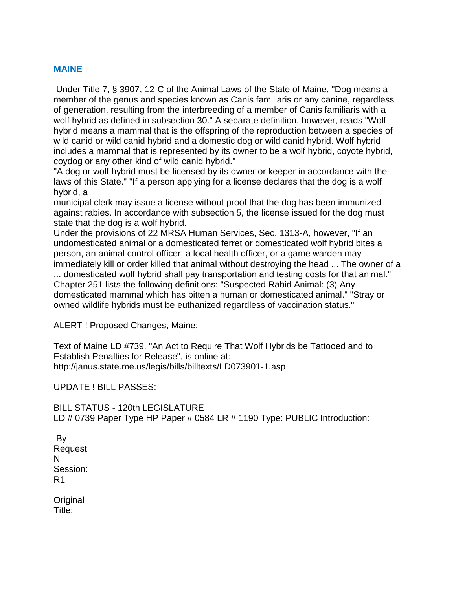### **MAINE**

Under Title 7, § 3907, 12-C of the Animal Laws of the State of Maine, "Dog means a member of the genus and species known as Canis familiaris or any canine, regardless of generation, resulting from the interbreeding of a member of Canis familiaris with a wolf hybrid as defined in subsection 30." A separate definition, however, reads "Wolf hybrid means a mammal that is the offspring of the reproduction between a species of wild canid or wild canid hybrid and a domestic dog or wild canid hybrid. Wolf hybrid includes a mammal that is represented by its owner to be a wolf hybrid, coyote hybrid, coydog or any other kind of wild canid hybrid."

"A dog or wolf hybrid must be licensed by its owner or keeper in accordance with the laws of this State." "If a person applying for a license declares that the dog is a wolf hybrid, a

municipal clerk may issue a license without proof that the dog has been immunized against rabies. In accordance with subsection 5, the license issued for the dog must state that the dog is a wolf hybrid.

Under the provisions of 22 MRSA Human Services, Sec. 1313-A, however, "If an undomesticated animal or a domesticated ferret or domesticated wolf hybrid bites a person, an animal control officer, a local health officer, or a game warden may immediately kill or order killed that animal without destroying the head ... The owner of a

... domesticated wolf hybrid shall pay transportation and testing costs for that animal." Chapter 251 lists the following definitions: "Suspected Rabid Animal: (3) Any domesticated mammal which has bitten a human or domesticated animal." "Stray or owned wildlife hybrids must be euthanized regardless of vaccination status."

ALERT ! Proposed Changes, Maine:

Text of Maine LD #739, "An Act to Require That Wolf Hybrids be Tattooed and to Establish Penalties for Release", is online at: http://janus.state.me.us/legis/bills/billtexts/LD073901-1.asp

UPDATE ! BILL PASSES:

BILL STATUS - 120th LEGISLATURE LD # 0739 Paper Type HP Paper # 0584 LR # 1190 Type: PUBLIC Introduction:

By Request N Session: R1

Original Title: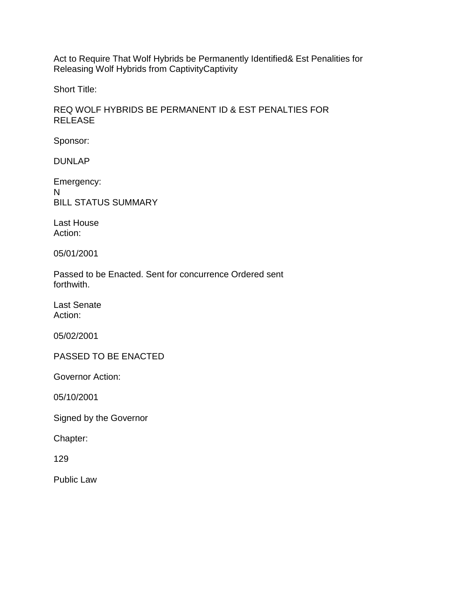Act to Require That Wolf Hybrids be Permanently Identified& Est Penalities for Releasing Wolf Hybrids from CaptivityCaptivity

Short Title:

### REQ WOLF HYBRIDS BE PERMANENT ID & EST PENALTIES FOR RELEASE

Sponsor:

DUNLAP

Emergency: N BILL STATUS SUMMARY

Last House Action:

05/01/2001

Passed to be Enacted. Sent for concurrence Ordered sent forthwith.

Last Senate Action:

05/02/2001

PASSED TO BE ENACTED

Governor Action:

05/10/2001

Signed by the Governor

Chapter:

129

Public Law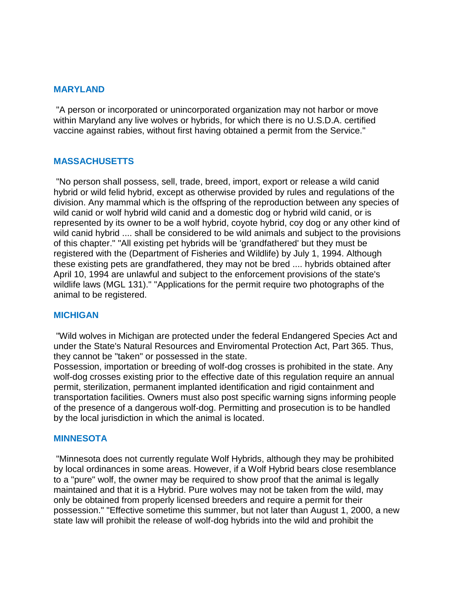#### **MARYLAND**

"A person or incorporated or unincorporated organization may not harbor or move within Maryland any live wolves or hybrids, for which there is no U.S.D.A. certified vaccine against rabies, without first having obtained a permit from the Service."

#### **MASSACHUSETTS**

"No person shall possess, sell, trade, breed, import, export or release a wild canid hybrid or wild felid hybrid, except as otherwise provided by rules and regulations of the division. Any mammal which is the offspring of the reproduction between any species of wild canid or wolf hybrid wild canid and a domestic dog or hybrid wild canid, or is represented by its owner to be a wolf hybrid, coyote hybrid, coy dog or any other kind of wild canid hybrid .... shall be considered to be wild animals and subject to the provisions of this chapter." "All existing pet hybrids will be 'grandfathered' but they must be registered with the (Department of Fisheries and Wildlife) by July 1, 1994. Although these existing pets are grandfathered, they may not be bred .... hybrids obtained after April 10, 1994 are unlawful and subject to the enforcement provisions of the state's wildlife laws (MGL 131)." "Applications for the permit require two photographs of the animal to be registered.

#### **MICHIGAN**

"Wild wolves in Michigan are protected under the federal Endangered Species Act and under the State's Natural Resources and Enviromental Protection Act, Part 365. Thus, they cannot be "taken" or possessed in the state.

Possession, importation or breeding of wolf-dog crosses is prohibited in the state. Any wolf-dog crosses existing prior to the effective date of this regulation require an annual permit, sterilization, permanent implanted identification and rigid containment and transportation facilities. Owners must also post specific warning signs informing people of the presence of a dangerous wolf-dog. Permitting and prosecution is to be handled by the local jurisdiction in which the animal is located.

#### **MINNESOTA**

"Minnesota does not currently regulate Wolf Hybrids, although they may be prohibited by local ordinances in some areas. However, if a Wolf Hybrid bears close resemblance to a "pure" wolf, the owner may be required to show proof that the animal is legally maintained and that it is a Hybrid. Pure wolves may not be taken from the wild, may only be obtained from properly licensed breeders and require a permit for their possession." "Effective sometime this summer, but not later than August 1, 2000, a new state law will prohibit the release of wolf-dog hybrids into the wild and prohibit the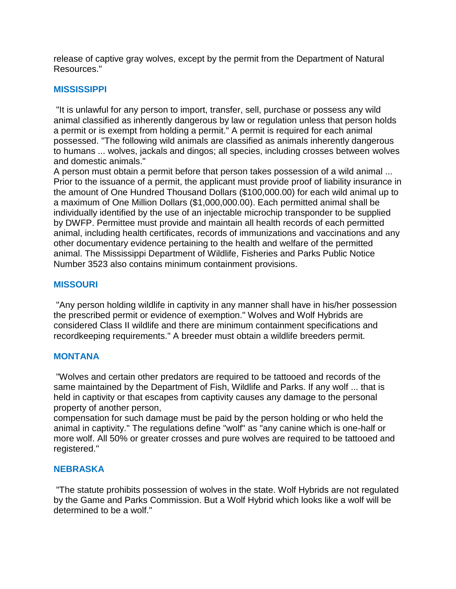release of captive gray wolves, except by the permit from the Department of Natural Resources."

### **MISSISSIPPI**

"It is unlawful for any person to import, transfer, sell, purchase or possess any wild animal classified as inherently dangerous by law or regulation unless that person holds a permit or is exempt from holding a permit." A permit is required for each animal possessed. "The following wild animals are classified as animals inherently dangerous to humans ... wolves, jackals and dingos; all species, including crosses between wolves and domestic animals."

A person must obtain a permit before that person takes possession of a wild animal ... Prior to the issuance of a permit, the applicant must provide proof of liability insurance in the amount of One Hundred Thousand Dollars (\$100,000.00) for each wild animal up to a maximum of One Million Dollars (\$1,000,000.00). Each permitted animal shall be individually identified by the use of an injectable microchip transponder to be supplied by DWFP. Permittee must provide and maintain all health records of each permitted animal, including health certificates, records of immunizations and vaccinations and any other documentary evidence pertaining to the health and welfare of the permitted animal. The Mississippi Department of Wildlife, Fisheries and Parks Public Notice Number 3523 also contains minimum containment provisions.

### **MISSOURI**

"Any person holding wildlife in captivity in any manner shall have in his/her possession the prescribed permit or evidence of exemption." Wolves and Wolf Hybrids are considered Class II wildlife and there are minimum containment specifications and recordkeeping requirements." A breeder must obtain a wildlife breeders permit.

### **MONTANA**

"Wolves and certain other predators are required to be tattooed and records of the same maintained by the Department of Fish, Wildlife and Parks. If any wolf ... that is held in captivity or that escapes from captivity causes any damage to the personal property of another person,

compensation for such damage must be paid by the person holding or who held the animal in captivity." The regulations define "wolf" as "any canine which is one-half or more wolf. All 50% or greater crosses and pure wolves are required to be tattooed and registered."

### **NEBRASKA**

"The statute prohibits possession of wolves in the state. Wolf Hybrids are not regulated by the Game and Parks Commission. But a Wolf Hybrid which looks like a wolf will be determined to be a wolf."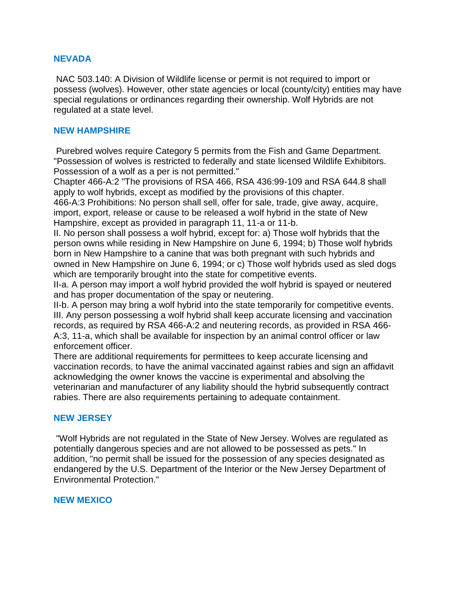### **NEVADA**

NAC 503.140: A Division of Wildlife license or permit is not required to import or possess (wolves). However, other state agencies or local (county/city) entities may have special regulations or ordinances regarding their ownership. Wolf Hybrids are not regulated at a state level.

#### **NEW HAMPSHIRE**

Purebred wolves require Category 5 permits from the Fish and Game Department. "Possession of wolves is restricted to federally and state licensed Wildlife Exhibitors. Possession of a wolf as a per is not permitted."

Chapter 466-A:2 "The provisions of RSA 466, RSA 436:99-109 and RSA 644.8 shall apply to wolf hybrids, except as modified by the provisions of this chapter.

466-A:3 Prohibitions: No person shall sell, offer for sale, trade, give away, acquire, import, export, release or cause to be released a wolf hybrid in the state of New Hampshire, except as provided in paragraph 11, 11-a or 11-b.

II. No person shall possess a wolf hybrid, except for: a) Those wolf hybrids that the person owns while residing in New Hampshire on June 6, 1994; b) Those wolf hybrids born in New Hampshire to a canine that was both pregnant with such hybrids and owned in New Hampshire on June 6, 1994; or c) Those wolf hybrids used as sled dogs which are temporarily brought into the state for competitive events.

II-a. A person may import a wolf hybrid provided the wolf hybrid is spayed or neutered and has proper documentation of the spay or neutering.

II-b. A person may bring a wolf hybrid into the state temporarily for competitive events. III. Any person possessing a wolf hybrid shall keep accurate licensing and vaccination records, as required by RSA 466-A:2 and neutering records, as provided in RSA 466- A:3, 11-a, which shall be available for inspection by an animal control officer or law enforcement officer.

There are additional requirements for permittees to keep accurate licensing and vaccination records, to have the animal vaccinated against rabies and sign an affidavit acknowledging the owner knows the vaccine is experimental and absolving the veterinarian and manufacturer of any liability should the hybrid subsequently contract rabies. There are also requirements pertaining to adequate containment.

### **NEW JERSEY**

"Wolf Hybrids are not regulated in the State of New Jersey. Wolves are regulated as potentially dangerous species and are not allowed to be possessed as pets." In addition, "no permit shall be issued for the possession of any species designated as endangered by the U.S. Department of the Interior or the New Jersey Department of Environmental Protection."

#### **NEW MEXICO**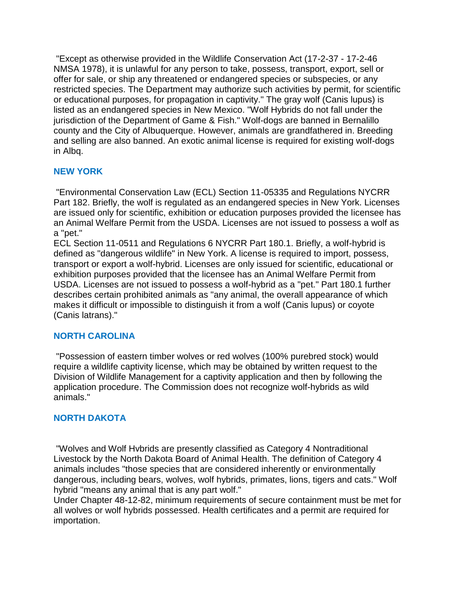"Except as otherwise provided in the Wildlife Conservation Act (17-2-37 - 17-2-46 NMSA 1978), it is unlawful for any person to take, possess, transport, export, sell or offer for sale, or ship any threatened or endangered species or subspecies, or any restricted species. The Department may authorize such activities by permit, for scientific or educational purposes, for propagation in captivity." The gray wolf (Canis lupus) is listed as an endangered species in New Mexico. "Wolf Hybrids do not fall under the jurisdiction of the Department of Game & Fish." Wolf-dogs are banned in Bernalillo county and the City of Albuquerque. However, animals are grandfathered in. Breeding and selling are also banned. An exotic animal license is required for existing wolf-dogs in Albq.

## **NEW YORK**

"Environmental Conservation Law (ECL) Section 11-05335 and Regulations NYCRR Part 182. Briefly, the wolf is regulated as an endangered species in New York. Licenses are issued only for scientific, exhibition or education purposes provided the licensee has an Animal Welfare Permit from the USDA. Licenses are not issued to possess a wolf as a "pet."

ECL Section 11-0511 and Regulations 6 NYCRR Part 180.1. Briefly, a wolf-hybrid is defined as "dangerous wildlife" in New York. A license is required to import, possess, transport or export a wolf-hybrid. Licenses are only issued for scientific, educational or exhibition purposes provided that the licensee has an Animal Welfare Permit from USDA. Licenses are not issued to possess a wolf-hybrid as a "pet." Part 180.1 further describes certain prohibited animals as "any animal, the overall appearance of which makes it difficult or impossible to distinguish it from a wolf (Canis lupus) or coyote (Canis latrans)."

## **NORTH CAROLINA**

"Possession of eastern timber wolves or red wolves (100% purebred stock) would require a wildlife captivity license, which may be obtained by written request to the Division of Wildlife Management for a captivity application and then by following the application procedure. The Commission does not recognize wolf-hybrids as wild animals."

## **NORTH DAKOTA**

"Wolves and Wolf Hvbrids are presently classified as Category 4 Nontraditional Livestock by the North Dakota Board of Animal Health. The definition of Category 4 animals includes "those species that are considered inherently or environmentally dangerous, including bears, wolves, wolf hybrids, primates, lions, tigers and cats." Wolf hybrid "means any animal that is any part wolf."

Under Chapter 48-12-82, minimum requirements of secure containment must be met for all wolves or wolf hybrids possessed. Health certificates and a permit are required for importation.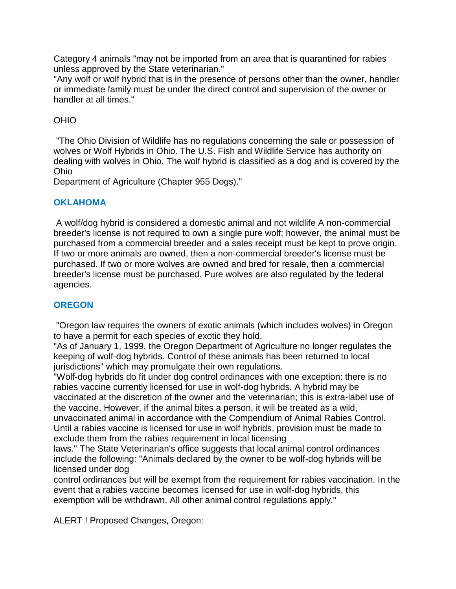Category 4 animals "may not be imported from an area that is quarantined for rabies unless approved by the State veterinarian."

"Any wolf or wolf hybrid that is in the presence of persons other than the owner, handler or immediate family must be under the direct control and supervision of the owner or handler at all times."

## OHIO

"The Ohio Division of Wildlife has no regulations concerning the sale or possession of wolves or Wolf Hybrids in Ohio. The U.S. Fish and Wildlife Service has authority on dealing with wolves in Ohio. The wolf hybrid is classified as a dog and is covered by the Ohio

Department of Agriculture (Chapter 955 Dogs)."

## **OKLAHOMA**

A wolf/dog hybrid is considered a domestic animal and not wildlife A non-commercial breeder's license is not required to own a single pure wolf; however, the animal must be purchased from a commercial breeder and a sales receipt must be kept to prove origin. If two or more animals are owned, then a non-commercial breeder's license must be purchased. If two or more wolves are owned and bred for resale, then a commercial breeder's license must be purchased. Pure wolves are also regulated by the federal agencies.

# **OREGON**

"Oregon law requires the owners of exotic animals (which includes wolves) in Oregon to have a permit for each species of exotic they hold.

"As of January 1, 1999, the Oregon Department of Agriculture no longer regulates the keeping of wolf-dog hybrids. Control of these animals has been returned to local jurisdictions" which may promulgate their own regulations.

"Wolf-dog hybrids do fit under dog control ordinances with one exception: there is no rabies vaccine currently licensed for use in wolf-dog hybrids. A hybrid may be vaccinated at the discretion of the owner and the veterinarian; this is extra-label use of the vaccine. However, if the animal bites a person, it will be treated as a wild, unvaccinated animal in accordance with the Compendium of Animal Rabies Control. Until a rabies vaccine is licensed for use in wolf hybrids, provision must be made to exclude them from the rabies requirement in local licensing

laws." The State Veterinarian's office suggests that local animal control ordinances include the following: "Animals declared by the owner to be wolf-dog hybrids will be licensed under dog

control ordinances but will be exempt from the requirement for rabies vaccination. In the event that a rabies vaccine becomes licensed for use in wolf-dog hybrids, this exemption will be withdrawn. All other animal control regulations apply."

ALERT ! Proposed Changes, Oregon: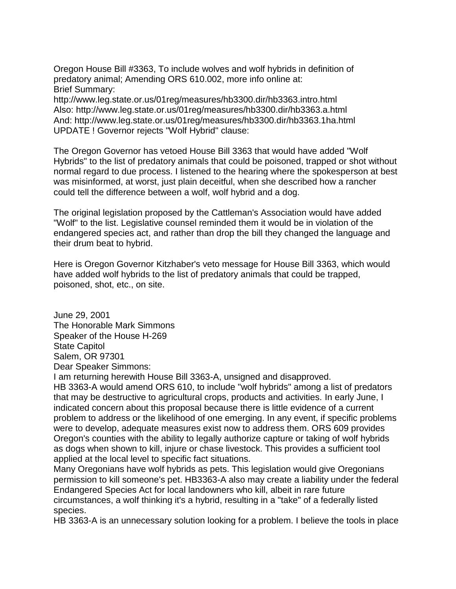Oregon House Bill #3363, To include wolves and wolf hybrids in definition of predatory animal; Amending ORS 610.002, more info online at: Brief Summary:

http://www.leg.state.or.us/01reg/measures/hb3300.dir/hb3363.intro.html Also: http://www.leg.state.or.us/01reg/measures/hb3300.dir/hb3363.a.html And: http://www.leg.state.or.us/01reg/measures/hb3300.dir/hb3363.1ha.html UPDATE ! Governor rejects "Wolf Hybrid" clause:

The Oregon Governor has vetoed House Bill 3363 that would have added "Wolf Hybrids" to the list of predatory animals that could be poisoned, trapped or shot without normal regard to due process. I listened to the hearing where the spokesperson at best was misinformed, at worst, just plain deceitful, when she described how a rancher could tell the difference between a wolf, wolf hybrid and a dog.

The original legislation proposed by the Cattleman's Association would have added "Wolf" to the list. Legislative counsel reminded them it would be in violation of the endangered species act, and rather than drop the bill they changed the language and their drum beat to hybrid.

Here is Oregon Governor Kitzhaber's veto message for House Bill 3363, which would have added wolf hybrids to the list of predatory animals that could be trapped, poisoned, shot, etc., on site.

June 29, 2001 The Honorable Mark Simmons Speaker of the House H-269 State Capitol Salem, OR 97301 Dear Speaker Simmons:

I am returning herewith House Bill 3363-A, unsigned and disapproved.

HB 3363-A would amend ORS 610, to include "wolf hybrids" among a list of predators that may be destructive to agricultural crops, products and activities. In early June, I indicated concern about this proposal because there is little evidence of a current problem to address or the likelihood of one emerging. In any event, if specific problems were to develop, adequate measures exist now to address them. ORS 609 provides Oregon's counties with the ability to legally authorize capture or taking of wolf hybrids as dogs when shown to kill, injure or chase livestock. This provides a sufficient tool applied at the local level to specific fact situations.

Many Oregonians have wolf hybrids as pets. This legislation would give Oregonians permission to kill someone's pet. HB3363-A also may create a liability under the federal Endangered Species Act for local landowners who kill, albeit in rare future circumstances, a wolf thinking it's a hybrid, resulting in a "take" of a federally listed species.

HB 3363-A is an unnecessary solution looking for a problem. I believe the tools in place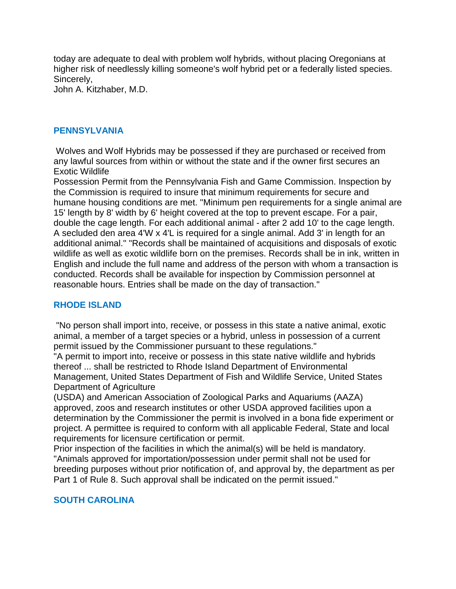today are adequate to deal with problem wolf hybrids, without placing Oregonians at higher risk of needlessly killing someone's wolf hybrid pet or a federally listed species. Sincerely,

John A. Kitzhaber, M.D.

### **PENNSYLVANIA**

Wolves and Wolf Hybrids may be possessed if they are purchased or received from any lawful sources from within or without the state and if the owner first secures an Exotic Wildlife

Possession Permit from the Pennsylvania Fish and Game Commission. Inspection by the Commission is required to insure that minimum requirements for secure and humane housing conditions are met. "Minimum pen requirements for a single animal are 15' length by 8' width by 6' height covered at the top to prevent escape. For a pair, double the cage length. For each additional animal - after 2 add 10' to the cage length. A secluded den area 4'W x 4'L is required for a single animal. Add 3' in length for an additional animal." "Records shall be maintained of acquisitions and disposals of exotic wildlife as well as exotic wildlife born on the premises. Records shall be in ink, written in English and include the full name and address of the person with whom a transaction is conducted. Records shall be available for inspection by Commission personnel at reasonable hours. Entries shall be made on the day of transaction."

### **RHODE ISLAND**

"No person shall import into, receive, or possess in this state a native animal, exotic animal, a member of a target species or a hybrid, unless in possession of a current permit issued by the Commissioner pursuant to these regulations."

"A permit to import into, receive or possess in this state native wildlife and hybrids thereof ... shall be restricted to Rhode Island Department of Environmental Management, United States Department of Fish and Wildlife Service, United States Department of Agriculture

(USDA) and American Association of Zoological Parks and Aquariums (AAZA) approved, zoos and research institutes or other USDA approved facilities upon a determination by the Commissioner the permit is involved in a bona fide experiment or project. A permittee is required to conform with all applicable Federal, State and local requirements for licensure certification or permit.

Prior inspection of the facilities in which the animal(s) will be held is mandatory. "Animals approved for importation/possession under permit shall not be used for breeding purposes without prior notification of, and approval by, the department as per Part 1 of Rule 8. Such approval shall be indicated on the permit issued."

# **SOUTH CAROLINA**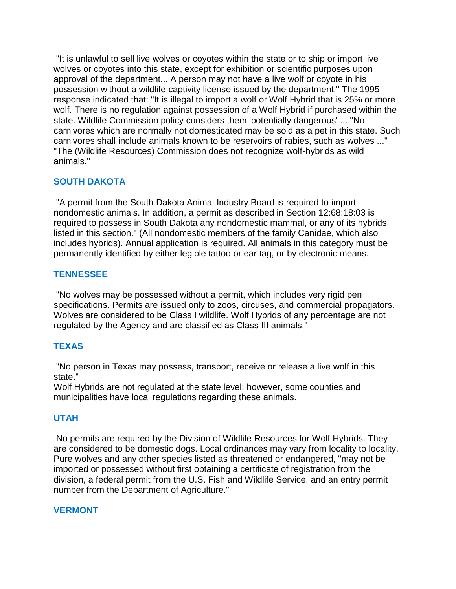"It is unlawful to sell live wolves or coyotes within the state or to ship or import live wolves or coyotes into this state, except for exhibition or scientific purposes upon approval of the department... A person may not have a live wolf or coyote in his possession without a wildlife captivity license issued by the department." The 1995 response indicated that: "It is illegal to import a wolf or Wolf Hybrid that is 25% or more wolf. There is no regulation against possession of a Wolf Hybrid if purchased within the state. Wildlife Commission policy considers them 'potentially dangerous' ... "No carnivores which are normally not domesticated may be sold as a pet in this state. Such carnivores shall include animals known to be reservoirs of rabies, such as wolves ..." "The (Wildlife Resources) Commission does not recognize wolf-hybrids as wild animals."

# **SOUTH DAKOTA**

"A permit from the South Dakota Animal Industry Board is required to import nondomestic animals. In addition, a permit as described in Section 12:68:18:03 is required to possess in South Dakota any nondomestic mammal, or any of its hybrids listed in this section." (All nondomestic members of the family Canidae, which also includes hybrids). Annual application is required. All animals in this category must be permanently identified by either legible tattoo or ear tag, or by electronic means.

# **TENNESSEE**

"No wolves may be possessed without a permit, which includes very rigid pen specifications. Permits are issued only to zoos, circuses, and commercial propagators. Wolves are considered to be Class I wildlife. Wolf Hybrids of any percentage are not regulated by the Agency and are classified as Class III animals."

# **TEXAS**

"No person in Texas may possess, transport, receive or release a live wolf in this state."

Wolf Hybrids are not regulated at the state level; however, some counties and municipalities have local regulations regarding these animals.

# **UTAH**

No permits are required by the Division of Wildlife Resources for Wolf Hybrids. They are considered to be domestic dogs. Local ordinances may vary from locality to locality. Pure wolves and any other species listed as threatened or endangered, "may not be imported or possessed without first obtaining a certificate of registration from the division, a federal permit from the U.S. Fish and Wildlife Service, and an entry permit number from the Department of Agriculture."

# **VERMONT**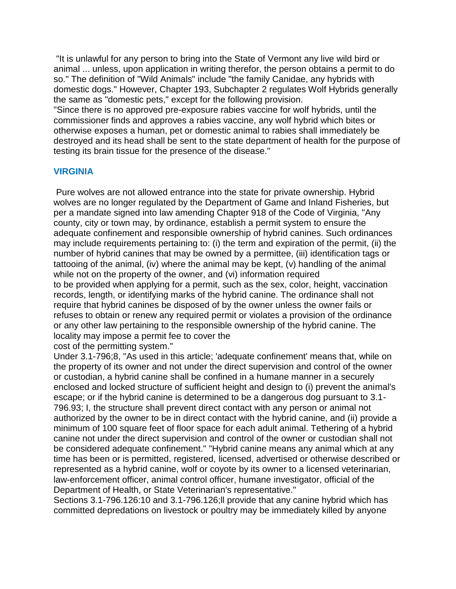"It is unlawful for any person to bring into the State of Vermont any live wild bird or animal ... unless, upon application in writing therefor, the person obtains a permit to do so." The definition of "Wild Animals" include "the family Canidae, any hybrids with domestic dogs." However, Chapter 193, Subchapter 2 regulates Wolf Hybrids generally the same as "domestic pets," except for the following provision.

"Since there is no approved pre-exposure rabies vaccine for wolf hybrids, until the commissioner finds and approves a rabies vaccine, any wolf hybrid which bites or otherwise exposes a human, pet or domestic animal to rabies shall immediately be destroyed and its head shall be sent to the state department of health for the purpose of testing its brain tissue for the presence of the disease."

## **VIRGINIA**

Pure wolves are not allowed entrance into the state for private ownership. Hybrid wolves are no longer regulated by the Department of Game and Inland Fisheries, but per a mandate signed into law amending Chapter 918 of the Code of Virginia, "Any county, city or town may, by ordinance, establish a permit system to ensure the adequate confinement and responsible ownership of hybrid canines. Such ordinances may include requirements pertaining to: (i) the term and expiration of the permit, (ii) the number of hybrid canines that may be owned by a permittee, (iii) identification tags or tattooing of the animal, (iv) where the animal may be kept, (v) handling of the animal while not on the property of the owner, and (vi) information required to be provided when applying for a permit, such as the sex, color, height, vaccination records, length, or identifying marks of the hybrid canine. The ordinance shall not require that hybrid canines be disposed of by the owner unless the owner fails or refuses to obtain or renew any required permit or violates a provision of the ordinance or any other law pertaining to the responsible ownership of the hybrid canine. The locality may impose a permit fee to cover the

cost of the permitting system."

Under 3.1-796;8, "As used in this article; 'adequate confinement' means that, while on the property of its owner and not under the direct supervision and control of the owner or custodian, a hybrid canine shall be confined in a humane manner in a securely enclosed and locked structure of sufficient height and design to (i) prevent the animal's escape; or if the hybrid canine is determined to be a dangerous dog pursuant to 3.1- 796.93; I, the structure shall prevent direct contact with any person or animal not authorized by the owner to be in direct contact with the hybrid canine, and (ii) provide a minimum of 100 square feet of floor space for each adult animal. Tethering of a hybrid canine not under the direct supervision and control of the owner or custodian shall not be considered adequate confinement." "Hybrid canine means any animal which at any time has been or is permitted, registered, licensed, advertised or otherwise described or represented as a hybrid canine, wolf or coyote by its owner to a licensed veterinarian, law-enforcement officer, animal control officer, humane investigator, official of the Department of Health, or State Veterinarian's representative."

Sections 3.1-796.126:10 and 3.1-796.126;ll provide that any canine hybrid which has committed depredations on livestock or poultry may be immediately killed by anyone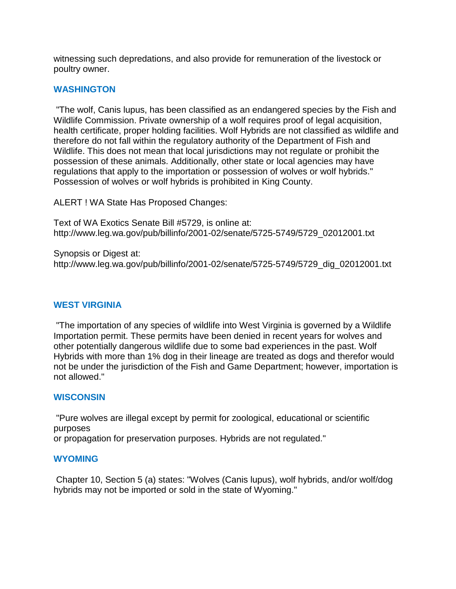witnessing such depredations, and also provide for remuneration of the livestock or poultry owner.

### **WASHINGTON**

"The wolf, Canis lupus, has been classified as an endangered species by the Fish and Wildlife Commission. Private ownership of a wolf requires proof of legal acquisition, health certificate, proper holding facilities. Wolf Hybrids are not classified as wildlife and therefore do not fall within the regulatory authority of the Department of Fish and Wildlife. This does not mean that local jurisdictions may not regulate or prohibit the possession of these animals. Additionally, other state or local agencies may have regulations that apply to the importation or possession of wolves or wolf hybrids." Possession of wolves or wolf hybrids is prohibited in King County.

ALERT ! WA State Has Proposed Changes:

Text of WA Exotics Senate Bill #5729, is online at: http://www.leg.wa.gov/pub/billinfo/2001-02/senate/5725-5749/5729\_02012001.txt

Synopsis or Digest at: http://www.leg.wa.gov/pub/billinfo/2001-02/senate/5725-5749/5729\_dig\_02012001.txt

### **WEST VIRGINIA**

"The importation of any species of wildlife into West Virginia is governed by a Wildlife Importation permit. These permits have been denied in recent years for wolves and other potentially dangerous wildlife due to some bad experiences in the past. Wolf Hybrids with more than 1% dog in their lineage are treated as dogs and therefor would not be under the jurisdiction of the Fish and Game Department; however, importation is not allowed."

### **WISCONSIN**

"Pure wolves are illegal except by permit for zoological, educational or scientific purposes

or propagation for preservation purposes. Hybrids are not regulated."

### **WYOMING**

Chapter 10, Section 5 (a) states: "Wolves (Canis lupus), wolf hybrids, and/or wolf/dog hybrids may not be imported or sold in the state of Wyoming."